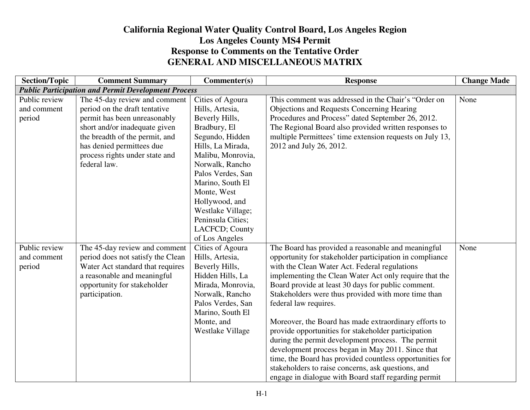## **California Regional Water Quality Control Board, Los Angeles RegionLos Angeles County MS4 Permit Response to Comments on the Tentative Order GENERAL AND MISCELLANEOUS MATRIX**

| <b>Section/Topic</b>                   | <b>Comment Summary</b>                                                                                                                                                                                                                           | Commenter(s)                                                                                                                                                                                 | <b>Response</b>                                                                                                                                                                                                                                                                                                                                                                                                                                                                                                                                                                                                                                                                                                                                                    | <b>Change Made</b> |
|----------------------------------------|--------------------------------------------------------------------------------------------------------------------------------------------------------------------------------------------------------------------------------------------------|----------------------------------------------------------------------------------------------------------------------------------------------------------------------------------------------|--------------------------------------------------------------------------------------------------------------------------------------------------------------------------------------------------------------------------------------------------------------------------------------------------------------------------------------------------------------------------------------------------------------------------------------------------------------------------------------------------------------------------------------------------------------------------------------------------------------------------------------------------------------------------------------------------------------------------------------------------------------------|--------------------|
|                                        | <b>Public Participation and Permit Development Process</b>                                                                                                                                                                                       |                                                                                                                                                                                              |                                                                                                                                                                                                                                                                                                                                                                                                                                                                                                                                                                                                                                                                                                                                                                    |                    |
| Public review<br>and comment<br>period | The 45-day review and comment<br>period on the draft tentative<br>permit has been unreasonably<br>short and/or inadequate given<br>the breadth of the permit, and<br>has denied permittees due<br>process rights under state and<br>federal law. | Cities of Agoura<br>Hills, Artesia,<br>Beverly Hills,<br>Bradbury, El<br>Segundo, Hidden<br>Hills, La Mirada,<br>Malibu, Monrovia,<br>Norwalk, Rancho<br>Palos Verdes, San                   | This comment was addressed in the Chair's "Order on<br><b>Objections and Requests Concerning Hearing</b><br>Procedures and Process" dated September 26, 2012.<br>The Regional Board also provided written responses to<br>multiple Permittees' time extension requests on July 13,<br>2012 and July 26, 2012.                                                                                                                                                                                                                                                                                                                                                                                                                                                      | None               |
|                                        |                                                                                                                                                                                                                                                  | Marino, South El<br>Monte, West<br>Hollywood, and<br>Westlake Village;<br>Peninsula Cities;<br>LACFCD; County<br>of Los Angeles                                                              |                                                                                                                                                                                                                                                                                                                                                                                                                                                                                                                                                                                                                                                                                                                                                                    |                    |
| Public review<br>and comment<br>period | The 45-day review and comment<br>period does not satisfy the Clean<br>Water Act standard that requires<br>a reasonable and meaningful<br>opportunity for stakeholder<br>participation.                                                           | Cities of Agoura<br>Hills, Artesia,<br>Beverly Hills,<br>Hidden Hills, La<br>Mirada, Monrovia,<br>Norwalk, Rancho<br>Palos Verdes, San<br>Marino, South El<br>Monte, and<br>Westlake Village | The Board has provided a reasonable and meaningful<br>opportunity for stakeholder participation in compliance<br>with the Clean Water Act. Federal regulations<br>implementing the Clean Water Act only require that the<br>Board provide at least 30 days for public comment.<br>Stakeholders were thus provided with more time than<br>federal law requires.<br>Moreover, the Board has made extraordinary efforts to<br>provide opportunities for stakeholder participation<br>during the permit development process. The permit<br>development process began in May 2011. Since that<br>time, the Board has provided countless opportunities for<br>stakeholders to raise concerns, ask questions, and<br>engage in dialogue with Board staff regarding permit | None               |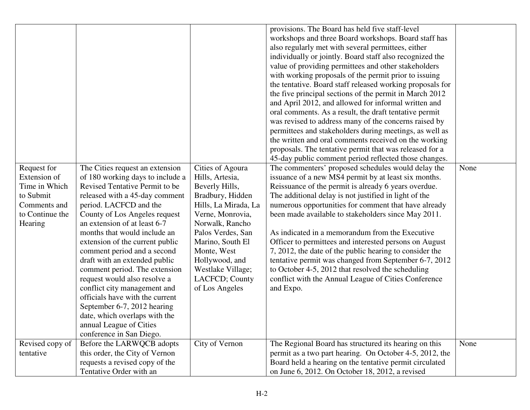|                              |                                                                                                                                                                                                                                                                                                                                                                                     |                                                                         | provisions. The Board has held five staff-level                                                                                                                                                                                                                                                                                                          |      |
|------------------------------|-------------------------------------------------------------------------------------------------------------------------------------------------------------------------------------------------------------------------------------------------------------------------------------------------------------------------------------------------------------------------------------|-------------------------------------------------------------------------|----------------------------------------------------------------------------------------------------------------------------------------------------------------------------------------------------------------------------------------------------------------------------------------------------------------------------------------------------------|------|
|                              |                                                                                                                                                                                                                                                                                                                                                                                     |                                                                         | workshops and three Board workshops. Board staff has                                                                                                                                                                                                                                                                                                     |      |
|                              |                                                                                                                                                                                                                                                                                                                                                                                     |                                                                         | also regularly met with several permittees, either                                                                                                                                                                                                                                                                                                       |      |
|                              |                                                                                                                                                                                                                                                                                                                                                                                     |                                                                         | individually or jointly. Board staff also recognized the                                                                                                                                                                                                                                                                                                 |      |
|                              |                                                                                                                                                                                                                                                                                                                                                                                     |                                                                         |                                                                                                                                                                                                                                                                                                                                                          |      |
|                              |                                                                                                                                                                                                                                                                                                                                                                                     |                                                                         | value of providing permittees and other stakeholders                                                                                                                                                                                                                                                                                                     |      |
|                              |                                                                                                                                                                                                                                                                                                                                                                                     |                                                                         | with working proposals of the permit prior to issuing                                                                                                                                                                                                                                                                                                    |      |
|                              |                                                                                                                                                                                                                                                                                                                                                                                     |                                                                         | the tentative. Board staff released working proposals for                                                                                                                                                                                                                                                                                                |      |
|                              |                                                                                                                                                                                                                                                                                                                                                                                     |                                                                         | the five principal sections of the permit in March 2012                                                                                                                                                                                                                                                                                                  |      |
|                              |                                                                                                                                                                                                                                                                                                                                                                                     |                                                                         | and April 2012, and allowed for informal written and                                                                                                                                                                                                                                                                                                     |      |
|                              |                                                                                                                                                                                                                                                                                                                                                                                     |                                                                         | oral comments. As a result, the draft tentative permit                                                                                                                                                                                                                                                                                                   |      |
|                              |                                                                                                                                                                                                                                                                                                                                                                                     |                                                                         | was revised to address many of the concerns raised by                                                                                                                                                                                                                                                                                                    |      |
|                              |                                                                                                                                                                                                                                                                                                                                                                                     |                                                                         | permittees and stakeholders during meetings, as well as                                                                                                                                                                                                                                                                                                  |      |
|                              |                                                                                                                                                                                                                                                                                                                                                                                     |                                                                         | the written and oral comments received on the working                                                                                                                                                                                                                                                                                                    |      |
|                              |                                                                                                                                                                                                                                                                                                                                                                                     |                                                                         | proposals. The tentative permit that was released for a                                                                                                                                                                                                                                                                                                  |      |
|                              |                                                                                                                                                                                                                                                                                                                                                                                     |                                                                         | 45-day public comment period reflected those changes.                                                                                                                                                                                                                                                                                                    |      |
| Request for                  | The Cities request an extension                                                                                                                                                                                                                                                                                                                                                     | Cities of Agoura                                                        | The commenters' proposed schedules would delay the                                                                                                                                                                                                                                                                                                       | None |
| Extension of                 | of 180 working days to include a                                                                                                                                                                                                                                                                                                                                                    | Hills, Artesia,                                                         | issuance of a new MS4 permit by at least six months.                                                                                                                                                                                                                                                                                                     |      |
| Time in Which                | Revised Tentative Permit to be                                                                                                                                                                                                                                                                                                                                                      | Beverly Hills,                                                          | Reissuance of the permit is already 6 years overdue.                                                                                                                                                                                                                                                                                                     |      |
| to Submit                    | released with a 45-day comment                                                                                                                                                                                                                                                                                                                                                      | Bradbury, Hidden                                                        | The additional delay is not justified in light of the                                                                                                                                                                                                                                                                                                    |      |
| Comments and                 | period. LACFCD and the                                                                                                                                                                                                                                                                                                                                                              | Hills, La Mirada, La                                                    | numerous opportunities for comment that have already                                                                                                                                                                                                                                                                                                     |      |
| to Continue the              | County of Los Angeles request                                                                                                                                                                                                                                                                                                                                                       | Verne, Monrovia,                                                        | been made available to stakeholders since May 2011.                                                                                                                                                                                                                                                                                                      |      |
| Hearing                      | an extension of at least 6-7                                                                                                                                                                                                                                                                                                                                                        | Norwalk, Rancho                                                         |                                                                                                                                                                                                                                                                                                                                                          |      |
|                              | months that would include an                                                                                                                                                                                                                                                                                                                                                        | Palos Verdes, San                                                       | As indicated in a memorandum from the Executive                                                                                                                                                                                                                                                                                                          |      |
|                              | extension of the current public                                                                                                                                                                                                                                                                                                                                                     | Marino, South El                                                        | Officer to permittees and interested persons on August                                                                                                                                                                                                                                                                                                   |      |
|                              | comment period and a second                                                                                                                                                                                                                                                                                                                                                         | Monte, West                                                             | 7, 2012, the date of the public hearing to consider the                                                                                                                                                                                                                                                                                                  |      |
|                              | draft with an extended public                                                                                                                                                                                                                                                                                                                                                       | Hollywood, and                                                          | tentative permit was changed from September 6-7, 2012                                                                                                                                                                                                                                                                                                    |      |
|                              |                                                                                                                                                                                                                                                                                                                                                                                     |                                                                         |                                                                                                                                                                                                                                                                                                                                                          |      |
|                              |                                                                                                                                                                                                                                                                                                                                                                                     |                                                                         |                                                                                                                                                                                                                                                                                                                                                          |      |
|                              |                                                                                                                                                                                                                                                                                                                                                                                     |                                                                         |                                                                                                                                                                                                                                                                                                                                                          |      |
|                              |                                                                                                                                                                                                                                                                                                                                                                                     |                                                                         |                                                                                                                                                                                                                                                                                                                                                          |      |
|                              |                                                                                                                                                                                                                                                                                                                                                                                     |                                                                         |                                                                                                                                                                                                                                                                                                                                                          |      |
|                              |                                                                                                                                                                                                                                                                                                                                                                                     |                                                                         |                                                                                                                                                                                                                                                                                                                                                          |      |
|                              |                                                                                                                                                                                                                                                                                                                                                                                     |                                                                         |                                                                                                                                                                                                                                                                                                                                                          |      |
|                              |                                                                                                                                                                                                                                                                                                                                                                                     |                                                                         |                                                                                                                                                                                                                                                                                                                                                          |      |
|                              |                                                                                                                                                                                                                                                                                                                                                                                     |                                                                         |                                                                                                                                                                                                                                                                                                                                                          |      |
|                              |                                                                                                                                                                                                                                                                                                                                                                                     |                                                                         |                                                                                                                                                                                                                                                                                                                                                          |      |
|                              |                                                                                                                                                                                                                                                                                                                                                                                     |                                                                         |                                                                                                                                                                                                                                                                                                                                                          |      |
|                              |                                                                                                                                                                                                                                                                                                                                                                                     |                                                                         |                                                                                                                                                                                                                                                                                                                                                          |      |
| Revised copy of<br>tentative | comment period. The extension<br>request would also resolve a<br>conflict city management and<br>officials have with the current<br>September 6-7, 2012 hearing<br>date, which overlaps with the<br>annual League of Cities<br>conference in San Diego.<br>Before the LARWQCB adopts<br>this order, the City of Vernon<br>requests a revised copy of the<br>Tentative Order with an | Westlake Village;<br>LACFCD; County<br>of Los Angeles<br>City of Vernon | to October 4-5, 2012 that resolved the scheduling<br>conflict with the Annual League of Cities Conference<br>and Expo.<br>The Regional Board has structured its hearing on this<br>permit as a two part hearing. On October 4-5, 2012, the<br>Board held a hearing on the tentative permit circulated<br>on June 6, 2012. On October 18, 2012, a revised | None |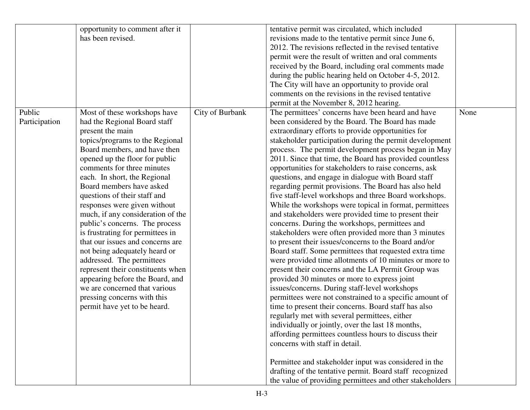|               | opportunity to comment after it                                      |                 | tentative permit was circulated, which included          |      |
|---------------|----------------------------------------------------------------------|-----------------|----------------------------------------------------------|------|
|               | has been revised.                                                    |                 | revisions made to the tentative permit since June 6,     |      |
|               |                                                                      |                 | 2012. The revisions reflected in the revised tentative   |      |
|               |                                                                      |                 | permit were the result of written and oral comments      |      |
|               |                                                                      |                 | received by the Board, including oral comments made      |      |
|               |                                                                      |                 | during the public hearing held on October 4-5, 2012.     |      |
|               |                                                                      |                 | The City will have an opportunity to provide oral        |      |
|               |                                                                      |                 | comments on the revisions in the revised tentative       |      |
|               |                                                                      |                 | permit at the November 8, 2012 hearing.                  |      |
| Public        | Most of these workshops have                                         | City of Burbank | The permittees' concerns have been heard and have        | None |
| Participation | had the Regional Board staff                                         |                 | been considered by the Board. The Board has made         |      |
|               | present the main                                                     |                 | extraordinary efforts to provide opportunities for       |      |
|               | topics/programs to the Regional                                      |                 | stakeholder participation during the permit development  |      |
|               | Board members, and have then                                         |                 | process. The permit development process began in May     |      |
|               | opened up the floor for public                                       |                 | 2011. Since that time, the Board has provided countless  |      |
|               | comments for three minutes                                           |                 | opportunities for stakeholders to raise concerns, ask    |      |
|               | each. In short, the Regional                                         |                 | questions, and engage in dialogue with Board staff       |      |
|               | Board members have asked                                             |                 | regarding permit provisions. The Board has also held     |      |
|               | questions of their staff and                                         |                 | five staff-level workshops and three Board workshops.    |      |
|               | responses were given without                                         |                 | While the workshops were topical in format, permittees   |      |
|               | much, if any consideration of the                                    |                 | and stakeholders were provided time to present their     |      |
|               |                                                                      |                 |                                                          |      |
|               | public's concerns. The process                                       |                 | concerns. During the workshops, permittees and           |      |
|               | is frustrating for permittees in<br>that our issues and concerns are |                 | stakeholders were often provided more than 3 minutes     |      |
|               |                                                                      |                 | to present their issues/concerns to the Board and/or     |      |
|               | not being adequately heard or                                        |                 | Board staff. Some permittees that requested extra time   |      |
|               | addressed. The permittees                                            |                 | were provided time allotments of 10 minutes or more to   |      |
|               | represent their constituents when                                    |                 | present their concerns and the LA Permit Group was       |      |
|               | appearing before the Board, and                                      |                 | provided 30 minutes or more to express joint             |      |
|               | we are concerned that various                                        |                 | issues/concerns. During staff-level workshops            |      |
|               | pressing concerns with this                                          |                 | permittees were not constrained to a specific amount of  |      |
|               | permit have yet to be heard.                                         |                 | time to present their concerns. Board staff has also     |      |
|               |                                                                      |                 | regularly met with several permittees, either            |      |
|               |                                                                      |                 | individually or jointly, over the last 18 months,        |      |
|               |                                                                      |                 | affording permittees countless hours to discuss their    |      |
|               |                                                                      |                 | concerns with staff in detail.                           |      |
|               |                                                                      |                 |                                                          |      |
|               |                                                                      |                 | Permittee and stakeholder input was considered in the    |      |
|               |                                                                      |                 | drafting of the tentative permit. Board staff recognized |      |
|               |                                                                      |                 | the value of providing permittees and other stakeholders |      |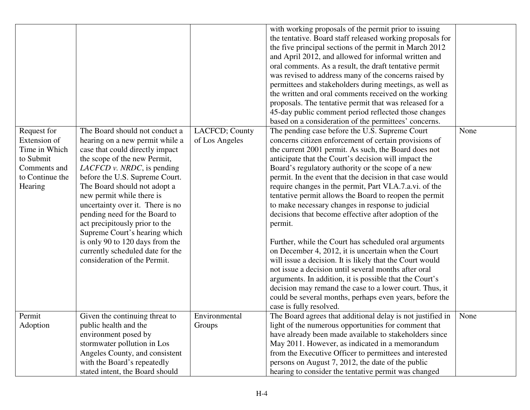| Request for<br>Extension of<br>Time in Which<br>to Submit<br>Comments and<br>to Continue the<br>Hearing | The Board should not conduct a<br>hearing on a new permit while a<br>case that could directly impact<br>the scope of the new Permit,<br><i>LACFCD v. NRDC</i> , is pending<br>before the U.S. Supreme Court.<br>The Board should not adopt a<br>new permit while there is<br>uncertainty over it. There is no<br>pending need for the Board to<br>act precipitously prior to the<br>Supreme Court's hearing which<br>is only 90 to 120 days from the<br>currently scheduled date for the<br>consideration of the Permit. | LACFCD; County<br>of Los Angeles | with working proposals of the permit prior to issuing<br>the tentative. Board staff released working proposals for<br>the five principal sections of the permit in March 2012<br>and April 2012, and allowed for informal written and<br>oral comments. As a result, the draft tentative permit<br>was revised to address many of the concerns raised by<br>permittees and stakeholders during meetings, as well as<br>the written and oral comments received on the working<br>proposals. The tentative permit that was released for a<br>45-day public comment period reflected those changes<br>based on a consideration of the permittees' concerns.<br>The pending case before the U.S. Supreme Court<br>concerns citizen enforcement of certain provisions of<br>the current 2001 permit. As such, the Board does not<br>anticipate that the Court's decision will impact the<br>Board's regulatory authority or the scope of a new<br>permit. In the event that the decision in that case would<br>require changes in the permit, Part VI.A.7.a.vi. of the<br>tentative permit allows the Board to reopen the permit<br>to make necessary changes in response to judicial<br>decisions that become effective after adoption of the<br>permit.<br>Further, while the Court has scheduled oral arguments<br>on December 4, 2012, it is uncertain when the Court<br>will issue a decision. It is likely that the Court would<br>not issue a decision until several months after oral<br>arguments. In addition, it is possible that the Court's<br>decision may remand the case to a lower court. Thus, it | None |
|---------------------------------------------------------------------------------------------------------|--------------------------------------------------------------------------------------------------------------------------------------------------------------------------------------------------------------------------------------------------------------------------------------------------------------------------------------------------------------------------------------------------------------------------------------------------------------------------------------------------------------------------|----------------------------------|----------------------------------------------------------------------------------------------------------------------------------------------------------------------------------------------------------------------------------------------------------------------------------------------------------------------------------------------------------------------------------------------------------------------------------------------------------------------------------------------------------------------------------------------------------------------------------------------------------------------------------------------------------------------------------------------------------------------------------------------------------------------------------------------------------------------------------------------------------------------------------------------------------------------------------------------------------------------------------------------------------------------------------------------------------------------------------------------------------------------------------------------------------------------------------------------------------------------------------------------------------------------------------------------------------------------------------------------------------------------------------------------------------------------------------------------------------------------------------------------------------------------------------------------------------------------------------------------------------------|------|
|                                                                                                         |                                                                                                                                                                                                                                                                                                                                                                                                                                                                                                                          |                                  | could be several months, perhaps even years, before the<br>case is fully resolved.                                                                                                                                                                                                                                                                                                                                                                                                                                                                                                                                                                                                                                                                                                                                                                                                                                                                                                                                                                                                                                                                                                                                                                                                                                                                                                                                                                                                                                                                                                                             |      |
| Permit                                                                                                  | Given the continuing threat to                                                                                                                                                                                                                                                                                                                                                                                                                                                                                           | Environmental                    | The Board agrees that additional delay is not justified in                                                                                                                                                                                                                                                                                                                                                                                                                                                                                                                                                                                                                                                                                                                                                                                                                                                                                                                                                                                                                                                                                                                                                                                                                                                                                                                                                                                                                                                                                                                                                     | None |
| Adoption                                                                                                | public health and the                                                                                                                                                                                                                                                                                                                                                                                                                                                                                                    | Groups                           | light of the numerous opportunities for comment that                                                                                                                                                                                                                                                                                                                                                                                                                                                                                                                                                                                                                                                                                                                                                                                                                                                                                                                                                                                                                                                                                                                                                                                                                                                                                                                                                                                                                                                                                                                                                           |      |
|                                                                                                         | environment posed by                                                                                                                                                                                                                                                                                                                                                                                                                                                                                                     |                                  | have already been made available to stakeholders since                                                                                                                                                                                                                                                                                                                                                                                                                                                                                                                                                                                                                                                                                                                                                                                                                                                                                                                                                                                                                                                                                                                                                                                                                                                                                                                                                                                                                                                                                                                                                         |      |
|                                                                                                         | stormwater pollution in Los                                                                                                                                                                                                                                                                                                                                                                                                                                                                                              |                                  | May 2011. However, as indicated in a memorandum                                                                                                                                                                                                                                                                                                                                                                                                                                                                                                                                                                                                                                                                                                                                                                                                                                                                                                                                                                                                                                                                                                                                                                                                                                                                                                                                                                                                                                                                                                                                                                |      |
|                                                                                                         | Angeles County, and consistent                                                                                                                                                                                                                                                                                                                                                                                                                                                                                           |                                  | from the Executive Officer to permittees and interested                                                                                                                                                                                                                                                                                                                                                                                                                                                                                                                                                                                                                                                                                                                                                                                                                                                                                                                                                                                                                                                                                                                                                                                                                                                                                                                                                                                                                                                                                                                                                        |      |
|                                                                                                         | with the Board's repeatedly                                                                                                                                                                                                                                                                                                                                                                                                                                                                                              |                                  | persons on August 7, 2012, the date of the public                                                                                                                                                                                                                                                                                                                                                                                                                                                                                                                                                                                                                                                                                                                                                                                                                                                                                                                                                                                                                                                                                                                                                                                                                                                                                                                                                                                                                                                                                                                                                              |      |
|                                                                                                         | stated intent, the Board should                                                                                                                                                                                                                                                                                                                                                                                                                                                                                          |                                  | hearing to consider the tentative permit was changed                                                                                                                                                                                                                                                                                                                                                                                                                                                                                                                                                                                                                                                                                                                                                                                                                                                                                                                                                                                                                                                                                                                                                                                                                                                                                                                                                                                                                                                                                                                                                           |      |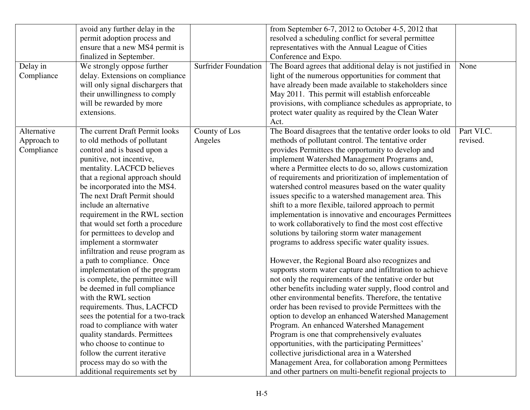|             | avoid any further delay in the     |                             | from September 6-7, 2012 to October 4-5, 2012 that         |            |
|-------------|------------------------------------|-----------------------------|------------------------------------------------------------|------------|
|             | permit adoption process and        |                             | resolved a scheduling conflict for several permittee       |            |
|             | ensure that a new MS4 permit is    |                             | representatives with the Annual League of Cities           |            |
|             | finalized in September.            |                             | Conference and Expo.                                       |            |
| Delay in    | We strongly oppose further         | <b>Surfrider Foundation</b> | The Board agrees that additional delay is not justified in | None       |
| Compliance  | delay. Extensions on compliance    |                             | light of the numerous opportunities for comment that       |            |
|             | will only signal dischargers that  |                             | have already been made available to stakeholders since     |            |
|             | their unwillingness to comply      |                             | May 2011. This permit will establish enforceable           |            |
|             | will be rewarded by more           |                             | provisions, with compliance schedules as appropriate, to   |            |
|             | extensions.                        |                             | protect water quality as required by the Clean Water       |            |
|             |                                    |                             | Act.                                                       |            |
| Alternative | The current Draft Permit looks     | County of Los               | The Board disagrees that the tentative order looks to old  | Part VI.C. |
| Approach to | to old methods of pollutant        | Angeles                     | methods of pollutant control. The tentative order          | revised.   |
| Compliance  | control and is based upon a        |                             | provides Permittees the opportunity to develop and         |            |
|             | punitive, not incentive,           |                             | implement Watershed Management Programs and,               |            |
|             | mentality. LACFCD believes         |                             | where a Permittee elects to do so, allows customization    |            |
|             | that a regional approach should    |                             | of requirements and prioritization of implementation of    |            |
|             | be incorporated into the MS4.      |                             | watershed control measures based on the water quality      |            |
|             | The next Draft Permit should       |                             | issues specific to a watershed management area. This       |            |
|             | include an alternative             |                             | shift to a more flexible, tailored approach to permit      |            |
|             | requirement in the RWL section     |                             | implementation is innovative and encourages Permittees     |            |
|             | that would set forth a procedure   |                             | to work collaboratively to find the most cost effective    |            |
|             | for permittees to develop and      |                             | solutions by tailoring storm water management              |            |
|             | implement a stormwater             |                             | programs to address specific water quality issues.         |            |
|             | infiltration and reuse program as  |                             |                                                            |            |
|             | a path to compliance. Once         |                             | However, the Regional Board also recognizes and            |            |
|             | implementation of the program      |                             | supports storm water capture and infiltration to achieve   |            |
|             | is complete, the permittee will    |                             | not only the requirements of the tentative order but       |            |
|             | be deemed in full compliance       |                             | other benefits including water supply, flood control and   |            |
|             | with the RWL section               |                             | other environmental benefits. Therefore, the tentative     |            |
|             | requirements. Thus, LACFCD         |                             | order has been revised to provide Permittees with the      |            |
|             | sees the potential for a two-track |                             | option to develop an enhanced Watershed Management         |            |
|             | road to compliance with water      |                             | Program. An enhanced Watershed Management                  |            |
|             | quality standards. Permittees      |                             | Program is one that comprehensively evaluates              |            |
|             | who choose to continue to          |                             | opportunities, with the participating Permittees'          |            |
|             | follow the current iterative       |                             | collective jurisdictional area in a Watershed              |            |
|             | process may do so with the         |                             | Management Area, for collaboration among Permittees        |            |
|             | additional requirements set by     |                             | and other partners on multi-benefit regional projects to   |            |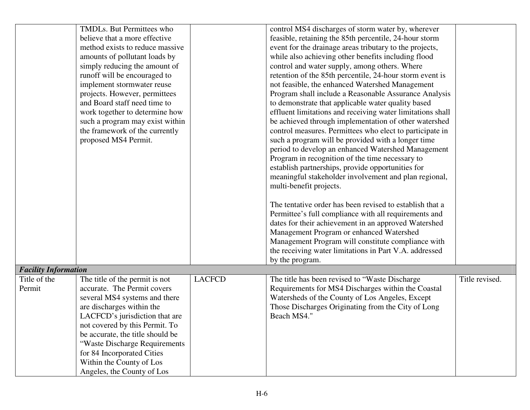|                                             | TMDLs. But Permittees who        |               | control MS4 discharges of storm water by, wherever                        |                |
|---------------------------------------------|----------------------------------|---------------|---------------------------------------------------------------------------|----------------|
|                                             | believe that a more effective    |               | feasible, retaining the 85th percentile, 24-hour storm                    |                |
|                                             | method exists to reduce massive  |               | event for the drainage areas tributary to the projects,                   |                |
|                                             | amounts of pollutant loads by    |               | while also achieving other benefits including flood                       |                |
|                                             | simply reducing the amount of    |               | control and water supply, among others. Where                             |                |
|                                             | runoff will be encouraged to     |               | retention of the 85th percentile, 24-hour storm event is                  |                |
|                                             | implement stormwater reuse       |               | not feasible, the enhanced Watershed Management                           |                |
|                                             | projects. However, permittees    |               | Program shall include a Reasonable Assurance Analysis                     |                |
|                                             | and Board staff need time to     |               | to demonstrate that applicable water quality based                        |                |
|                                             | work together to determine how   |               | effluent limitations and receiving water limitations shall                |                |
|                                             | such a program may exist within  |               | be achieved through implementation of other watershed                     |                |
|                                             | the framework of the currently   |               | control measures. Permittees who elect to participate in                  |                |
|                                             | proposed MS4 Permit.             |               | such a program will be provided with a longer time                        |                |
|                                             |                                  |               | period to develop an enhanced Watershed Management                        |                |
|                                             |                                  |               | Program in recognition of the time necessary to                           |                |
|                                             |                                  |               | establish partnerships, provide opportunities for                         |                |
|                                             |                                  |               | meaningful stakeholder involvement and plan regional,                     |                |
|                                             |                                  |               | multi-benefit projects.                                                   |                |
|                                             |                                  |               |                                                                           |                |
|                                             |                                  |               | The tentative order has been revised to establish that a                  |                |
|                                             |                                  |               | Permittee's full compliance with all requirements and                     |                |
|                                             |                                  |               | dates for their achievement in an approved Watershed                      |                |
|                                             |                                  |               | Management Program or enhanced Watershed                                  |                |
|                                             |                                  |               | Management Program will constitute compliance with                        |                |
|                                             |                                  |               |                                                                           |                |
|                                             |                                  |               | the receiving water limitations in Part V.A. addressed<br>by the program. |                |
|                                             |                                  |               |                                                                           |                |
| <b>Facility Information</b><br>Title of the |                                  | <b>LACFCD</b> |                                                                           | Title revised. |
|                                             | The title of the permit is not   |               | The title has been revised to "Waste Discharge"                           |                |
| Permit                                      | accurate. The Permit covers      |               | Requirements for MS4 Discharges within the Coastal                        |                |
|                                             | several MS4 systems and there    |               | Watersheds of the County of Los Angeles, Except                           |                |
|                                             | are discharges within the        |               | Those Discharges Originating from the City of Long                        |                |
|                                             | LACFCD's jurisdiction that are   |               | Beach MS4."                                                               |                |
|                                             | not covered by this Permit. To   |               |                                                                           |                |
|                                             | be accurate, the title should be |               |                                                                           |                |
|                                             | "Waste Discharge Requirements"   |               |                                                                           |                |
|                                             | for 84 Incorporated Cities       |               |                                                                           |                |
|                                             | Within the County of Los         |               |                                                                           |                |
|                                             | Angeles, the County of Los       |               |                                                                           |                |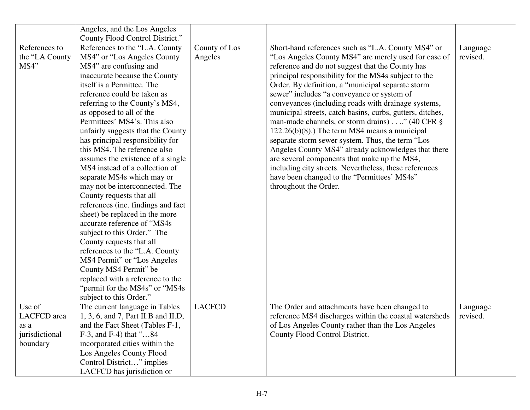|                                                             | Angeles, and the Los Angeles<br>County Flood Control District."                                                                                                                                                                                                                                                                                                                                                                                                                                                                                                                                                                                                                                                                                                                                                                                                                                                                  |                          |                                                                                                                                                                                                                                                                                                                                                                                                                                                                                                                                                                                                                                                                                                                                                                                                                                                   |                      |
|-------------------------------------------------------------|----------------------------------------------------------------------------------------------------------------------------------------------------------------------------------------------------------------------------------------------------------------------------------------------------------------------------------------------------------------------------------------------------------------------------------------------------------------------------------------------------------------------------------------------------------------------------------------------------------------------------------------------------------------------------------------------------------------------------------------------------------------------------------------------------------------------------------------------------------------------------------------------------------------------------------|--------------------------|---------------------------------------------------------------------------------------------------------------------------------------------------------------------------------------------------------------------------------------------------------------------------------------------------------------------------------------------------------------------------------------------------------------------------------------------------------------------------------------------------------------------------------------------------------------------------------------------------------------------------------------------------------------------------------------------------------------------------------------------------------------------------------------------------------------------------------------------------|----------------------|
| References to<br>the "LA County<br>MS4"                     | References to the "L.A. County"<br>MS4" or "Los Angeles County"<br>MS4" are confusing and<br>inaccurate because the County<br>itself is a Permittee. The<br>reference could be taken as<br>referring to the County's MS4,<br>as opposed to all of the<br>Permittees' MS4's. This also<br>unfairly suggests that the County<br>has principal responsibility for<br>this MS4. The reference also<br>assumes the existence of a single<br>MS4 instead of a collection of<br>separate MS4s which may or<br>may not be interconnected. The<br>County requests that all<br>references (inc. findings and fact<br>sheet) be replaced in the more<br>accurate reference of "MS4s<br>subject to this Order." The<br>County requests that all<br>references to the "L.A. County"<br>MS4 Permit" or "Los Angeles<br>County MS4 Permit" be<br>replaced with a reference to the<br>"permit for the MS4s" or "MS4s"<br>subject to this Order." | County of Los<br>Angeles | Short-hand references such as "L.A. County MS4" or<br>"Los Angeles County MS4" are merely used for ease of<br>reference and do not suggest that the County has<br>principal responsibility for the MS4s subject to the<br>Order. By definition, a "municipal separate storm<br>sewer" includes "a conveyance or system of<br>conveyances (including roads with drainage systems,<br>municipal streets, catch basins, curbs, gutters, ditches,<br>man-made channels, or storm drains)." (40 CFR §<br>$122.26(b)(8)$ .) The term MS4 means a municipal<br>separate storm sewer system. Thus, the term "Los<br>Angeles County MS4" already acknowledges that there<br>are several components that make up the MS4,<br>including city streets. Nevertheless, these references<br>have been changed to the "Permittees' MS4s"<br>throughout the Order. | Language<br>revised. |
| Use of<br>LACFCD area<br>as a<br>jurisdictional<br>boundary | The current language in Tables<br>1, 3, 6, and 7, Part II.B and II.D,<br>and the Fact Sheet (Tables F-1,<br>$F-3$ , and $F-4$ ) that "84<br>incorporated cities within the<br>Los Angeles County Flood<br>Control District" implies<br>LACFCD has jurisdiction or                                                                                                                                                                                                                                                                                                                                                                                                                                                                                                                                                                                                                                                                | <b>LACFCD</b>            | The Order and attachments have been changed to<br>reference MS4 discharges within the coastal watersheds<br>of Los Angeles County rather than the Los Angeles<br>County Flood Control District.                                                                                                                                                                                                                                                                                                                                                                                                                                                                                                                                                                                                                                                   | Language<br>revised. |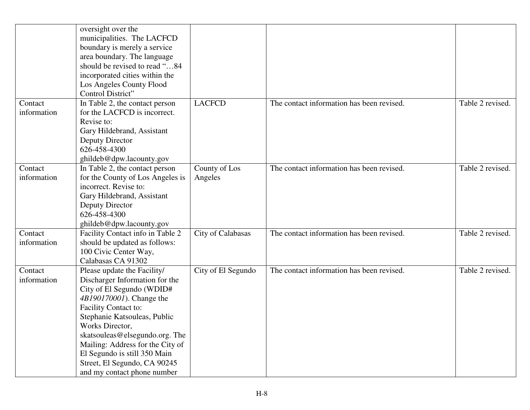|                        | oversight over the<br>municipalities. The LACFCD<br>boundary is merely a service<br>area boundary. The language<br>should be revised to read "84<br>incorporated cities within the<br>Los Angeles County Flood                                                                                                                                                         |                          |                                           |                  |
|------------------------|------------------------------------------------------------------------------------------------------------------------------------------------------------------------------------------------------------------------------------------------------------------------------------------------------------------------------------------------------------------------|--------------------------|-------------------------------------------|------------------|
|                        | Control District"                                                                                                                                                                                                                                                                                                                                                      |                          |                                           |                  |
| Contact<br>information | In Table 2, the contact person<br>for the LACFCD is incorrect.<br>Revise to:<br>Gary Hildebrand, Assistant<br>Deputy Director<br>626-458-4300<br>ghildeb@dpw.lacounty.gov                                                                                                                                                                                              | <b>LACFCD</b>            | The contact information has been revised. | Table 2 revised. |
| Contact<br>information | In Table 2, the contact person<br>for the County of Los Angeles is<br>incorrect. Revise to:<br>Gary Hildebrand, Assistant<br>Deputy Director<br>626-458-4300<br>ghildeb@dpw.lacounty.gov                                                                                                                                                                               | County of Los<br>Angeles | The contact information has been revised. | Table 2 revised. |
| Contact<br>information | Facility Contact info in Table 2<br>should be updated as follows:<br>100 Civic Center Way,<br>Calabasas CA 91302                                                                                                                                                                                                                                                       | City of Calabasas        | The contact information has been revised. | Table 2 revised. |
| Contact<br>information | Please update the Facility/<br>Discharger Information for the<br>City of El Segundo (WDID#<br>4B190170001). Change the<br>Facility Contact to:<br>Stephanie Katsouleas, Public<br>Works Director,<br>skatsouleas@elsegundo.org. The<br>Mailing: Address for the City of<br>El Segundo is still 350 Main<br>Street, El Segundo, CA 90245<br>and my contact phone number | City of El Segundo       | The contact information has been revised. | Table 2 revised. |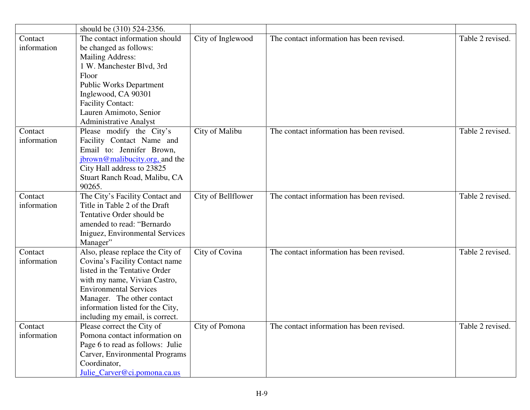|                        | should be (310) 524-2356.                                                                                                                                                                                                                                                 |                    |                                           |                  |
|------------------------|---------------------------------------------------------------------------------------------------------------------------------------------------------------------------------------------------------------------------------------------------------------------------|--------------------|-------------------------------------------|------------------|
| Contact<br>information | The contact information should<br>be changed as follows:<br><b>Mailing Address:</b><br>1 W. Manchester Blvd, 3rd<br>Floor<br><b>Public Works Department</b><br>Inglewood, CA 90301<br><b>Facility Contact:</b><br>Lauren Amimoto, Senior<br><b>Administrative Analyst</b> | City of Inglewood  | The contact information has been revised. | Table 2 revised. |
| Contact<br>information | Please modify the City's<br>Facility Contact Name and<br>Email to: Jennifer Brown,<br>jbrown@malibucity.org, and the<br>City Hall address to 23825<br>Stuart Ranch Road, Malibu, CA<br>90265.                                                                             | City of Malibu     | The contact information has been revised. | Table 2 revised. |
| Contact<br>information | The City's Facility Contact and<br>Title in Table 2 of the Draft<br>Tentative Order should be<br>amended to read: "Bernardo<br>Iniguez, Environmental Services<br>Manager"                                                                                                | City of Bellflower | The contact information has been revised. | Table 2 revised. |
| Contact<br>information | Also, please replace the City of<br>Covina's Facility Contact name<br>listed in the Tentative Order<br>with my name, Vivian Castro,<br><b>Environmental Services</b><br>Manager. The other contact<br>information listed for the City,<br>including my email, is correct. | City of Covina     | The contact information has been revised. | Table 2 revised. |
| Contact<br>information | Please correct the City of<br>Pomona contact information on<br>Page 6 to read as follows: Julie<br>Carver, Environmental Programs<br>Coordinator,<br>Julie_Carver@ci.pomona.ca.us                                                                                         | City of Pomona     | The contact information has been revised. | Table 2 revised. |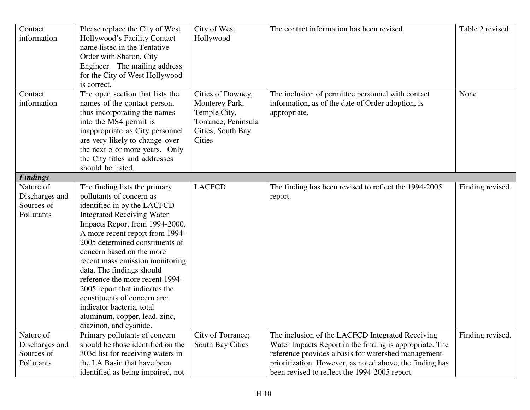| Contact<br>information       | Please replace the City of West<br>Hollywood's Facility Contact<br>name listed in the Tentative<br>Order with Sharon, City<br>Engineer. The mailing address<br>for the City of West Hollywood<br>is correct. | City of West<br>Hollywood      | The contact information has been revised.                         | Table 2 revised. |
|------------------------------|--------------------------------------------------------------------------------------------------------------------------------------------------------------------------------------------------------------|--------------------------------|-------------------------------------------------------------------|------------------|
| Contact                      | The open section that lists the                                                                                                                                                                              | Cities of Downey,              | The inclusion of permittee personnel with contact                 | None             |
| information                  | names of the contact person,<br>thus incorporating the names                                                                                                                                                 | Monterey Park,<br>Temple City, | information, as of the date of Order adoption, is<br>appropriate. |                  |
|                              | into the MS4 permit is                                                                                                                                                                                       | Torrance; Peninsula            |                                                                   |                  |
|                              | inappropriate as City personnel                                                                                                                                                                              | Cities; South Bay              |                                                                   |                  |
|                              | are very likely to change over                                                                                                                                                                               | Cities                         |                                                                   |                  |
|                              | the next 5 or more years. Only                                                                                                                                                                               |                                |                                                                   |                  |
|                              | the City titles and addresses                                                                                                                                                                                |                                |                                                                   |                  |
|                              | should be listed.                                                                                                                                                                                            |                                |                                                                   |                  |
| <b>Findings</b><br>Nature of | The finding lists the primary                                                                                                                                                                                | <b>LACFCD</b>                  | The finding has been revised to reflect the 1994-2005             | Finding revised. |
| Discharges and               | pollutants of concern as                                                                                                                                                                                     |                                | report.                                                           |                  |
| Sources of                   | identified in by the LACFCD                                                                                                                                                                                  |                                |                                                                   |                  |
| Pollutants                   | <b>Integrated Receiving Water</b>                                                                                                                                                                            |                                |                                                                   |                  |
|                              | Impacts Report from 1994-2000.                                                                                                                                                                               |                                |                                                                   |                  |
|                              | A more recent report from 1994-                                                                                                                                                                              |                                |                                                                   |                  |
|                              | 2005 determined constituents of                                                                                                                                                                              |                                |                                                                   |                  |
|                              | concern based on the more                                                                                                                                                                                    |                                |                                                                   |                  |
|                              | recent mass emission monitoring                                                                                                                                                                              |                                |                                                                   |                  |
|                              | data. The findings should                                                                                                                                                                                    |                                |                                                                   |                  |
|                              | reference the more recent 1994-                                                                                                                                                                              |                                |                                                                   |                  |
|                              | 2005 report that indicates the<br>constituents of concern are:                                                                                                                                               |                                |                                                                   |                  |
|                              | indicator bacteria, total                                                                                                                                                                                    |                                |                                                                   |                  |
|                              | aluminum, copper, lead, zinc,                                                                                                                                                                                |                                |                                                                   |                  |
|                              | diazinon, and cyanide.                                                                                                                                                                                       |                                |                                                                   |                  |
| Nature of                    | Primary pollutants of concern                                                                                                                                                                                | City of Torrance;              | The inclusion of the LACFCD Integrated Receiving                  | Finding revised. |
| Discharges and               | should be those identified on the                                                                                                                                                                            | South Bay Cities               | Water Impacts Report in the finding is appropriate. The           |                  |
| Sources of                   | 303d list for receiving waters in                                                                                                                                                                            |                                | reference provides a basis for watershed management               |                  |
| Pollutants                   | the LA Basin that have been                                                                                                                                                                                  |                                | prioritization. However, as noted above, the finding has          |                  |
|                              | identified as being impaired, not                                                                                                                                                                            |                                | been revised to reflect the 1994-2005 report.                     |                  |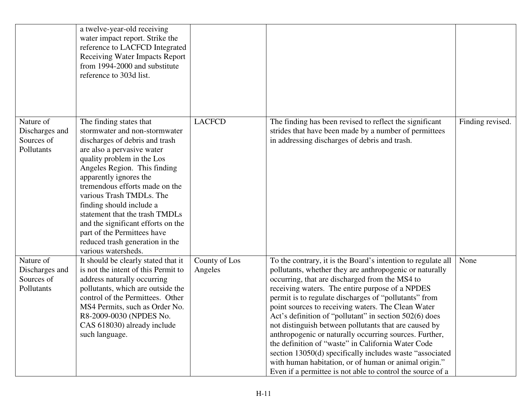|                                                         | a twelve-year-old receiving<br>water impact report. Strike the<br>reference to LACFCD Integrated<br><b>Receiving Water Impacts Report</b><br>from 1994-2000 and substitute<br>reference to 303d list.                                                                                                                                                                                                                                                                       |                          |                                                                                                                                                                                                                                                                                                                                                                                                                                                                                                                                                                                                                                                                                                                                                                   |                  |
|---------------------------------------------------------|-----------------------------------------------------------------------------------------------------------------------------------------------------------------------------------------------------------------------------------------------------------------------------------------------------------------------------------------------------------------------------------------------------------------------------------------------------------------------------|--------------------------|-------------------------------------------------------------------------------------------------------------------------------------------------------------------------------------------------------------------------------------------------------------------------------------------------------------------------------------------------------------------------------------------------------------------------------------------------------------------------------------------------------------------------------------------------------------------------------------------------------------------------------------------------------------------------------------------------------------------------------------------------------------------|------------------|
| Nature of<br>Discharges and<br>Sources of<br>Pollutants | The finding states that<br>stormwater and non-stormwater<br>discharges of debris and trash<br>are also a pervasive water<br>quality problem in the Los<br>Angeles Region. This finding<br>apparently ignores the<br>tremendous efforts made on the<br>various Trash TMDLs. The<br>finding should include a<br>statement that the trash TMDLs<br>and the significant efforts on the<br>part of the Permittees have<br>reduced trash generation in the<br>various watersheds. | <b>LACFCD</b>            | The finding has been revised to reflect the significant<br>strides that have been made by a number of permittees<br>in addressing discharges of debris and trash.                                                                                                                                                                                                                                                                                                                                                                                                                                                                                                                                                                                                 | Finding revised. |
| Nature of<br>Discharges and<br>Sources of<br>Pollutants | It should be clearly stated that it<br>is not the intent of this Permit to<br>address naturally occurring<br>pollutants, which are outside the<br>control of the Permittees. Other<br>MS4 Permits, such as Order No.<br>R8-2009-0030 (NPDES No.<br>CAS 618030) already include<br>such language.                                                                                                                                                                            | County of Los<br>Angeles | To the contrary, it is the Board's intention to regulate all<br>pollutants, whether they are anthropogenic or naturally<br>occurring, that are discharged from the MS4 to<br>receiving waters. The entire purpose of a NPDES<br>permit is to regulate discharges of "pollutants" from<br>point sources to receiving waters. The Clean Water<br>Act's definition of "pollutant" in section 502(6) does<br>not distinguish between pollutants that are caused by<br>anthropogenic or naturally occurring sources. Further,<br>the definition of "waste" in California Water Code<br>section 13050(d) specifically includes waste "associated<br>with human habitation, or of human or animal origin."<br>Even if a permittee is not able to control the source of a | None             |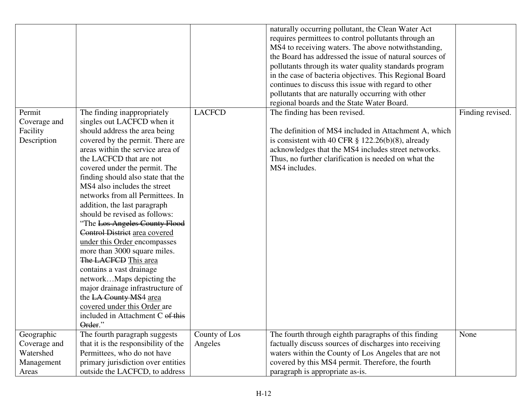|                                                                |                                                                                                                                                                                                                                                                                                                                                                                                                                                                                                                                                                                                                                                                                                                                                                           |                          | naturally occurring pollutant, the Clean Water Act<br>requires permittees to control pollutants through an<br>MS4 to receiving waters. The above notwithstanding,<br>the Board has addressed the issue of natural sources of<br>pollutants through its water quality standards program<br>in the case of bacteria objectives. This Regional Board<br>continues to discuss this issue with regard to other<br>pollutants that are naturally occurring with other<br>regional boards and the State Water Board. |                  |
|----------------------------------------------------------------|---------------------------------------------------------------------------------------------------------------------------------------------------------------------------------------------------------------------------------------------------------------------------------------------------------------------------------------------------------------------------------------------------------------------------------------------------------------------------------------------------------------------------------------------------------------------------------------------------------------------------------------------------------------------------------------------------------------------------------------------------------------------------|--------------------------|---------------------------------------------------------------------------------------------------------------------------------------------------------------------------------------------------------------------------------------------------------------------------------------------------------------------------------------------------------------------------------------------------------------------------------------------------------------------------------------------------------------|------------------|
| Permit<br>Coverage and<br>Facility<br>Description              | The finding inappropriately<br>singles out LACFCD when it<br>should address the area being<br>covered by the permit. There are<br>areas within the service area of<br>the LACFCD that are not<br>covered under the permit. The<br>finding should also state that the<br>MS4 also includes the street<br>networks from all Permittees. In<br>addition, the last paragraph<br>should be revised as follows:<br>"The Los Angeles County Flood<br>Control District area covered<br>under this Order encompasses<br>more than 3000 square miles.<br>The LACFCD This area<br>contains a vast drainage<br>networkMaps depicting the<br>major drainage infrastructure of<br>the LA County MS4 area<br>covered under this Order are<br>included in Attachment C of this<br>Order." | <b>LACFCD</b>            | The finding has been revised.<br>The definition of MS4 included in Attachment A, which<br>is consistent with 40 CFR $\S$ 122.26(b)(8), already<br>acknowledges that the MS4 includes street networks.<br>Thus, no further clarification is needed on what the<br>MS4 includes.                                                                                                                                                                                                                                | Finding revised. |
| Geographic<br>Coverage and<br>Watershed<br>Management<br>Areas | The fourth paragraph suggests<br>that it is the responsibility of the<br>Permittees, who do not have<br>primary jurisdiction over entities<br>outside the LACFCD, to address                                                                                                                                                                                                                                                                                                                                                                                                                                                                                                                                                                                              | County of Los<br>Angeles | The fourth through eighth paragraphs of this finding<br>factually discuss sources of discharges into receiving<br>waters within the County of Los Angeles that are not<br>covered by this MS4 permit. Therefore, the fourth<br>paragraph is appropriate as-is.                                                                                                                                                                                                                                                | None             |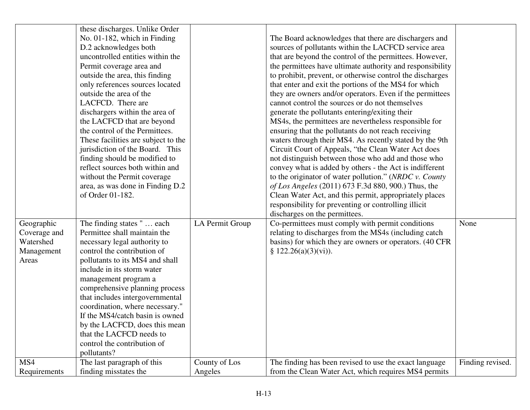|                     | these discharges. Unlike Order<br>No. 01-182, which in Finding<br>D.2 acknowledges both<br>uncontrolled entities within the<br>Permit coverage area and<br>outside the area, this finding<br>only references sources located<br>outside the area of the<br>LACFCD. There are<br>dischargers within the area of<br>the LACFCD that are beyond<br>the control of the Permittees.<br>These facilities are subject to the<br>jurisdiction of the Board. This<br>finding should be modified to<br>reflect sources both within and<br>without the Permit coverage<br>area, as was done in Finding D.2<br>of Order 01-182. |                 | The Board acknowledges that there are dischargers and<br>sources of pollutants within the LACFCD service area<br>that are beyond the control of the permittees. However,<br>the permittees have ultimate authority and responsibility<br>to prohibit, prevent, or otherwise control the discharges<br>that enter and exit the portions of the MS4 for which<br>they are owners and/or operators. Even if the permittees<br>cannot control the sources or do not themselves<br>generate the pollutants entering/exiting their<br>MS4s, the permittees are nevertheless responsible for<br>ensuring that the pollutants do not reach receiving<br>waters through their MS4. As recently stated by the 9th<br>Circuit Court of Appeals, "the Clean Water Act does<br>not distinguish between those who add and those who<br>convey what is added by others - the Act is indifferent<br>to the originator of water pollution." (NRDC v. County<br>of Los Angeles (2011) 673 F.3d 880, 900.) Thus, the<br>Clean Water Act, and this permit, appropriately places<br>responsibility for preventing or controlling illicit |                  |
|---------------------|---------------------------------------------------------------------------------------------------------------------------------------------------------------------------------------------------------------------------------------------------------------------------------------------------------------------------------------------------------------------------------------------------------------------------------------------------------------------------------------------------------------------------------------------------------------------------------------------------------------------|-----------------|---------------------------------------------------------------------------------------------------------------------------------------------------------------------------------------------------------------------------------------------------------------------------------------------------------------------------------------------------------------------------------------------------------------------------------------------------------------------------------------------------------------------------------------------------------------------------------------------------------------------------------------------------------------------------------------------------------------------------------------------------------------------------------------------------------------------------------------------------------------------------------------------------------------------------------------------------------------------------------------------------------------------------------------------------------------------------------------------------------------------|------------------|
| Geographic          | The finding states "  each                                                                                                                                                                                                                                                                                                                                                                                                                                                                                                                                                                                          | LA Permit Group | discharges on the permittees.<br>Co-permittees must comply with permit conditions                                                                                                                                                                                                                                                                                                                                                                                                                                                                                                                                                                                                                                                                                                                                                                                                                                                                                                                                                                                                                                   | None             |
| Coverage and        | Permittee shall maintain the                                                                                                                                                                                                                                                                                                                                                                                                                                                                                                                                                                                        |                 | relating to discharges from the MS4s (including catch                                                                                                                                                                                                                                                                                                                                                                                                                                                                                                                                                                                                                                                                                                                                                                                                                                                                                                                                                                                                                                                               |                  |
| Watershed           | necessary legal authority to<br>control the contribution of                                                                                                                                                                                                                                                                                                                                                                                                                                                                                                                                                         |                 | basins) for which they are owners or operators. (40 CFR<br>§ 122.26(a)(3)(vi)).                                                                                                                                                                                                                                                                                                                                                                                                                                                                                                                                                                                                                                                                                                                                                                                                                                                                                                                                                                                                                                     |                  |
| Management<br>Areas | pollutants to its MS4 and shall                                                                                                                                                                                                                                                                                                                                                                                                                                                                                                                                                                                     |                 |                                                                                                                                                                                                                                                                                                                                                                                                                                                                                                                                                                                                                                                                                                                                                                                                                                                                                                                                                                                                                                                                                                                     |                  |
|                     | include in its storm water                                                                                                                                                                                                                                                                                                                                                                                                                                                                                                                                                                                          |                 |                                                                                                                                                                                                                                                                                                                                                                                                                                                                                                                                                                                                                                                                                                                                                                                                                                                                                                                                                                                                                                                                                                                     |                  |
|                     | management program a                                                                                                                                                                                                                                                                                                                                                                                                                                                                                                                                                                                                |                 |                                                                                                                                                                                                                                                                                                                                                                                                                                                                                                                                                                                                                                                                                                                                                                                                                                                                                                                                                                                                                                                                                                                     |                  |
|                     | comprehensive planning process                                                                                                                                                                                                                                                                                                                                                                                                                                                                                                                                                                                      |                 |                                                                                                                                                                                                                                                                                                                                                                                                                                                                                                                                                                                                                                                                                                                                                                                                                                                                                                                                                                                                                                                                                                                     |                  |
|                     | that includes intergovernmental                                                                                                                                                                                                                                                                                                                                                                                                                                                                                                                                                                                     |                 |                                                                                                                                                                                                                                                                                                                                                                                                                                                                                                                                                                                                                                                                                                                                                                                                                                                                                                                                                                                                                                                                                                                     |                  |
|                     | coordination, where necessary."                                                                                                                                                                                                                                                                                                                                                                                                                                                                                                                                                                                     |                 |                                                                                                                                                                                                                                                                                                                                                                                                                                                                                                                                                                                                                                                                                                                                                                                                                                                                                                                                                                                                                                                                                                                     |                  |
|                     | If the MS4/catch basin is owned                                                                                                                                                                                                                                                                                                                                                                                                                                                                                                                                                                                     |                 |                                                                                                                                                                                                                                                                                                                                                                                                                                                                                                                                                                                                                                                                                                                                                                                                                                                                                                                                                                                                                                                                                                                     |                  |
|                     | by the LACFCD, does this mean                                                                                                                                                                                                                                                                                                                                                                                                                                                                                                                                                                                       |                 |                                                                                                                                                                                                                                                                                                                                                                                                                                                                                                                                                                                                                                                                                                                                                                                                                                                                                                                                                                                                                                                                                                                     |                  |
|                     | that the LACFCD needs to                                                                                                                                                                                                                                                                                                                                                                                                                                                                                                                                                                                            |                 |                                                                                                                                                                                                                                                                                                                                                                                                                                                                                                                                                                                                                                                                                                                                                                                                                                                                                                                                                                                                                                                                                                                     |                  |
|                     | control the contribution of                                                                                                                                                                                                                                                                                                                                                                                                                                                                                                                                                                                         |                 |                                                                                                                                                                                                                                                                                                                                                                                                                                                                                                                                                                                                                                                                                                                                                                                                                                                                                                                                                                                                                                                                                                                     |                  |
|                     | pollutants?                                                                                                                                                                                                                                                                                                                                                                                                                                                                                                                                                                                                         |                 |                                                                                                                                                                                                                                                                                                                                                                                                                                                                                                                                                                                                                                                                                                                                                                                                                                                                                                                                                                                                                                                                                                                     |                  |
| MS4                 | The last paragraph of this                                                                                                                                                                                                                                                                                                                                                                                                                                                                                                                                                                                          | County of Los   | The finding has been revised to use the exact language                                                                                                                                                                                                                                                                                                                                                                                                                                                                                                                                                                                                                                                                                                                                                                                                                                                                                                                                                                                                                                                              | Finding revised. |
| Requirements        | finding misstates the                                                                                                                                                                                                                                                                                                                                                                                                                                                                                                                                                                                               | Angeles         | from the Clean Water Act, which requires MS4 permits                                                                                                                                                                                                                                                                                                                                                                                                                                                                                                                                                                                                                                                                                                                                                                                                                                                                                                                                                                                                                                                                |                  |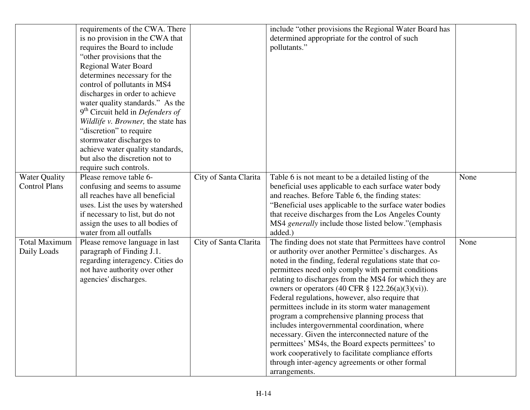|                                                                              | requirements of the CWA. There                                                                                                                                                                                                                                                                                                                                                                                                                                                                                                                                                              |                                                | include "other provisions the Regional Water Board has                                                                                                                                                                                                                                                                                                                                                                                                                                                                                                                                                                                                                                                                                                                                                                                                                                                                                                                                                                                                                                                                                                      |              |
|------------------------------------------------------------------------------|---------------------------------------------------------------------------------------------------------------------------------------------------------------------------------------------------------------------------------------------------------------------------------------------------------------------------------------------------------------------------------------------------------------------------------------------------------------------------------------------------------------------------------------------------------------------------------------------|------------------------------------------------|-------------------------------------------------------------------------------------------------------------------------------------------------------------------------------------------------------------------------------------------------------------------------------------------------------------------------------------------------------------------------------------------------------------------------------------------------------------------------------------------------------------------------------------------------------------------------------------------------------------------------------------------------------------------------------------------------------------------------------------------------------------------------------------------------------------------------------------------------------------------------------------------------------------------------------------------------------------------------------------------------------------------------------------------------------------------------------------------------------------------------------------------------------------|--------------|
|                                                                              | is no provision in the CWA that                                                                                                                                                                                                                                                                                                                                                                                                                                                                                                                                                             |                                                | determined appropriate for the control of such                                                                                                                                                                                                                                                                                                                                                                                                                                                                                                                                                                                                                                                                                                                                                                                                                                                                                                                                                                                                                                                                                                              |              |
|                                                                              | requires the Board to include                                                                                                                                                                                                                                                                                                                                                                                                                                                                                                                                                               |                                                | pollutants."                                                                                                                                                                                                                                                                                                                                                                                                                                                                                                                                                                                                                                                                                                                                                                                                                                                                                                                                                                                                                                                                                                                                                |              |
|                                                                              | "other provisions that the                                                                                                                                                                                                                                                                                                                                                                                                                                                                                                                                                                  |                                                |                                                                                                                                                                                                                                                                                                                                                                                                                                                                                                                                                                                                                                                                                                                                                                                                                                                                                                                                                                                                                                                                                                                                                             |              |
|                                                                              | Regional Water Board                                                                                                                                                                                                                                                                                                                                                                                                                                                                                                                                                                        |                                                |                                                                                                                                                                                                                                                                                                                                                                                                                                                                                                                                                                                                                                                                                                                                                                                                                                                                                                                                                                                                                                                                                                                                                             |              |
|                                                                              | determines necessary for the                                                                                                                                                                                                                                                                                                                                                                                                                                                                                                                                                                |                                                |                                                                                                                                                                                                                                                                                                                                                                                                                                                                                                                                                                                                                                                                                                                                                                                                                                                                                                                                                                                                                                                                                                                                                             |              |
|                                                                              | control of pollutants in MS4                                                                                                                                                                                                                                                                                                                                                                                                                                                                                                                                                                |                                                |                                                                                                                                                                                                                                                                                                                                                                                                                                                                                                                                                                                                                                                                                                                                                                                                                                                                                                                                                                                                                                                                                                                                                             |              |
|                                                                              | discharges in order to achieve                                                                                                                                                                                                                                                                                                                                                                                                                                                                                                                                                              |                                                |                                                                                                                                                                                                                                                                                                                                                                                                                                                                                                                                                                                                                                                                                                                                                                                                                                                                                                                                                                                                                                                                                                                                                             |              |
|                                                                              | water quality standards." As the                                                                                                                                                                                                                                                                                                                                                                                                                                                                                                                                                            |                                                |                                                                                                                                                                                                                                                                                                                                                                                                                                                                                                                                                                                                                                                                                                                                                                                                                                                                                                                                                                                                                                                                                                                                                             |              |
|                                                                              | $9th$ Circuit held in <i>Defenders of</i>                                                                                                                                                                                                                                                                                                                                                                                                                                                                                                                                                   |                                                |                                                                                                                                                                                                                                                                                                                                                                                                                                                                                                                                                                                                                                                                                                                                                                                                                                                                                                                                                                                                                                                                                                                                                             |              |
|                                                                              |                                                                                                                                                                                                                                                                                                                                                                                                                                                                                                                                                                                             |                                                |                                                                                                                                                                                                                                                                                                                                                                                                                                                                                                                                                                                                                                                                                                                                                                                                                                                                                                                                                                                                                                                                                                                                                             |              |
|                                                                              |                                                                                                                                                                                                                                                                                                                                                                                                                                                                                                                                                                                             |                                                |                                                                                                                                                                                                                                                                                                                                                                                                                                                                                                                                                                                                                                                                                                                                                                                                                                                                                                                                                                                                                                                                                                                                                             |              |
|                                                                              |                                                                                                                                                                                                                                                                                                                                                                                                                                                                                                                                                                                             |                                                |                                                                                                                                                                                                                                                                                                                                                                                                                                                                                                                                                                                                                                                                                                                                                                                                                                                                                                                                                                                                                                                                                                                                                             |              |
|                                                                              |                                                                                                                                                                                                                                                                                                                                                                                                                                                                                                                                                                                             |                                                |                                                                                                                                                                                                                                                                                                                                                                                                                                                                                                                                                                                                                                                                                                                                                                                                                                                                                                                                                                                                                                                                                                                                                             |              |
|                                                                              |                                                                                                                                                                                                                                                                                                                                                                                                                                                                                                                                                                                             |                                                |                                                                                                                                                                                                                                                                                                                                                                                                                                                                                                                                                                                                                                                                                                                                                                                                                                                                                                                                                                                                                                                                                                                                                             |              |
|                                                                              |                                                                                                                                                                                                                                                                                                                                                                                                                                                                                                                                                                                             |                                                |                                                                                                                                                                                                                                                                                                                                                                                                                                                                                                                                                                                                                                                                                                                                                                                                                                                                                                                                                                                                                                                                                                                                                             |              |
|                                                                              |                                                                                                                                                                                                                                                                                                                                                                                                                                                                                                                                                                                             |                                                |                                                                                                                                                                                                                                                                                                                                                                                                                                                                                                                                                                                                                                                                                                                                                                                                                                                                                                                                                                                                                                                                                                                                                             |              |
|                                                                              |                                                                                                                                                                                                                                                                                                                                                                                                                                                                                                                                                                                             |                                                |                                                                                                                                                                                                                                                                                                                                                                                                                                                                                                                                                                                                                                                                                                                                                                                                                                                                                                                                                                                                                                                                                                                                                             |              |
|                                                                              |                                                                                                                                                                                                                                                                                                                                                                                                                                                                                                                                                                                             |                                                |                                                                                                                                                                                                                                                                                                                                                                                                                                                                                                                                                                                                                                                                                                                                                                                                                                                                                                                                                                                                                                                                                                                                                             |              |
|                                                                              |                                                                                                                                                                                                                                                                                                                                                                                                                                                                                                                                                                                             |                                                |                                                                                                                                                                                                                                                                                                                                                                                                                                                                                                                                                                                                                                                                                                                                                                                                                                                                                                                                                                                                                                                                                                                                                             |              |
|                                                                              |                                                                                                                                                                                                                                                                                                                                                                                                                                                                                                                                                                                             |                                                |                                                                                                                                                                                                                                                                                                                                                                                                                                                                                                                                                                                                                                                                                                                                                                                                                                                                                                                                                                                                                                                                                                                                                             |              |
|                                                                              |                                                                                                                                                                                                                                                                                                                                                                                                                                                                                                                                                                                             |                                                |                                                                                                                                                                                                                                                                                                                                                                                                                                                                                                                                                                                                                                                                                                                                                                                                                                                                                                                                                                                                                                                                                                                                                             |              |
|                                                                              |                                                                                                                                                                                                                                                                                                                                                                                                                                                                                                                                                                                             |                                                |                                                                                                                                                                                                                                                                                                                                                                                                                                                                                                                                                                                                                                                                                                                                                                                                                                                                                                                                                                                                                                                                                                                                                             |              |
|                                                                              |                                                                                                                                                                                                                                                                                                                                                                                                                                                                                                                                                                                             |                                                |                                                                                                                                                                                                                                                                                                                                                                                                                                                                                                                                                                                                                                                                                                                                                                                                                                                                                                                                                                                                                                                                                                                                                             |              |
|                                                                              |                                                                                                                                                                                                                                                                                                                                                                                                                                                                                                                                                                                             |                                                |                                                                                                                                                                                                                                                                                                                                                                                                                                                                                                                                                                                                                                                                                                                                                                                                                                                                                                                                                                                                                                                                                                                                                             |              |
|                                                                              |                                                                                                                                                                                                                                                                                                                                                                                                                                                                                                                                                                                             |                                                |                                                                                                                                                                                                                                                                                                                                                                                                                                                                                                                                                                                                                                                                                                                                                                                                                                                                                                                                                                                                                                                                                                                                                             |              |
|                                                                              |                                                                                                                                                                                                                                                                                                                                                                                                                                                                                                                                                                                             |                                                |                                                                                                                                                                                                                                                                                                                                                                                                                                                                                                                                                                                                                                                                                                                                                                                                                                                                                                                                                                                                                                                                                                                                                             |              |
|                                                                              |                                                                                                                                                                                                                                                                                                                                                                                                                                                                                                                                                                                             |                                                |                                                                                                                                                                                                                                                                                                                                                                                                                                                                                                                                                                                                                                                                                                                                                                                                                                                                                                                                                                                                                                                                                                                                                             |              |
|                                                                              |                                                                                                                                                                                                                                                                                                                                                                                                                                                                                                                                                                                             |                                                |                                                                                                                                                                                                                                                                                                                                                                                                                                                                                                                                                                                                                                                                                                                                                                                                                                                                                                                                                                                                                                                                                                                                                             |              |
|                                                                              |                                                                                                                                                                                                                                                                                                                                                                                                                                                                                                                                                                                             |                                                |                                                                                                                                                                                                                                                                                                                                                                                                                                                                                                                                                                                                                                                                                                                                                                                                                                                                                                                                                                                                                                                                                                                                                             |              |
|                                                                              |                                                                                                                                                                                                                                                                                                                                                                                                                                                                                                                                                                                             |                                                |                                                                                                                                                                                                                                                                                                                                                                                                                                                                                                                                                                                                                                                                                                                                                                                                                                                                                                                                                                                                                                                                                                                                                             |              |
|                                                                              |                                                                                                                                                                                                                                                                                                                                                                                                                                                                                                                                                                                             |                                                |                                                                                                                                                                                                                                                                                                                                                                                                                                                                                                                                                                                                                                                                                                                                                                                                                                                                                                                                                                                                                                                                                                                                                             |              |
|                                                                              |                                                                                                                                                                                                                                                                                                                                                                                                                                                                                                                                                                                             |                                                |                                                                                                                                                                                                                                                                                                                                                                                                                                                                                                                                                                                                                                                                                                                                                                                                                                                                                                                                                                                                                                                                                                                                                             |              |
|                                                                              |                                                                                                                                                                                                                                                                                                                                                                                                                                                                                                                                                                                             |                                                |                                                                                                                                                                                                                                                                                                                                                                                                                                                                                                                                                                                                                                                                                                                                                                                                                                                                                                                                                                                                                                                                                                                                                             |              |
|                                                                              |                                                                                                                                                                                                                                                                                                                                                                                                                                                                                                                                                                                             |                                                |                                                                                                                                                                                                                                                                                                                                                                                                                                                                                                                                                                                                                                                                                                                                                                                                                                                                                                                                                                                                                                                                                                                                                             |              |
|                                                                              |                                                                                                                                                                                                                                                                                                                                                                                                                                                                                                                                                                                             |                                                |                                                                                                                                                                                                                                                                                                                                                                                                                                                                                                                                                                                                                                                                                                                                                                                                                                                                                                                                                                                                                                                                                                                                                             |              |
|                                                                              |                                                                                                                                                                                                                                                                                                                                                                                                                                                                                                                                                                                             |                                                |                                                                                                                                                                                                                                                                                                                                                                                                                                                                                                                                                                                                                                                                                                                                                                                                                                                                                                                                                                                                                                                                                                                                                             |              |
|                                                                              |                                                                                                                                                                                                                                                                                                                                                                                                                                                                                                                                                                                             |                                                |                                                                                                                                                                                                                                                                                                                                                                                                                                                                                                                                                                                                                                                                                                                                                                                                                                                                                                                                                                                                                                                                                                                                                             |              |
| <b>Water Quality</b><br><b>Control Plans</b><br>Total Maximum<br>Daily Loads | Wildlife v. Browner, the state has<br>"discretion" to require<br>stormwater discharges to<br>achieve water quality standards,<br>but also the discretion not to<br>require such controls.<br>Please remove table 6-<br>confusing and seems to assume<br>all reaches have all beneficial<br>uses. List the uses by watershed<br>if necessary to list, but do not<br>assign the uses to all bodies of<br>water from all outfalls<br>Please remove language in last<br>paragraph of Finding J.1.<br>regarding interagency. Cities do<br>not have authority over other<br>agencies' discharges. | City of Santa Clarita<br>City of Santa Clarita | Table 6 is not meant to be a detailed listing of the<br>beneficial uses applicable to each surface water body<br>and reaches. Before Table 6, the finding states:<br>"Beneficial uses applicable to the surface water bodies<br>that receive discharges from the Los Angeles County<br>MS4 generally include those listed below."(emphasis<br>added.)<br>The finding does not state that Permittees have control<br>or authority over another Permittee's discharges. As<br>noted in the finding, federal regulations state that co-<br>permittees need only comply with permit conditions<br>relating to discharges from the MS4 for which they are<br>owners or operators (40 CFR $\S$ 122.26(a)(3)(vi)).<br>Federal regulations, however, also require that<br>permittees include in its storm water management<br>program a comprehensive planning process that<br>includes intergovernmental coordination, where<br>necessary. Given the interconnected nature of the<br>permittees' MS4s, the Board expects permittees' to<br>work cooperatively to facilitate compliance efforts<br>through inter-agency agreements or other formal<br>arrangements. | None<br>None |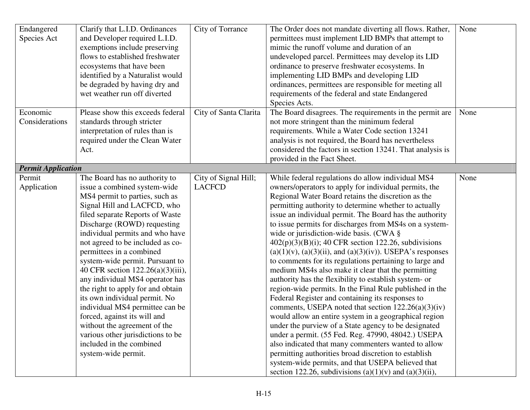| Endangered                | Clarify that L.I.D. Ordinances    | City of Torrance      | The Order does not mandate diverting all flows. Rather,            | None |
|---------------------------|-----------------------------------|-----------------------|--------------------------------------------------------------------|------|
| Species Act               | and Developer required L.I.D.     |                       | permittees must implement LID BMPs that attempt to                 |      |
|                           | exemptions include preserving     |                       | mimic the runoff volume and duration of an                         |      |
|                           | flows to established freshwater   |                       | undeveloped parcel. Permittees may develop its LID                 |      |
|                           | ecosystems that have been         |                       | ordinance to preserve freshwater ecosystems. In                    |      |
|                           | identified by a Naturalist would  |                       | implementing LID BMPs and developing LID                           |      |
|                           | be degraded by having dry and     |                       | ordinances, permittees are responsible for meeting all             |      |
|                           | wet weather run off diverted      |                       | requirements of the federal and state Endangered                   |      |
|                           |                                   |                       | Species Acts.                                                      |      |
| Economic                  | Please show this exceeds federal  | City of Santa Clarita | The Board disagrees. The requirements in the permit are            | None |
| Considerations            | standards through stricter        |                       | not more stringent than the minimum federal                        |      |
|                           | interpretation of rules than is   |                       | requirements. While a Water Code section 13241                     |      |
|                           | required under the Clean Water    |                       | analysis is not required, the Board has nevertheless               |      |
|                           | Act.                              |                       | considered the factors in section 13241. That analysis is          |      |
|                           |                                   |                       | provided in the Fact Sheet.                                        |      |
| <b>Permit Application</b> |                                   |                       |                                                                    |      |
| Permit                    | The Board has no authority to     | City of Signal Hill;  | While federal regulations do allow individual MS4                  | None |
| Application               | issue a combined system-wide      | <b>LACFCD</b>         | owners/operators to apply for individual permits, the              |      |
|                           | MS4 permit to parties, such as    |                       | Regional Water Board retains the discretion as the                 |      |
|                           | Signal Hill and LACFCD, who       |                       | permitting authority to determine whether to actually              |      |
|                           | filed separate Reports of Waste   |                       | issue an individual permit. The Board has the authority            |      |
|                           | Discharge (ROWD) requesting       |                       | to issue permits for discharges from MS4s on a system-             |      |
|                           | individual permits and who have   |                       | wide or jurisdiction-wide basis. (CWA §                            |      |
|                           | not agreed to be included as co-  |                       | $402(p)(3)(B)(i)$ ; 40 CFR section 122.26, subdivisions            |      |
|                           | permittees in a combined          |                       | $(a)(1)(v)$ , $(a)(3)(ii)$ , and $(a)(3)(iv)$ ). USEPA's responses |      |
|                           | system-wide permit. Pursuant to   |                       | to comments for its regulations pertaining to large and            |      |
|                           | 40 CFR section 122.26(a)(3)(iii), |                       | medium MS4s also make it clear that the permitting                 |      |
|                           | any individual MS4 operator has   |                       | authority has the flexibility to establish system- or              |      |
|                           | the right to apply for and obtain |                       | region-wide permits. In the Final Rule published in the            |      |
|                           | its own individual permit. No     |                       | Federal Register and containing its responses to                   |      |
|                           | individual MS4 permittee can be   |                       | comments, USEPA noted that section $122.26(a)(3)(iv)$              |      |
|                           | forced, against its will and      |                       | would allow an entire system in a geographical region              |      |
|                           | without the agreement of the      |                       | under the purview of a State agency to be designated               |      |
|                           | various other jurisdictions to be |                       | under a permit. (55 Fed. Reg. 47990, 48042.) USEPA                 |      |
|                           | included in the combined          |                       | also indicated that many commenters wanted to allow                |      |
|                           | system-wide permit.               |                       | permitting authorities broad discretion to establish               |      |
|                           |                                   |                       | system-wide permits, and that USEPA believed that                  |      |
|                           |                                   |                       | section 122.26, subdivisions (a)(1)(v) and (a)(3)(ii),             |      |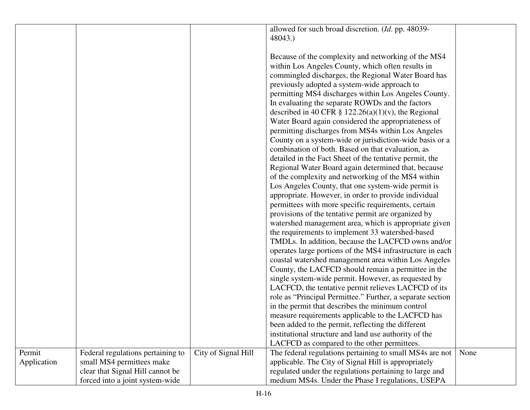|             |                                   |                     | allowed for such broad discretion. (Id. pp. 48039-         |      |
|-------------|-----------------------------------|---------------------|------------------------------------------------------------|------|
|             |                                   |                     | 48043.)                                                    |      |
|             |                                   |                     |                                                            |      |
|             |                                   |                     | Because of the complexity and networking of the MS4        |      |
|             |                                   |                     | within Los Angeles County, which often results in          |      |
|             |                                   |                     | commingled discharges, the Regional Water Board has        |      |
|             |                                   |                     | previously adopted a system-wide approach to               |      |
|             |                                   |                     | permitting MS4 discharges within Los Angeles County.       |      |
|             |                                   |                     | In evaluating the separate ROWDs and the factors           |      |
|             |                                   |                     | described in 40 CFR $\S$ 122.26(a)(1)(v), the Regional     |      |
|             |                                   |                     | Water Board again considered the appropriateness of        |      |
|             |                                   |                     |                                                            |      |
|             |                                   |                     | permitting discharges from MS4s within Los Angeles         |      |
|             |                                   |                     | County on a system-wide or jurisdiction-wide basis or a    |      |
|             |                                   |                     | combination of both. Based on that evaluation, as          |      |
|             |                                   |                     | detailed in the Fact Sheet of the tentative permit, the    |      |
|             |                                   |                     | Regional Water Board again determined that, because        |      |
|             |                                   |                     | of the complexity and networking of the MS4 within         |      |
|             |                                   |                     | Los Angeles County, that one system-wide permit is         |      |
|             |                                   |                     | appropriate. However, in order to provide individual       |      |
|             |                                   |                     | permittees with more specific requirements, certain        |      |
|             |                                   |                     | provisions of the tentative permit are organized by        |      |
|             |                                   |                     | watershed management area, which is appropriate given      |      |
|             |                                   |                     | the requirements to implement 33 watershed-based           |      |
|             |                                   |                     | TMDLs. In addition, because the LACFCD owns and/or         |      |
|             |                                   |                     | operates large portions of the MS4 infrastructure in each  |      |
|             |                                   |                     | coastal watershed management area within Los Angeles       |      |
|             |                                   |                     | County, the LACFCD should remain a permittee in the        |      |
|             |                                   |                     | single system-wide permit. However, as requested by        |      |
|             |                                   |                     | LACFCD, the tentative permit relieves LACFCD of its        |      |
|             |                                   |                     | role as "Principal Permittee." Further, a separate section |      |
|             |                                   |                     | in the permit that describes the minimum control           |      |
|             |                                   |                     |                                                            |      |
|             |                                   |                     | measure requirements applicable to the LACFCD has          |      |
|             |                                   |                     | been added to the permit, reflecting the different         |      |
|             |                                   |                     | institutional structure and land use authority of the      |      |
|             |                                   |                     | LACFCD as compared to the other permittees.                |      |
| Permit      | Federal regulations pertaining to | City of Signal Hill | The federal regulations pertaining to small MS4s are not   | None |
| Application | small MS4 permittees make         |                     | applicable. The City of Signal Hill is appropriately       |      |
|             | clear that Signal Hill cannot be  |                     | regulated under the regulations pertaining to large and    |      |
|             | forced into a joint system-wide   |                     | medium MS4s. Under the Phase I regulations, USEPA          |      |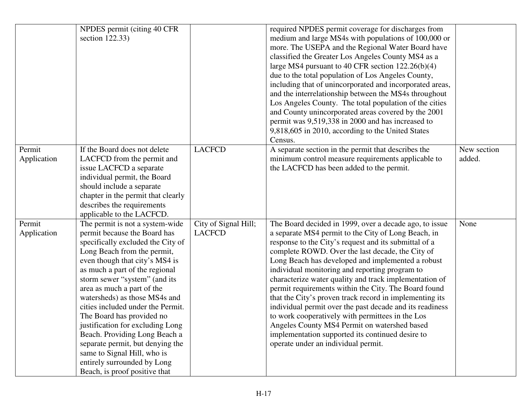|             | NPDES permit (citing 40 CFR)       |                      | required NPDES permit coverage for discharges from       |             |
|-------------|------------------------------------|----------------------|----------------------------------------------------------|-------------|
|             | section $122.33$ )                 |                      | medium and large MS4s with populations of 100,000 or     |             |
|             |                                    |                      | more. The USEPA and the Regional Water Board have        |             |
|             |                                    |                      | classified the Greater Los Angeles County MS4 as a       |             |
|             |                                    |                      | large MS4 pursuant to 40 CFR section $122.26(b)(4)$      |             |
|             |                                    |                      | due to the total population of Los Angeles County,       |             |
|             |                                    |                      | including that of unincorporated and incorporated areas, |             |
|             |                                    |                      | and the interrelationship between the MS4s throughout    |             |
|             |                                    |                      | Los Angeles County. The total population of the cities   |             |
|             |                                    |                      | and County unincorporated areas covered by the 2001      |             |
|             |                                    |                      | permit was 9,519,338 in 2000 and has increased to        |             |
|             |                                    |                      | 9,818,605 in 2010, according to the United States        |             |
|             |                                    |                      | Census.                                                  |             |
| Permit      | If the Board does not delete       | <b>LACFCD</b>        | A separate section in the permit that describes the      | New section |
| Application | LACFCD from the permit and         |                      | minimum control measure requirements applicable to       | added.      |
|             | issue LACFCD a separate            |                      | the LACFCD has been added to the permit.                 |             |
|             | individual permit, the Board       |                      |                                                          |             |
|             | should include a separate          |                      |                                                          |             |
|             | chapter in the permit that clearly |                      |                                                          |             |
|             | describes the requirements         |                      |                                                          |             |
|             | applicable to the LACFCD.          |                      |                                                          |             |
| Permit      | The permit is not a system-wide    | City of Signal Hill; | The Board decided in 1999, over a decade ago, to issue   | None        |
| Application | permit because the Board has       | <b>LACFCD</b>        | a separate MS4 permit to the City of Long Beach, in      |             |
|             | specifically excluded the City of  |                      | response to the City's request and its submittal of a    |             |
|             | Long Beach from the permit,        |                      | complete ROWD. Over the last decade, the City of         |             |
|             | even though that city's MS4 is     |                      | Long Beach has developed and implemented a robust        |             |
|             | as much a part of the regional     |                      | individual monitoring and reporting program to           |             |
|             | storm sewer "system" (and its      |                      | characterize water quality and track implementation of   |             |
|             | area as much a part of the         |                      | permit requirements within the City. The Board found     |             |
|             | watersheds) as those MS4s and      |                      | that the City's proven track record in implementing its  |             |
|             | cities included under the Permit.  |                      | individual permit over the past decade and its readiness |             |
|             | The Board has provided no          |                      | to work cooperatively with permittees in the Los         |             |
|             | justification for excluding Long   |                      | Angeles County MS4 Permit on watershed based             |             |
|             | Beach. Providing Long Beach a      |                      | implementation supported its continued desire to         |             |
|             | separate permit, but denying the   |                      | operate under an individual permit.                      |             |
|             | same to Signal Hill, who is        |                      |                                                          |             |
|             | entirely surrounded by Long        |                      |                                                          |             |
|             | Beach, is proof positive that      |                      |                                                          |             |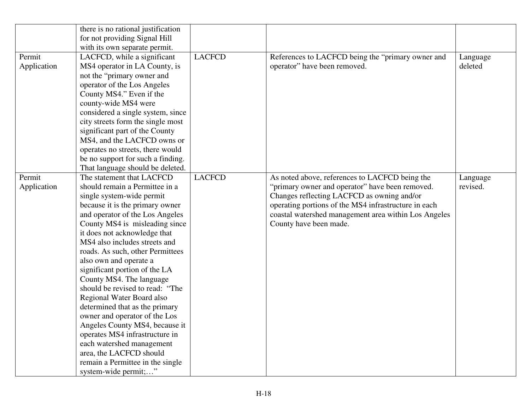|             | there is no rational justification |               |                                                      |          |
|-------------|------------------------------------|---------------|------------------------------------------------------|----------|
|             | for not providing Signal Hill      |               |                                                      |          |
|             | with its own separate permit.      |               |                                                      |          |
| Permit      | LACFCD, while a significant        | <b>LACFCD</b> | References to LACFCD being the "primary owner and    | Language |
| Application | MS4 operator in LA County, is      |               | operator" have been removed.                         | deleted  |
|             | not the "primary owner and         |               |                                                      |          |
|             | operator of the Los Angeles        |               |                                                      |          |
|             | County MS4." Even if the           |               |                                                      |          |
|             | county-wide MS4 were               |               |                                                      |          |
|             | considered a single system, since  |               |                                                      |          |
|             | city streets form the single most  |               |                                                      |          |
|             | significant part of the County     |               |                                                      |          |
|             | MS4, and the LACFCD owns or        |               |                                                      |          |
|             | operates no streets, there would   |               |                                                      |          |
|             | be no support for such a finding.  |               |                                                      |          |
|             | That language should be deleted.   |               |                                                      |          |
| Permit      | The statement that LACFCD          | <b>LACFCD</b> | As noted above, references to LACFCD being the       | Language |
| Application | should remain a Permittee in a     |               | "primary owner and operator" have been removed.      | revised. |
|             | single system-wide permit          |               | Changes reflecting LACFCD as owning and/or           |          |
|             | because it is the primary owner    |               | operating portions of the MS4 infrastructure in each |          |
|             | and operator of the Los Angeles    |               | coastal watershed management area within Los Angeles |          |
|             | County MS4 is misleading since     |               | County have been made.                               |          |
|             | it does not acknowledge that       |               |                                                      |          |
|             | MS4 also includes streets and      |               |                                                      |          |
|             | roads. As such, other Permittees   |               |                                                      |          |
|             | also own and operate a             |               |                                                      |          |
|             | significant portion of the LA      |               |                                                      |          |
|             | County MS4. The language           |               |                                                      |          |
|             | should be revised to read: "The    |               |                                                      |          |
|             | Regional Water Board also          |               |                                                      |          |
|             | determined that as the primary     |               |                                                      |          |
|             | owner and operator of the Los      |               |                                                      |          |
|             | Angeles County MS4, because it     |               |                                                      |          |
|             | operates MS4 infrastructure in     |               |                                                      |          |
|             | each watershed management          |               |                                                      |          |
|             | area, the LACFCD should            |               |                                                      |          |
|             | remain a Permittee in the single   |               |                                                      |          |
|             | system-wide permit;"               |               |                                                      |          |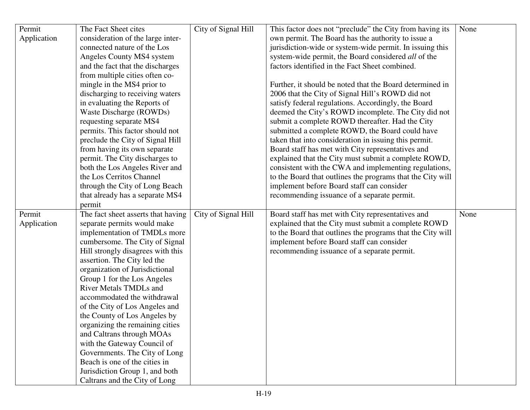| Permit      | The Fact Sheet cites                                            | City of Signal Hill | This factor does not "preclude" the City from having its   | None |
|-------------|-----------------------------------------------------------------|---------------------|------------------------------------------------------------|------|
| Application | consideration of the large inter-                               |                     | own permit. The Board has the authority to issue a         |      |
|             | connected nature of the Los                                     |                     | jurisdiction-wide or system-wide permit. In issuing this   |      |
|             | Angeles County MS4 system                                       |                     | system-wide permit, the Board considered all of the        |      |
|             | and the fact that the discharges                                |                     | factors identified in the Fact Sheet combined.             |      |
|             | from multiple cities often co-                                  |                     |                                                            |      |
|             | mingle in the MS4 prior to                                      |                     | Further, it should be noted that the Board determined in   |      |
|             | discharging to receiving waters                                 |                     | 2006 that the City of Signal Hill's ROWD did not           |      |
|             | in evaluating the Reports of                                    |                     | satisfy federal regulations. Accordingly, the Board        |      |
|             | Waste Discharge (ROWDs)                                         |                     | deemed the City's ROWD incomplete. The City did not        |      |
|             | requesting separate MS4                                         |                     | submit a complete ROWD thereafter. Had the City            |      |
|             | permits. This factor should not                                 |                     | submitted a complete ROWD, the Board could have            |      |
|             | preclude the City of Signal Hill                                |                     | taken that into consideration in issuing this permit.      |      |
|             | from having its own separate                                    |                     | Board staff has met with City representatives and          |      |
|             | permit. The City discharges to                                  |                     | explained that the City must submit a complete ROWD,       |      |
|             | both the Los Angeles River and                                  |                     | consistent with the CWA and implementing regulations,      |      |
|             | the Los Cerritos Channel                                        |                     | to the Board that outlines the programs that the City will |      |
|             | through the City of Long Beach                                  |                     | implement before Board staff can consider                  |      |
|             | that already has a separate MS4                                 |                     | recommending issuance of a separate permit.                |      |
|             | permit                                                          |                     |                                                            |      |
| Permit      | The fact sheet asserts that having                              | City of Signal Hill | Board staff has met with City representatives and          | None |
| Application | separate permits would make                                     |                     | explained that the City must submit a complete ROWD        |      |
|             | implementation of TMDLs more                                    |                     | to the Board that outlines the programs that the City will |      |
|             | cumbersome. The City of Signal                                  |                     | implement before Board staff can consider                  |      |
|             | Hill strongly disagrees with this                               |                     | recommending issuance of a separate permit.                |      |
|             | assertion. The City led the                                     |                     |                                                            |      |
|             | organization of Jurisdictional                                  |                     |                                                            |      |
|             | Group 1 for the Los Angeles                                     |                     |                                                            |      |
|             | <b>River Metals TMDLs and</b>                                   |                     |                                                            |      |
|             | accommodated the withdrawal                                     |                     |                                                            |      |
|             | of the City of Los Angeles and                                  |                     |                                                            |      |
|             | the County of Los Angeles by                                    |                     |                                                            |      |
|             | organizing the remaining cities                                 |                     |                                                            |      |
|             | and Caltrans through MOAs                                       |                     |                                                            |      |
|             | with the Gateway Council of                                     |                     |                                                            |      |
|             | Governments. The City of Long                                   |                     |                                                            |      |
|             | Beach is one of the cities in                                   |                     |                                                            |      |
|             |                                                                 |                     |                                                            |      |
|             | Jurisdiction Group 1, and both<br>Caltrans and the City of Long |                     |                                                            |      |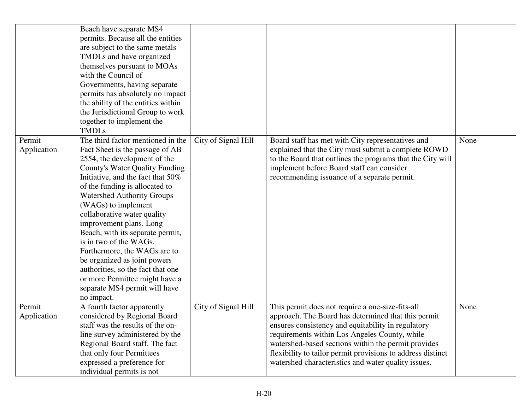|                       | Beach have separate MS4<br>permits. Because all the entities<br>are subject to the same metals<br>TMDLs and have organized<br>themselves pursuant to MOAs<br>with the Council of<br>Governments, having separate<br>permits has absolutely no impact<br>the ability of the entities within<br>the Jurisdictional Group to work<br>together to implement the<br><b>TMDLs</b>                                                                                                                                                                                                                    |                     |                                                                                                                                                                                                                                                                                                                                                                                             |      |
|-----------------------|------------------------------------------------------------------------------------------------------------------------------------------------------------------------------------------------------------------------------------------------------------------------------------------------------------------------------------------------------------------------------------------------------------------------------------------------------------------------------------------------------------------------------------------------------------------------------------------------|---------------------|---------------------------------------------------------------------------------------------------------------------------------------------------------------------------------------------------------------------------------------------------------------------------------------------------------------------------------------------------------------------------------------------|------|
| Permit<br>Application | The third factor mentioned in the<br>Fact Sheet is the passage of AB<br>2554, the development of the<br><b>County's Water Quality Funding</b><br>Initiative, and the fact that 50%<br>of the funding is allocated to<br><b>Watershed Authority Groups</b><br>(WAGs) to implement<br>collaborative water quality<br>improvement plans. Long<br>Beach, with its separate permit,<br>is in two of the WAGs.<br>Furthermore, the WAGs are to<br>be organized as joint powers<br>authorities, so the fact that one<br>or more Permittee might have a<br>separate MS4 permit will have<br>no impact. | City of Signal Hill | Board staff has met with City representatives and<br>explained that the City must submit a complete ROWD<br>to the Board that outlines the programs that the City will<br>implement before Board staff can consider<br>recommending issuance of a separate permit.                                                                                                                          | None |
| Permit<br>Application | A fourth factor apparently<br>considered by Regional Board<br>staff was the results of the on-<br>line survey administered by the<br>Regional Board staff. The fact<br>that only four Permittees<br>expressed a preference for<br>individual permits is not                                                                                                                                                                                                                                                                                                                                    | City of Signal Hill | This permit does not require a one-size-fits-all<br>approach. The Board has determined that this permit<br>ensures consistency and equitability in regulatory<br>requirements within Los Angeles County, while<br>watershed-based sections within the permit provides<br>flexibility to tailor permit provisions to address distinct<br>watershed characteristics and water quality issues. | None |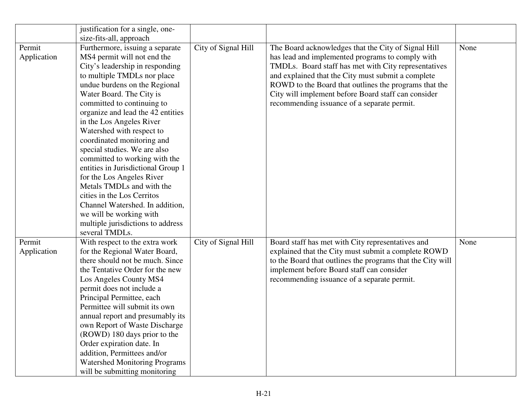|             | justification for a single, one-     |                     |                                                            |      |
|-------------|--------------------------------------|---------------------|------------------------------------------------------------|------|
|             | size-fits-all, approach              |                     |                                                            |      |
| Permit      | Furthermore, issuing a separate      | City of Signal Hill | The Board acknowledges that the City of Signal Hill        | None |
| Application | MS4 permit will not end the          |                     | has lead and implemented programs to comply with           |      |
|             | City's leadership in responding      |                     | TMDLs. Board staff has met with City representatives       |      |
|             | to multiple TMDLs nor place          |                     | and explained that the City must submit a complete         |      |
|             | undue burdens on the Regional        |                     | ROWD to the Board that outlines the programs that the      |      |
|             | Water Board. The City is             |                     | City will implement before Board staff can consider        |      |
|             | committed to continuing to           |                     | recommending issuance of a separate permit.                |      |
|             | organize and lead the 42 entities    |                     |                                                            |      |
|             | in the Los Angeles River             |                     |                                                            |      |
|             | Watershed with respect to            |                     |                                                            |      |
|             | coordinated monitoring and           |                     |                                                            |      |
|             | special studies. We are also         |                     |                                                            |      |
|             | committed to working with the        |                     |                                                            |      |
|             | entities in Jurisdictional Group 1   |                     |                                                            |      |
|             | for the Los Angeles River            |                     |                                                            |      |
|             | Metals TMDLs and with the            |                     |                                                            |      |
|             | cities in the Los Cerritos           |                     |                                                            |      |
|             | Channel Watershed. In addition,      |                     |                                                            |      |
|             | we will be working with              |                     |                                                            |      |
|             | multiple jurisdictions to address    |                     |                                                            |      |
|             | several TMDLs.                       |                     |                                                            |      |
| Permit      | With respect to the extra work       | City of Signal Hill | Board staff has met with City representatives and          | None |
| Application | for the Regional Water Board,        |                     | explained that the City must submit a complete ROWD        |      |
|             | there should not be much. Since      |                     | to the Board that outlines the programs that the City will |      |
|             | the Tentative Order for the new      |                     | implement before Board staff can consider                  |      |
|             | Los Angeles County MS4               |                     | recommending issuance of a separate permit.                |      |
|             | permit does not include a            |                     |                                                            |      |
|             | Principal Permittee, each            |                     |                                                            |      |
|             | Permittee will submit its own        |                     |                                                            |      |
|             | annual report and presumably its     |                     |                                                            |      |
|             | own Report of Waste Discharge        |                     |                                                            |      |
|             | (ROWD) 180 days prior to the         |                     |                                                            |      |
|             | Order expiration date. In            |                     |                                                            |      |
|             | addition, Permittees and/or          |                     |                                                            |      |
|             | <b>Watershed Monitoring Programs</b> |                     |                                                            |      |
|             | will be submitting monitoring        |                     |                                                            |      |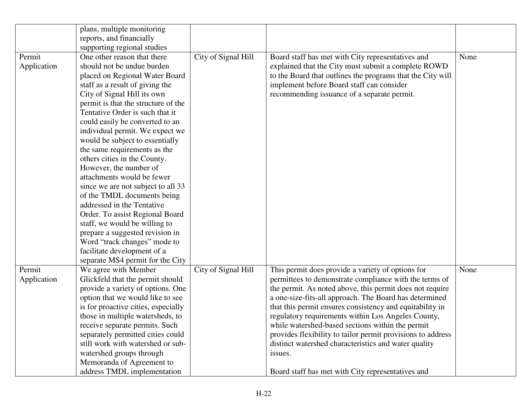|             | plans, multiple monitoring          |                     |                                                             |      |
|-------------|-------------------------------------|---------------------|-------------------------------------------------------------|------|
|             | reports, and financially            |                     |                                                             |      |
|             | supporting regional studies         |                     |                                                             |      |
| Permit      | One other reason that there         | City of Signal Hill | Board staff has met with City representatives and           | None |
| Application | should not be undue burden          |                     | explained that the City must submit a complete ROWD         |      |
|             | placed on Regional Water Board      |                     | to the Board that outlines the programs that the City will  |      |
|             | staff as a result of giving the     |                     | implement before Board staff can consider                   |      |
|             | City of Signal Hill its own         |                     | recommending issuance of a separate permit.                 |      |
|             | permit is that the structure of the |                     |                                                             |      |
|             | Tentative Order is such that it     |                     |                                                             |      |
|             | could easily be converted to an     |                     |                                                             |      |
|             | individual permit. We expect we     |                     |                                                             |      |
|             | would be subject to essentially     |                     |                                                             |      |
|             | the same requirements as the        |                     |                                                             |      |
|             | others cities in the County.        |                     |                                                             |      |
|             | However, the number of              |                     |                                                             |      |
|             | attachments would be fewer          |                     |                                                             |      |
|             | since we are not subject to all 33  |                     |                                                             |      |
|             | of the TMDL documents being         |                     |                                                             |      |
|             | addressed in the Tentative          |                     |                                                             |      |
|             | Order. To assist Regional Board     |                     |                                                             |      |
|             | staff, we would be willing to       |                     |                                                             |      |
|             | prepare a suggested revision in     |                     |                                                             |      |
|             | Word "track changes" mode to        |                     |                                                             |      |
|             | facilitate development of a         |                     |                                                             |      |
|             | separate MS4 permit for the City    |                     |                                                             |      |
| Permit      | We agree with Member                | City of Signal Hill | This permit does provide a variety of options for           | None |
| Application | Glickfeld that the permit should    |                     | permittees to demonstrate compliance with the terms of      |      |
|             | provide a variety of options. One   |                     | the permit. As noted above, this permit does not require    |      |
|             | option that we would like to see    |                     | a one-size-fits-all approach. The Board has determined      |      |
|             | is for proactive cities, especially |                     | that this permit ensures consistency and equitability in    |      |
|             | those in multiple watersheds, to    |                     | regulatory requirements within Los Angeles County,          |      |
|             | receive separate permits. Such      |                     | while watershed-based sections within the permit            |      |
|             | separately permitted cities could   |                     | provides flexibility to tailor permit provisions to address |      |
|             | still work with watershed or sub-   |                     | distinct watershed characteristics and water quality        |      |
|             | watershed groups through            |                     | issues.                                                     |      |
|             | Memoranda of Agreement to           |                     |                                                             |      |
|             | address TMDL implementation         |                     | Board staff has met with City representatives and           |      |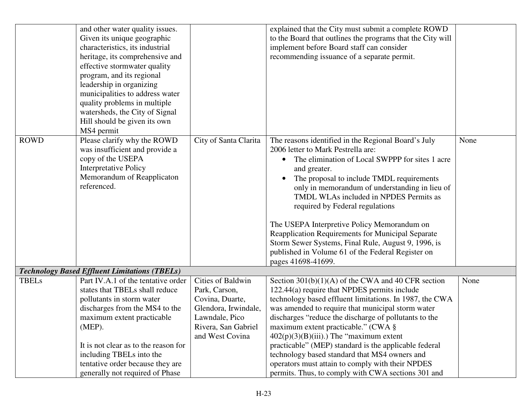|              | and other water quality issues.                      |                       | explained that the City must submit a complete ROWD          |      |
|--------------|------------------------------------------------------|-----------------------|--------------------------------------------------------------|------|
|              | Given its unique geographic                          |                       | to the Board that outlines the programs that the City will   |      |
|              | characteristics, its industrial                      |                       | implement before Board staff can consider                    |      |
|              | heritage, its comprehensive and                      |                       | recommending issuance of a separate permit.                  |      |
|              | effective stormwater quality                         |                       |                                                              |      |
|              | program, and its regional                            |                       |                                                              |      |
|              | leadership in organizing                             |                       |                                                              |      |
|              | municipalities to address water                      |                       |                                                              |      |
|              | quality problems in multiple                         |                       |                                                              |      |
|              | watersheds, the City of Signal                       |                       |                                                              |      |
|              | Hill should be given its own                         |                       |                                                              |      |
|              | MS4 permit                                           |                       |                                                              |      |
| <b>ROWD</b>  | Please clarify why the ROWD                          | City of Santa Clarita | The reasons identified in the Regional Board's July          | None |
|              | was insufficient and provide a                       |                       | 2006 letter to Mark Pestrella are:                           |      |
|              | copy of the USEPA                                    |                       | The elimination of Local SWPPP for sites 1 acre<br>$\bullet$ |      |
|              | <b>Interpretative Policy</b>                         |                       | and greater.                                                 |      |
|              | Memorandum of Reapplicaton                           |                       | The proposal to include TMDL requirements                    |      |
|              | referenced.                                          |                       | only in memorandum of understanding in lieu of               |      |
|              |                                                      |                       | TMDL WLAs included in NPDES Permits as                       |      |
|              |                                                      |                       | required by Federal regulations                              |      |
|              |                                                      |                       |                                                              |      |
|              |                                                      |                       | The USEPA Interpretive Policy Memorandum on                  |      |
|              |                                                      |                       | Reapplication Requirements for Municipal Separate            |      |
|              |                                                      |                       | Storm Sewer Systems, Final Rule, August 9, 1996, is          |      |
|              |                                                      |                       | published in Volume 61 of the Federal Register on            |      |
|              |                                                      |                       | pages 41698-41699.                                           |      |
|              | <b>Technology Based Effluent Limitations (TBELs)</b> |                       |                                                              |      |
| <b>TBELs</b> | Part IV.A.1 of the tentative order                   | Cities of Baldwin     | Section $301(b)(1)(A)$ of the CWA and 40 CFR section         | None |
|              | states that TBELs shall reduce                       | Park, Carson,         | 122.44(a) require that NPDES permits include                 |      |
|              | pollutants in storm water                            | Covina, Duarte,       | technology based effluent limitations. In 1987, the CWA      |      |
|              | discharges from the MS4 to the                       | Glendora, Irwindale,  | was amended to require that municipal storm water            |      |
|              | maximum extent practicable                           | Lawndale, Pico        | discharges "reduce the discharge of pollutants to the        |      |
|              | (MEP).                                               | Rivera, San Gabriel   | maximum extent practicable." (CWA §                          |      |
|              |                                                      | and West Covina       | $402(p)(3)(B)(iii)$ .) The "maximum extent"                  |      |
|              | It is not clear as to the reason for                 |                       | practicable" (MEP) standard is the applicable federal        |      |
|              | including TBELs into the                             |                       | technology based standard that MS4 owners and                |      |
|              | tentative order because they are                     |                       | operators must attain to comply with their NPDES             |      |
|              | generally not required of Phase                      |                       | permits. Thus, to comply with CWA sections 301 and           |      |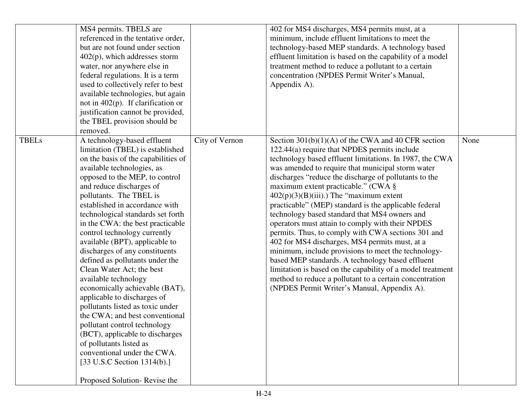|              | MS4 permits. TBELS are<br>referenced in the tentative order,<br>but are not found under section<br>$402(p)$ , which addresses storm<br>water, nor anywhere else in<br>federal regulations. It is a term<br>used to collectively refer to best<br>available technologies, but again<br>not in $402(p)$ . If clarification or<br>justification cannot be provided,<br>the TBEL provision should be                                                                                                                                                                                                                                                                                                                                                                                                                                                                                    |                | 402 for MS4 discharges, MS4 permits must, at a<br>minimum, include effluent limitations to meet the<br>technology-based MEP standards. A technology based<br>effluent limitation is based on the capability of a model<br>treatment method to reduce a pollutant to a certain<br>concentration (NPDES Permit Writer's Manual,<br>Appendix A).                                                                                                                                                                                                                                                                                                                                                                                                                                                                                                                                                                                |      |
|--------------|-------------------------------------------------------------------------------------------------------------------------------------------------------------------------------------------------------------------------------------------------------------------------------------------------------------------------------------------------------------------------------------------------------------------------------------------------------------------------------------------------------------------------------------------------------------------------------------------------------------------------------------------------------------------------------------------------------------------------------------------------------------------------------------------------------------------------------------------------------------------------------------|----------------|------------------------------------------------------------------------------------------------------------------------------------------------------------------------------------------------------------------------------------------------------------------------------------------------------------------------------------------------------------------------------------------------------------------------------------------------------------------------------------------------------------------------------------------------------------------------------------------------------------------------------------------------------------------------------------------------------------------------------------------------------------------------------------------------------------------------------------------------------------------------------------------------------------------------------|------|
| <b>TBELs</b> | removed.<br>A technology-based effluent<br>limitation (TBEL) is established<br>on the basis of the capabilities of<br>available technologies, as<br>opposed to the MEP, to control<br>and reduce discharges of<br>pollutants. The TBEL is<br>established in accordance with<br>technological standards set forth<br>in the CWA: the best practicable<br>control technology currently<br>available (BPT), applicable to<br>discharges of any constituents<br>defined as pollutants under the<br>Clean Water Act; the best<br>available technology<br>economically achievable (BAT),<br>applicable to discharges of<br>pollutants listed as toxic under<br>the CWA; and best conventional<br>pollutant control technology<br>(BCT), applicable to discharges<br>of pollutants listed as<br>conventional under the CWA.<br>[33 U.S.C Section 1314(b).]<br>Proposed Solution-Revise the | City of Vernon | Section $301(b)(1)(A)$ of the CWA and 40 CFR section<br>122.44(a) require that NPDES permits include<br>technology based effluent limitations. In 1987, the CWA<br>was amended to require that municipal storm water<br>discharges "reduce the discharge of pollutants to the<br>maximum extent practicable." (CWA §<br>$402(p)(3)(B)(iii)$ .) The "maximum extent"<br>practicable" (MEP) standard is the applicable federal<br>technology based standard that MS4 owners and<br>operators must attain to comply with their NPDES<br>permits. Thus, to comply with CWA sections 301 and<br>402 for MS4 discharges, MS4 permits must, at a<br>minimum, include provisions to meet the technology-<br>based MEP standards. A technology based effluent<br>limitation is based on the capability of a model treatment<br>method to reduce a pollutant to a certain concentration<br>(NPDES Permit Writer's Manual, Appendix A). | None |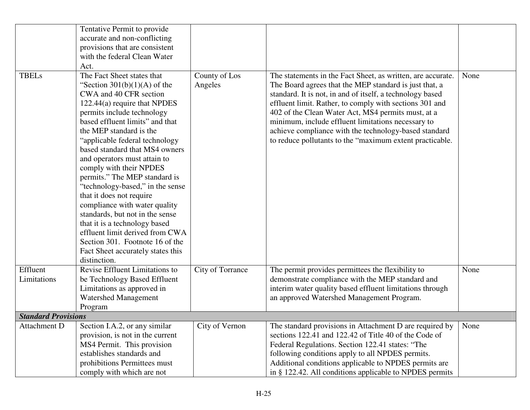|                            | Tentative Permit to provide                                   |                  |                                                             |      |
|----------------------------|---------------------------------------------------------------|------------------|-------------------------------------------------------------|------|
|                            | accurate and non-conflicting                                  |                  |                                                             |      |
|                            | provisions that are consistent                                |                  |                                                             |      |
|                            | with the federal Clean Water                                  |                  |                                                             |      |
|                            | Act.                                                          |                  |                                                             |      |
| <b>TBELs</b>               | The Fact Sheet states that                                    | County of Los    | The statements in the Fact Sheet, as written, are accurate. | None |
|                            | "Section $301(b)(1)(A)$ of the                                | Angeles          | The Board agrees that the MEP standard is just that, a      |      |
|                            | CWA and 40 CFR section                                        |                  |                                                             |      |
|                            |                                                               |                  | standard. It is not, in and of itself, a technology based   |      |
|                            | 122.44(a) require that NPDES                                  |                  | effluent limit. Rather, to comply with sections 301 and     |      |
|                            | permits include technology<br>based effluent limits" and that |                  | 402 of the Clean Water Act, MS4 permits must, at a          |      |
|                            |                                                               |                  | minimum, include effluent limitations necessary to          |      |
|                            | the MEP standard is the                                       |                  | achieve compliance with the technology-based standard       |      |
|                            | "applicable federal technology                                |                  | to reduce pollutants to the "maximum extent practicable.    |      |
|                            | based standard that MS4 owners                                |                  |                                                             |      |
|                            | and operators must attain to                                  |                  |                                                             |      |
|                            | comply with their NPDES                                       |                  |                                                             |      |
|                            | permits." The MEP standard is                                 |                  |                                                             |      |
|                            | "technology-based," in the sense                              |                  |                                                             |      |
|                            | that it does not require                                      |                  |                                                             |      |
|                            | compliance with water quality                                 |                  |                                                             |      |
|                            | standards, but not in the sense                               |                  |                                                             |      |
|                            | that it is a technology based                                 |                  |                                                             |      |
|                            | effluent limit derived from CWA                               |                  |                                                             |      |
|                            | Section 301. Footnote 16 of the                               |                  |                                                             |      |
|                            | Fact Sheet accurately states this                             |                  |                                                             |      |
|                            | distinction.                                                  |                  |                                                             |      |
| Effluent                   | Revise Effluent Limitations to                                | City of Torrance | The permit provides permittees the flexibility to           | None |
| Limitations                | be Technology Based Effluent                                  |                  | demonstrate compliance with the MEP standard and            |      |
|                            | Limitations as approved in                                    |                  | interim water quality based effluent limitations through    |      |
|                            | <b>Watershed Management</b>                                   |                  | an approved Watershed Management Program.                   |      |
|                            | Program                                                       |                  |                                                             |      |
| <b>Standard Provisions</b> |                                                               |                  |                                                             |      |
| Attachment D               | Section I.A.2, or any similar                                 | City of Vernon   | The standard provisions in Attachment D are required by     | None |
|                            | provision, is not in the current                              |                  | sections 122.41 and 122.42 of Title 40 of the Code of       |      |
|                            | MS4 Permit. This provision                                    |                  | Federal Regulations. Section 122.41 states: "The            |      |
|                            | establishes standards and                                     |                  | following conditions apply to all NPDES permits.            |      |
|                            | prohibitions Permittees must                                  |                  | Additional conditions applicable to NPDES permits are       |      |
|                            | comply with which are not                                     |                  | in § 122.42. All conditions applicable to NPDES permits     |      |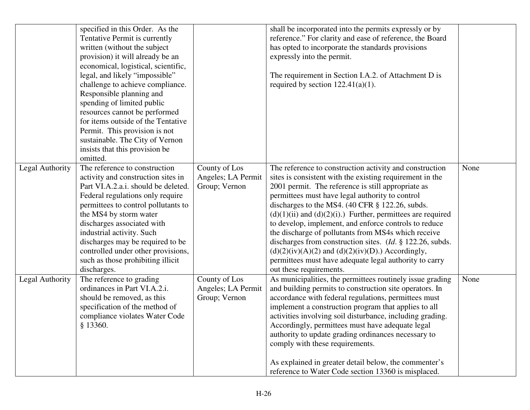|                 | specified in this Order. As the<br>Tentative Permit is currently<br>written (without the subject<br>provision) it will already be an<br>economical, logistical, scientific,<br>legal, and likely "impossible"<br>challenge to achieve compliance.<br>Responsible planning and<br>spending of limited public<br>resources cannot be performed<br>for items outside of the Tentative<br>Permit. This provision is not<br>sustainable. The City of Vernon<br>insists that this provision be<br>omitted. |                                                      | shall be incorporated into the permits expressly or by<br>reference." For clarity and ease of reference, the Board<br>has opted to incorporate the standards provisions<br>expressly into the permit.<br>The requirement in Section I.A.2. of Attachment D is<br>required by section $122.41(a)(1)$ .                                                                                                                                                                                                                                                                                                                                                                                                       |      |
|-----------------|------------------------------------------------------------------------------------------------------------------------------------------------------------------------------------------------------------------------------------------------------------------------------------------------------------------------------------------------------------------------------------------------------------------------------------------------------------------------------------------------------|------------------------------------------------------|-------------------------------------------------------------------------------------------------------------------------------------------------------------------------------------------------------------------------------------------------------------------------------------------------------------------------------------------------------------------------------------------------------------------------------------------------------------------------------------------------------------------------------------------------------------------------------------------------------------------------------------------------------------------------------------------------------------|------|
| Legal Authority | The reference to construction<br>activity and construction sites in<br>Part VI.A.2.a.i. should be deleted.<br>Federal regulations only require<br>permittees to control pollutants to<br>the MS4 by storm water<br>discharges associated with<br>industrial activity. Such<br>discharges may be required to be<br>controlled under other provisions,<br>such as those prohibiting illicit<br>discharges.                                                                                             | County of Los<br>Angeles; LA Permit<br>Group; Vernon | The reference to construction activity and construction<br>sites is consistent with the existing requirement in the<br>2001 permit. The reference is still appropriate as<br>permittees must have legal authority to control<br>discharges to the MS4. $(40 \text{ CFR} \text{ § } 122.26, \text{ subds.})$<br>$(d)(1)(ii)$ and $(d)(2)(i)$ .) Further, permittees are required<br>to develop, implement, and enforce controls to reduce<br>the discharge of pollutants from MS4s which receive<br>discharges from construction sites. (Id. § 122.26, subds.<br>$(d)(2)(iv)(A)(2)$ and $(d)(2)(iv)(D)$ .) Accordingly,<br>permittees must have adequate legal authority to carry<br>out these requirements. | None |
| Legal Authority | The reference to grading<br>ordinances in Part VI.A.2.i.<br>should be removed, as this<br>specification of the method of<br>compliance violates Water Code<br>§ 13360.                                                                                                                                                                                                                                                                                                                               | County of Los<br>Angeles; LA Permit<br>Group; Vernon | As municipalities, the permittees routinely issue grading<br>and building permits to construction site operators. In<br>accordance with federal regulations, permittees must<br>implement a construction program that applies to all<br>activities involving soil disturbance, including grading.<br>Accordingly, permittees must have adequate legal<br>authority to update grading ordinances necessary to<br>comply with these requirements.<br>As explained in greater detail below, the commenter's<br>reference to Water Code section 13360 is misplaced.                                                                                                                                             | None |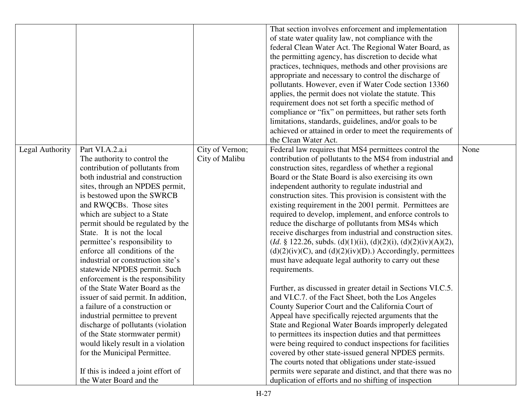|                 |                                     |                 | That section involves enforcement and implementation               |      |
|-----------------|-------------------------------------|-----------------|--------------------------------------------------------------------|------|
|                 |                                     |                 | of state water quality law, not compliance with the                |      |
|                 |                                     |                 | federal Clean Water Act. The Regional Water Board, as              |      |
|                 |                                     |                 | the permitting agency, has discretion to decide what               |      |
|                 |                                     |                 | practices, techniques, methods and other provisions are            |      |
|                 |                                     |                 | appropriate and necessary to control the discharge of              |      |
|                 |                                     |                 | pollutants. However, even if Water Code section 13360              |      |
|                 |                                     |                 | applies, the permit does not violate the statute. This             |      |
|                 |                                     |                 |                                                                    |      |
|                 |                                     |                 | requirement does not set forth a specific method of                |      |
|                 |                                     |                 | compliance or "fix" on permittees, but rather sets forth           |      |
|                 |                                     |                 | limitations, standards, guidelines, and/or goals to be             |      |
|                 |                                     |                 | achieved or attained in order to meet the requirements of          |      |
|                 |                                     |                 | the Clean Water Act.                                               |      |
| Legal Authority | Part VI.A.2.a.i                     | City of Vernon; | Federal law requires that MS4 permittees control the               | None |
|                 | The authority to control the        | City of Malibu  | contribution of pollutants to the MS4 from industrial and          |      |
|                 | contribution of pollutants from     |                 | construction sites, regardless of whether a regional               |      |
|                 | both industrial and construction    |                 | Board or the State Board is also exercising its own                |      |
|                 | sites, through an NPDES permit,     |                 | independent authority to regulate industrial and                   |      |
|                 | is bestowed upon the SWRCB          |                 | construction sites. This provision is consistent with the          |      |
|                 | and RWQCBs. Those sites             |                 | existing requirement in the 2001 permit. Permittees are            |      |
|                 | which are subject to a State        |                 | required to develop, implement, and enforce controls to            |      |
|                 | permit should be regulated by the   |                 | reduce the discharge of pollutants from MS4s which                 |      |
|                 | State. It is not the local          |                 | receive discharges from industrial and construction sites.         |      |
|                 | permittee's responsibility to       |                 | $(Id. \S 122.26$ , subds. (d)(1)(ii), (d)(2)(i), (d)(2)(iv)(A)(2), |      |
|                 | enforce all conditions of the       |                 | $(d)(2)(iv)(C)$ , and $(d)(2)(iv)(D)$ .) Accordingly, permittees   |      |
|                 | industrial or construction site's   |                 | must have adequate legal authority to carry out these              |      |
|                 | statewide NPDES permit. Such        |                 | requirements.                                                      |      |
|                 | enforcement is the responsibility   |                 |                                                                    |      |
|                 | of the State Water Board as the     |                 | Further, as discussed in greater detail in Sections VI.C.5.        |      |
|                 | issuer of said permit. In addition, |                 | and VI.C.7. of the Fact Sheet, both the Los Angeles                |      |
|                 | a failure of a construction or      |                 | County Superior Court and the California Court of                  |      |
|                 | industrial permittee to prevent     |                 | Appeal have specifically rejected arguments that the               |      |
|                 | discharge of pollutants (violation  |                 | State and Regional Water Boards improperly delegated               |      |
|                 | of the State stormwater permit)     |                 | to permittees its inspection duties and that permittees            |      |
|                 | would likely result in a violation  |                 | were being required to conduct inspections for facilities          |      |
|                 | for the Municipal Permittee.        |                 | covered by other state-issued general NPDES permits.               |      |
|                 |                                     |                 |                                                                    |      |
|                 |                                     |                 | The courts noted that obligations under state-issued               |      |
|                 | If this is indeed a joint effort of |                 | permits were separate and distinct, and that there was no          |      |
|                 | the Water Board and the             |                 | duplication of efforts and no shifting of inspection               |      |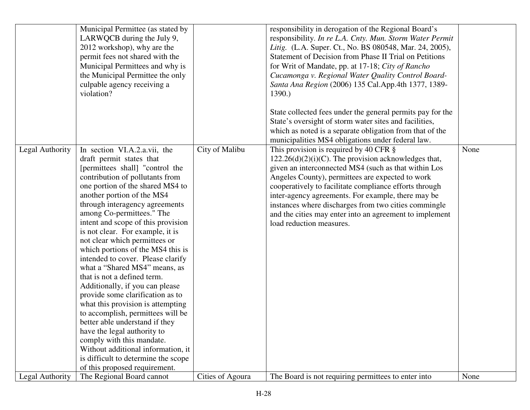|                 | Municipal Permittee (as stated by<br>LARWQCB during the July 9,<br>2012 workshop), why are the<br>permit fees not shared with the<br>Municipal Permittees and why is<br>the Municipal Permittee the only<br>culpable agency receiving a<br>violation?                                                                                                                                                                                                                                                                                                                                                                                                                                                                                                                                                                                                                             |                  | responsibility in derogation of the Regional Board's<br>responsibility. In re L.A. Cnty. Mun. Storm Water Permit<br>Litig. (L.A. Super. Ct., No. BS 080548, Mar. 24, 2005),<br>Statement of Decision from Phase II Trial on Petitions<br>for Writ of Mandate, pp. at 17-18; City of Rancho<br>Cucamonga v. Regional Water Quality Control Board-<br>Santa Ana Region (2006) 135 Cal. App. 4th 1377, 1389-<br>1390.)<br>State collected fees under the general permits pay for the<br>State's oversight of storm water sites and facilities,<br>which as noted is a separate obligation from that of the<br>municipalities MS4 obligations under federal law. |      |
|-----------------|-----------------------------------------------------------------------------------------------------------------------------------------------------------------------------------------------------------------------------------------------------------------------------------------------------------------------------------------------------------------------------------------------------------------------------------------------------------------------------------------------------------------------------------------------------------------------------------------------------------------------------------------------------------------------------------------------------------------------------------------------------------------------------------------------------------------------------------------------------------------------------------|------------------|--------------------------------------------------------------------------------------------------------------------------------------------------------------------------------------------------------------------------------------------------------------------------------------------------------------------------------------------------------------------------------------------------------------------------------------------------------------------------------------------------------------------------------------------------------------------------------------------------------------------------------------------------------------|------|
| Legal Authority | In section VI.A.2.a.vii, the<br>draft permit states that<br>[permittees shall] "control the<br>contribution of pollutants from<br>one portion of the shared MS4 to<br>another portion of the MS4<br>through interagency agreements<br>among Co-permittees." The<br>intent and scope of this provision<br>is not clear. For example, it is<br>not clear which permittees or<br>which portions of the MS4 this is<br>intended to cover. Please clarify<br>what a "Shared MS4" means, as<br>that is not a defined term.<br>Additionally, if you can please<br>provide some clarification as to<br>what this provision is attempting<br>to accomplish, permittees will be<br>better able understand if they<br>have the legal authority to<br>comply with this mandate.<br>Without additional information, it<br>is difficult to determine the scope<br>of this proposed requirement. | City of Malibu   | This provision is required by 40 CFR $\S$<br>$122.26(d)(2)(i)(C)$ . The provision acknowledges that,<br>given an interconnected MS4 (such as that within Los<br>Angeles County), permittees are expected to work<br>cooperatively to facilitate compliance efforts through<br>inter-agency agreements. For example, there may be<br>instances where discharges from two cities commingle<br>and the cities may enter into an agreement to implement<br>load reduction measures.                                                                                                                                                                              | None |
| Legal Authority | The Regional Board cannot                                                                                                                                                                                                                                                                                                                                                                                                                                                                                                                                                                                                                                                                                                                                                                                                                                                         | Cities of Agoura | The Board is not requiring permittees to enter into                                                                                                                                                                                                                                                                                                                                                                                                                                                                                                                                                                                                          | None |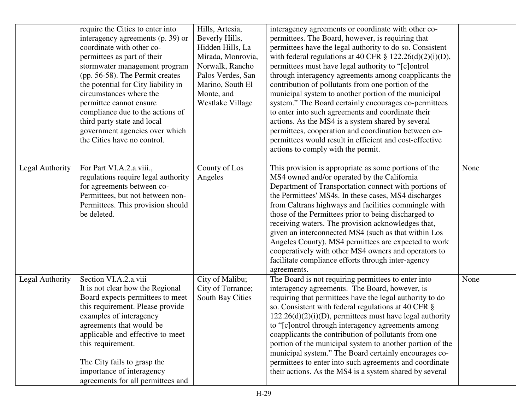|                 | require the Cities to enter into<br>interagency agreements (p. 39) or<br>coordinate with other co-<br>permittees as part of their<br>stormwater management program<br>(pp. 56-58). The Permit creates<br>the potential for City liability in<br>circumstances where the<br>permittee cannot ensure<br>compliance due to the actions of<br>third party state and local<br>government agencies over which<br>the Cities have no control. | Hills, Artesia,<br>Beverly Hills,<br>Hidden Hills, La<br>Mirada, Monrovia,<br>Norwalk, Rancho<br>Palos Verdes, San<br>Marino, South El<br>Monte, and<br><b>Westlake Village</b> | interagency agreements or coordinate with other co-<br>permittees. The Board, however, is requiring that<br>permittees have the legal authority to do so. Consistent<br>with federal regulations at 40 CFR $\S$ 122.26(d)(2)(i)(D),<br>permittees must have legal authority to "[c]ontrol<br>through interagency agreements among coapplicants the<br>contribution of pollutants from one portion of the<br>municipal system to another portion of the municipal<br>system." The Board certainly encourages co-permittees<br>to enter into such agreements and coordinate their<br>actions. As the MS4 is a system shared by several<br>permittees, cooperation and coordination between co-<br>permittees would result in efficient and cost-effective<br>actions to comply with the permit. |      |
|-----------------|----------------------------------------------------------------------------------------------------------------------------------------------------------------------------------------------------------------------------------------------------------------------------------------------------------------------------------------------------------------------------------------------------------------------------------------|---------------------------------------------------------------------------------------------------------------------------------------------------------------------------------|-----------------------------------------------------------------------------------------------------------------------------------------------------------------------------------------------------------------------------------------------------------------------------------------------------------------------------------------------------------------------------------------------------------------------------------------------------------------------------------------------------------------------------------------------------------------------------------------------------------------------------------------------------------------------------------------------------------------------------------------------------------------------------------------------|------|
| Legal Authority | For Part VI.A.2.a.viii.,<br>regulations require legal authority<br>for agreements between co-<br>Permittees, but not between non-<br>Permittees. This provision should<br>be deleted.                                                                                                                                                                                                                                                  | County of Los<br>Angeles                                                                                                                                                        | This provision is appropriate as some portions of the<br>MS4 owned and/or operated by the California<br>Department of Transportation connect with portions of<br>the Permittees' MS4s. In these cases, MS4 discharges<br>from Caltrans highways and facilities commingle with<br>those of the Permittees prior to being discharged to<br>receiving waters. The provision acknowledges that,<br>given an interconnected MS4 (such as that within Los<br>Angeles County), MS4 permittees are expected to work<br>cooperatively with other MS4 owners and operators to<br>facilitate compliance efforts through inter-agency<br>agreements.                                                                                                                                                      | None |
| Legal Authority | Section VI.A.2.a.viii<br>It is not clear how the Regional<br>Board expects permittees to meet<br>this requirement. Please provide<br>examples of interagency<br>agreements that would be<br>applicable and effective to meet<br>this requirement.<br>The City fails to grasp the<br>importance of interagency<br>agreements for all permittees and                                                                                     | City of Malibu;<br>City of Torrance;<br>South Bay Cities                                                                                                                        | The Board is not requiring permittees to enter into<br>interagency agreements. The Board, however, is<br>requiring that permittees have the legal authority to do<br>so. Consistent with federal regulations at 40 CFR §<br>$122.26(d)(2)(i)(D)$ , permittees must have legal authority<br>to "[c] ontrol through interagency agreements among<br>coapplicants the contribution of pollutants from one<br>portion of the municipal system to another portion of the<br>municipal system." The Board certainly encourages co-<br>permittees to enter into such agreements and coordinate<br>their actions. As the MS4 is a system shared by several                                                                                                                                            | None |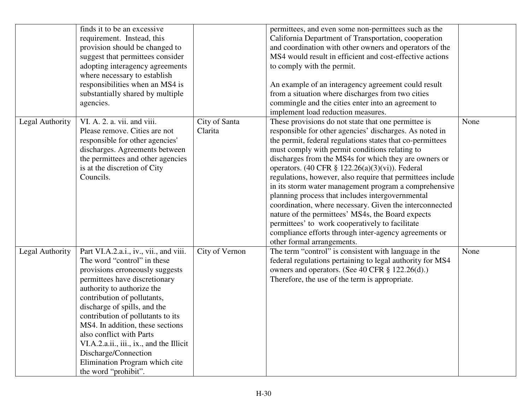|                 | finds it to be an excessive<br>requirement. Instead, this<br>provision should be changed to<br>suggest that permittees consider<br>adopting interagency agreements<br>where necessary to establish<br>responsibilities when an MS4 is<br>substantially shared by multiple<br>agencies.                                                                                                                                                                                    |                          | permittees, and even some non-permittees such as the<br>California Department of Transportation, cooperation<br>and coordination with other owners and operators of the<br>MS4 would result in efficient and cost-effective actions<br>to comply with the permit.<br>An example of an interagency agreement could result<br>from a situation where discharges from two cities<br>commingle and the cities enter into an agreement to<br>implement load reduction measures.                                                                                                                                                                                                                                                                                                                     |      |
|-----------------|---------------------------------------------------------------------------------------------------------------------------------------------------------------------------------------------------------------------------------------------------------------------------------------------------------------------------------------------------------------------------------------------------------------------------------------------------------------------------|--------------------------|------------------------------------------------------------------------------------------------------------------------------------------------------------------------------------------------------------------------------------------------------------------------------------------------------------------------------------------------------------------------------------------------------------------------------------------------------------------------------------------------------------------------------------------------------------------------------------------------------------------------------------------------------------------------------------------------------------------------------------------------------------------------------------------------|------|
| Legal Authority | VI. A. 2. a. vii. and viii.<br>Please remove. Cities are not<br>responsible for other agencies'<br>discharges. Agreements between<br>the permittees and other agencies<br>is at the discretion of City<br>Councils.                                                                                                                                                                                                                                                       | City of Santa<br>Clarita | These provisions do not state that one permittee is<br>responsible for other agencies' discharges. As noted in<br>the permit, federal regulations states that co-permittees<br>must comply with permit conditions relating to<br>discharges from the MS4s for which they are owners or<br>operators. $(40 \text{ CFR } \S$ 122.26 $(a)(3)(vi)$ ). Federal<br>regulations, however, also require that permittees include<br>in its storm water management program a comprehensive<br>planning process that includes intergovernmental<br>coordination, where necessary. Given the interconnected<br>nature of the permittees' MS4s, the Board expects<br>permittees' to work cooperatively to facilitate<br>compliance efforts through inter-agency agreements or<br>other formal arrangements. | None |
| Legal Authority | Part VI.A.2.a.i., iv., vii., and viii.<br>The word "control" in these<br>provisions erroneously suggests<br>permittees have discretionary<br>authority to authorize the<br>contribution of pollutants,<br>discharge of spills, and the<br>contribution of pollutants to its<br>MS4. In addition, these sections<br>also conflict with Parts<br>VI.A.2.a.ii., iii., ix., and the Illicit<br>Discharge/Connection<br>Elimination Program which cite<br>the word "prohibit". | City of Vernon           | The term "control" is consistent with language in the<br>federal regulations pertaining to legal authority for MS4<br>owners and operators. (See 40 CFR § 122.26(d).)<br>Therefore, the use of the term is appropriate.                                                                                                                                                                                                                                                                                                                                                                                                                                                                                                                                                                        | None |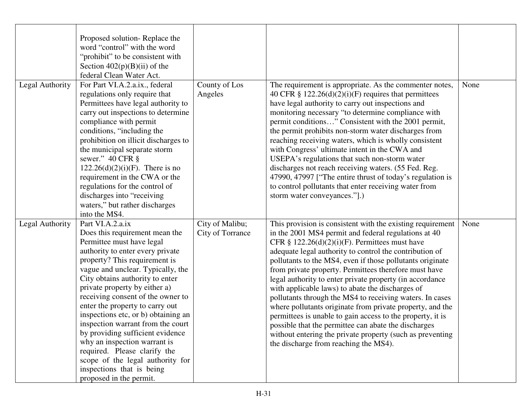|                 | Proposed solution-Replace the<br>word "control" with the word<br>"prohibit" to be consistent with<br>Section $402(p)(B)(ii)$ of the<br>federal Clean Water Act.                                                                                                                                                                                                                                                                                                                                                                                                                                                   |                                     |                                                                                                                                                                                                                                                                                                                                                                                                                                                                                                                                                                                                                                                                                                                                                                                                                               |      |
|-----------------|-------------------------------------------------------------------------------------------------------------------------------------------------------------------------------------------------------------------------------------------------------------------------------------------------------------------------------------------------------------------------------------------------------------------------------------------------------------------------------------------------------------------------------------------------------------------------------------------------------------------|-------------------------------------|-------------------------------------------------------------------------------------------------------------------------------------------------------------------------------------------------------------------------------------------------------------------------------------------------------------------------------------------------------------------------------------------------------------------------------------------------------------------------------------------------------------------------------------------------------------------------------------------------------------------------------------------------------------------------------------------------------------------------------------------------------------------------------------------------------------------------------|------|
| Legal Authority | For Part VI.A.2.a.ix., federal<br>regulations only require that<br>Permittees have legal authority to<br>carry out inspections to determine<br>compliance with permit<br>conditions, "including the<br>prohibition on illicit discharges to<br>the municipal separate storm<br>sewer." 40 CFR §<br>$122.26(d)(2)(i)(F)$ . There is no<br>requirement in the CWA or the<br>regulations for the control of<br>discharges into "receiving<br>waters," but rather discharges<br>into the MS4.                                                                                                                         | County of Los<br>Angeles            | The requirement is appropriate. As the commenter notes,<br>40 CFR $\S 122.26(d)(2)(i)(F)$ requires that permittees<br>have legal authority to carry out inspections and<br>monitoring necessary "to determine compliance with<br>permit conditions" Consistent with the 2001 permit,<br>the permit prohibits non-storm water discharges from<br>reaching receiving waters, which is wholly consistent<br>with Congress' ultimate intent in the CWA and<br>USEPA's regulations that such non-storm water<br>discharges not reach receiving waters. (55 Fed. Reg.<br>47990, 47997 ["The entire thrust of today's regulation is<br>to control pollutants that enter receiving water from<br>storm water conveyances."[.)                                                                                                         | None |
| Legal Authority | Part VI.A.2.a.ix<br>Does this requirement mean the<br>Permittee must have legal<br>authority to enter every private<br>property? This requirement is<br>vague and unclear. Typically, the<br>City obtains authority to enter<br>private property by either a)<br>receiving consent of the owner to<br>enter the property to carry out<br>inspections etc, or b) obtaining an<br>inspection warrant from the court<br>by providing sufficient evidence<br>why an inspection warrant is<br>required. Please clarify the<br>scope of the legal authority for<br>inspections that is being<br>proposed in the permit. | City of Malibu;<br>City of Torrance | This provision is consistent with the existing requirement<br>in the 2001 MS4 permit and federal regulations at 40<br>CFR § $122.26(d)(2)(i)(F)$ . Permittees must have<br>adequate legal authority to control the contribution of<br>pollutants to the MS4, even if those pollutants originate<br>from private property. Permittees therefore must have<br>legal authority to enter private property (in accordance<br>with applicable laws) to abate the discharges of<br>pollutants through the MS4 to receiving waters. In cases<br>where pollutants originate from private property, and the<br>permittees is unable to gain access to the property, it is<br>possible that the permittee can abate the discharges<br>without entering the private property (such as preventing<br>the discharge from reaching the MS4). | None |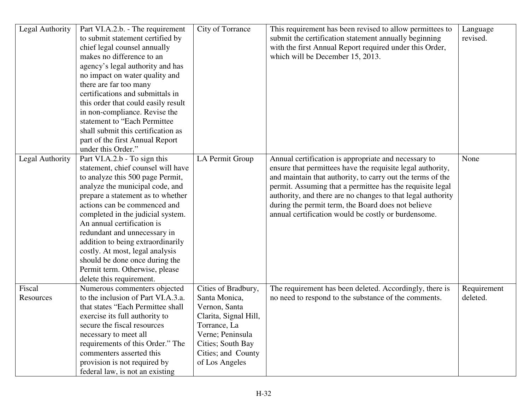| Legal Authority     | Part VI.A.2.b. - The requirement<br>to submit statement certified by<br>chief legal counsel annually<br>makes no difference to an<br>agency's legal authority and has<br>no impact on water quality and<br>there are far too many<br>certifications and submittals in<br>this order that could easily result<br>in non-compliance. Revise the<br>statement to "Each Permittee<br>shall submit this certification as<br>part of the first Annual Report                                                          | City of Torrance                                                                                                                                                                | This requirement has been revised to allow permittees to<br>submit the certification statement annually beginning<br>with the first Annual Report required under this Order,<br>which will be December 15, 2013.                                                                                                                                                                                                          | Language<br>revised.    |
|---------------------|-----------------------------------------------------------------------------------------------------------------------------------------------------------------------------------------------------------------------------------------------------------------------------------------------------------------------------------------------------------------------------------------------------------------------------------------------------------------------------------------------------------------|---------------------------------------------------------------------------------------------------------------------------------------------------------------------------------|---------------------------------------------------------------------------------------------------------------------------------------------------------------------------------------------------------------------------------------------------------------------------------------------------------------------------------------------------------------------------------------------------------------------------|-------------------------|
| Legal Authority     | under this Order."<br>Part VI.A.2.b - To sign this<br>statement, chief counsel will have<br>to analyze this 500 page Permit,<br>analyze the municipal code, and<br>prepare a statement as to whether<br>actions can be commenced and<br>completed in the judicial system.<br>An annual certification is<br>redundant and unnecessary in<br>addition to being extraordinarily<br>costly. At most, legal analysis<br>should be done once during the<br>Permit term. Otherwise, please<br>delete this requirement. | LA Permit Group                                                                                                                                                                 | Annual certification is appropriate and necessary to<br>ensure that permittees have the requisite legal authority,<br>and maintain that authority, to carry out the terms of the<br>permit. Assuming that a permittee has the requisite legal<br>authority, and there are no changes to that legal authority<br>during the permit term, the Board does not believe<br>annual certification would be costly or burdensome. | None                    |
| Fiscal<br>Resources | Numerous commenters objected<br>to the inclusion of Part VI.A.3.a.<br>that states "Each Permittee shall<br>exercise its full authority to<br>secure the fiscal resources<br>necessary to meet all<br>requirements of this Order." The<br>commenters asserted this<br>provision is not required by<br>federal law, is not an existing                                                                                                                                                                            | Cities of Bradbury,<br>Santa Monica,<br>Vernon, Santa<br>Clarita, Signal Hill,<br>Torrance, La<br>Verne; Peninsula<br>Cities; South Bay<br>Cities; and County<br>of Los Angeles | The requirement has been deleted. Accordingly, there is<br>no need to respond to the substance of the comments.                                                                                                                                                                                                                                                                                                           | Requirement<br>deleted. |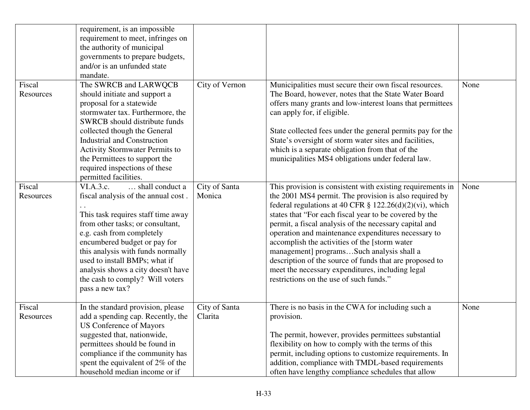| Fiscal<br>Resources | requirement, is an impossible<br>requirement to meet, infringes on<br>the authority of municipal<br>governments to prepare budgets,<br>and/or is an unfunded state<br>mandate.<br>The SWRCB and LARWQCB<br>should initiate and support a<br>proposal for a statewide<br>stormwater tax. Furthermore, the<br>SWRCB should distribute funds<br>collected though the General<br><b>Industrial and Construction</b><br><b>Activity Stormwater Permits to</b><br>the Permittees to support the<br>required inspections of these<br>permitted facilities. | City of Vernon           | Municipalities must secure their own fiscal resources.<br>The Board, however, notes that the State Water Board<br>offers many grants and low-interest loans that permittees<br>can apply for, if eligible.<br>State collected fees under the general permits pay for the<br>State's oversight of storm water sites and facilities,<br>which is a separate obligation from that of the<br>municipalities MS4 obligations under federal law.                                                                                                                                                                            | None |
|---------------------|-----------------------------------------------------------------------------------------------------------------------------------------------------------------------------------------------------------------------------------------------------------------------------------------------------------------------------------------------------------------------------------------------------------------------------------------------------------------------------------------------------------------------------------------------------|--------------------------|-----------------------------------------------------------------------------------------------------------------------------------------------------------------------------------------------------------------------------------------------------------------------------------------------------------------------------------------------------------------------------------------------------------------------------------------------------------------------------------------------------------------------------------------------------------------------------------------------------------------------|------|
| Fiscal<br>Resources | $\ldots$ shall conduct a<br>VI.A.3.c.<br>fiscal analysis of the annual cost.<br>This task requires staff time away<br>from other tasks; or consultant,<br>e.g. cash from completely<br>encumbered budget or pay for<br>this analysis with funds normally<br>used to install BMPs; what if<br>analysis shows a city doesn't have<br>the cash to comply? Will voters<br>pass a new tax?                                                                                                                                                               | City of Santa<br>Monica  | This provision is consistent with existing requirements in<br>the 2001 MS4 permit. The provision is also required by<br>federal regulations at 40 CFR $\S$ 122.26(d)(2)(vi), which<br>states that "For each fiscal year to be covered by the<br>permit, a fiscal analysis of the necessary capital and<br>operation and maintenance expenditures necessary to<br>accomplish the activities of the [storm water<br>management] programsSuch analysis shall a<br>description of the source of funds that are proposed to<br>meet the necessary expenditures, including legal<br>restrictions on the use of such funds." | None |
| Fiscal<br>Resources | In the standard provision, please<br>add a spending cap. Recently, the<br><b>US Conference of Mayors</b><br>suggested that, nationwide,<br>permittees should be found in<br>compliance if the community has<br>spent the equivalent of 2% of the<br>household median income or if                                                                                                                                                                                                                                                                   | City of Santa<br>Clarita | There is no basis in the CWA for including such a<br>provision.<br>The permit, however, provides permittees substantial<br>flexibility on how to comply with the terms of this<br>permit, including options to customize requirements. In<br>addition, compliance with TMDL-based requirements<br>often have lengthy compliance schedules that allow                                                                                                                                                                                                                                                                  | None |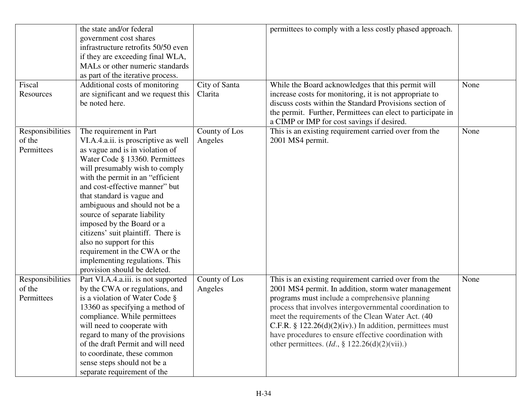|                  | the state and/or federal             |               | permittees to comply with a less costly phased approach.     |      |
|------------------|--------------------------------------|---------------|--------------------------------------------------------------|------|
|                  | government cost shares               |               |                                                              |      |
|                  | infrastructure retrofits 50/50 even  |               |                                                              |      |
|                  | if they are exceeding final WLA,     |               |                                                              |      |
|                  | MALs or other numeric standards      |               |                                                              |      |
|                  | as part of the iterative process.    |               |                                                              |      |
| Fiscal           | Additional costs of monitoring       | City of Santa | While the Board acknowledges that this permit will           | None |
| Resources        | are significant and we request this  | Clarita       | increase costs for monitoring, it is not appropriate to      |      |
|                  | be noted here.                       |               | discuss costs within the Standard Provisions section of      |      |
|                  |                                      |               | the permit. Further, Permittees can elect to participate in  |      |
|                  |                                      |               | a CIMP or IMP for cost savings if desired.                   |      |
| Responsibilities | The requirement in Part              | County of Los | This is an existing requirement carried over from the        | None |
| of the           | VI.A.4.a.ii. is proscriptive as well | Angeles       | 2001 MS4 permit.                                             |      |
| Permittees       | as vague and is in violation of      |               |                                                              |      |
|                  | Water Code § 13360. Permittees       |               |                                                              |      |
|                  | will presumably wish to comply       |               |                                                              |      |
|                  | with the permit in an "efficient"    |               |                                                              |      |
|                  | and cost-effective manner" but       |               |                                                              |      |
|                  | that standard is vague and           |               |                                                              |      |
|                  | ambiguous and should not be a        |               |                                                              |      |
|                  | source of separate liability         |               |                                                              |      |
|                  | imposed by the Board or a            |               |                                                              |      |
|                  | citizens' suit plaintiff. There is   |               |                                                              |      |
|                  | also no support for this             |               |                                                              |      |
|                  | requirement in the CWA or the        |               |                                                              |      |
|                  | implementing regulations. This       |               |                                                              |      |
|                  | provision should be deleted.         |               |                                                              |      |
| Responsibilities | Part VI.A.4.a.iii. is not supported  | County of Los | This is an existing requirement carried over from the        | None |
| of the           | by the CWA or regulations, and       | Angeles       | 2001 MS4 permit. In addition, storm water management         |      |
| Permittees       | is a violation of Water Code §       |               | programs must include a comprehensive planning               |      |
|                  | 13360 as specifying a method of      |               | process that involves intergovernmental coordination to      |      |
|                  | compliance. While permittees         |               | meet the requirements of the Clean Water Act. (40)           |      |
|                  | will need to cooperate with          |               | C.F.R. $\S 122.26(d)(2)(iv)$ .) In addition, permittees must |      |
|                  | regard to many of the provisions     |               | have procedures to ensure effective coordination with        |      |
|                  | of the draft Permit and will need    |               | other permittees. $(Id, § 122.26(d)(2)(vii)$ .)              |      |
|                  | to coordinate, these common          |               |                                                              |      |
|                  | sense steps should not be a          |               |                                                              |      |
|                  | separate requirement of the          |               |                                                              |      |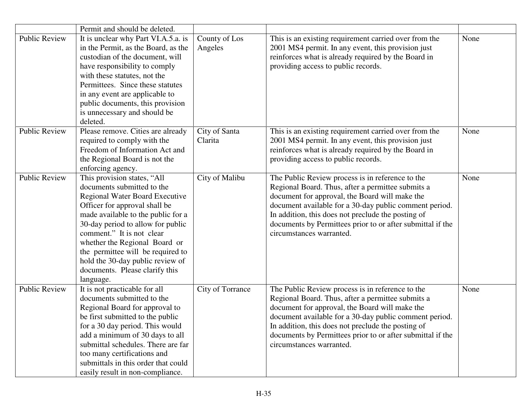|                      | Permit and should be deleted.                                                                                                                                                                                                                                                                                                                                                                        |                          |                                                                                                                                                                                                                                                                                                                                                                   |      |
|----------------------|------------------------------------------------------------------------------------------------------------------------------------------------------------------------------------------------------------------------------------------------------------------------------------------------------------------------------------------------------------------------------------------------------|--------------------------|-------------------------------------------------------------------------------------------------------------------------------------------------------------------------------------------------------------------------------------------------------------------------------------------------------------------------------------------------------------------|------|
| <b>Public Review</b> | It is unclear why Part VI.A.5.a. is<br>in the Permit, as the Board, as the<br>custodian of the document, will<br>have responsibility to comply<br>with these statutes, not the<br>Permittees. Since these statutes<br>in any event are applicable to<br>public documents, this provision<br>is unnecessary and should be<br>deleted.                                                                 | County of Los<br>Angeles | This is an existing requirement carried over from the<br>2001 MS4 permit. In any event, this provision just<br>reinforces what is already required by the Board in<br>providing access to public records.                                                                                                                                                         | None |
| <b>Public Review</b> | Please remove. Cities are already<br>required to comply with the<br>Freedom of Information Act and<br>the Regional Board is not the<br>enforcing agency.                                                                                                                                                                                                                                             | City of Santa<br>Clarita | This is an existing requirement carried over from the<br>2001 MS4 permit. In any event, this provision just<br>reinforces what is already required by the Board in<br>providing access to public records.                                                                                                                                                         | None |
| <b>Public Review</b> | This provision states, "All<br>documents submitted to the<br><b>Regional Water Board Executive</b><br>Officer for approval shall be<br>made available to the public for a<br>30-day period to allow for public<br>comment." It is not clear<br>whether the Regional Board or<br>the permittee will be required to<br>hold the 30-day public review of<br>documents. Please clarify this<br>language. | City of Malibu           | The Public Review process is in reference to the<br>Regional Board. Thus, after a permittee submits a<br>document for approval, the Board will make the<br>document available for a 30-day public comment period.<br>In addition, this does not preclude the posting of<br>documents by Permittees prior to or after submittal if the<br>circumstances warranted. | None |
| <b>Public Review</b> | It is not practicable for all<br>documents submitted to the<br>Regional Board for approval to<br>be first submitted to the public<br>for a 30 day period. This would<br>add a minimum of 30 days to all<br>submittal schedules. There are far<br>too many certifications and<br>submittals in this order that could<br>easily result in non-compliance.                                              | City of Torrance         | The Public Review process is in reference to the<br>Regional Board. Thus, after a permittee submits a<br>document for approval, the Board will make the<br>document available for a 30-day public comment period.<br>In addition, this does not preclude the posting of<br>documents by Permittees prior to or after submittal if the<br>circumstances warranted. | None |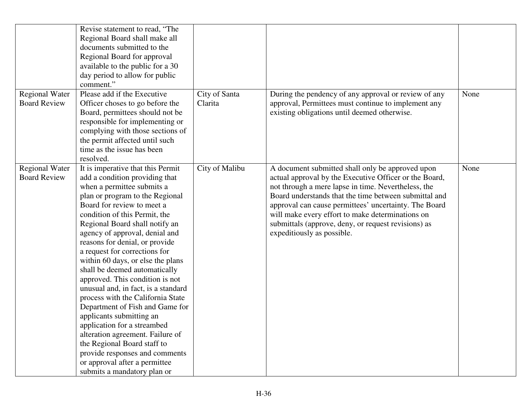| <b>Regional Water</b>                        | Revise statement to read, "The<br>Regional Board shall make all<br>documents submitted to the<br>Regional Board for approval<br>available to the public for a 30<br>day period to allow for public<br>comment."<br>Please add if the Executive                                                                                                                                                                                                                                                                                                                                                                                                                                                                                                                                                     | City of Santa  | During the pendency of any approval or review of any                                                                                                                                                                                                                                                                                                                                                                         | None |
|----------------------------------------------|----------------------------------------------------------------------------------------------------------------------------------------------------------------------------------------------------------------------------------------------------------------------------------------------------------------------------------------------------------------------------------------------------------------------------------------------------------------------------------------------------------------------------------------------------------------------------------------------------------------------------------------------------------------------------------------------------------------------------------------------------------------------------------------------------|----------------|------------------------------------------------------------------------------------------------------------------------------------------------------------------------------------------------------------------------------------------------------------------------------------------------------------------------------------------------------------------------------------------------------------------------------|------|
| <b>Board Review</b>                          | Officer choses to go before the<br>Board, permittees should not be<br>responsible for implementing or<br>complying with those sections of<br>the permit affected until such<br>time as the issue has been<br>resolved.                                                                                                                                                                                                                                                                                                                                                                                                                                                                                                                                                                             | Clarita        | approval, Permittees must continue to implement any<br>existing obligations until deemed otherwise.                                                                                                                                                                                                                                                                                                                          |      |
| <b>Regional Water</b><br><b>Board Review</b> | It is imperative that this Permit<br>add a condition providing that<br>when a permittee submits a<br>plan or program to the Regional<br>Board for review to meet a<br>condition of this Permit, the<br>Regional Board shall notify an<br>agency of approval, denial and<br>reasons for denial, or provide<br>a request for corrections for<br>within 60 days, or else the plans<br>shall be deemed automatically<br>approved. This condition is not<br>unusual and, in fact, is a standard<br>process with the California State<br>Department of Fish and Game for<br>applicants submitting an<br>application for a streambed<br>alteration agreement. Failure of<br>the Regional Board staff to<br>provide responses and comments<br>or approval after a permittee<br>submits a mandatory plan or | City of Malibu | A document submitted shall only be approved upon<br>actual approval by the Executive Officer or the Board,<br>not through a mere lapse in time. Nevertheless, the<br>Board understands that the time between submittal and<br>approval can cause permittees' uncertainty. The Board<br>will make every effort to make determinations on<br>submittals (approve, deny, or request revisions) as<br>expeditiously as possible. | None |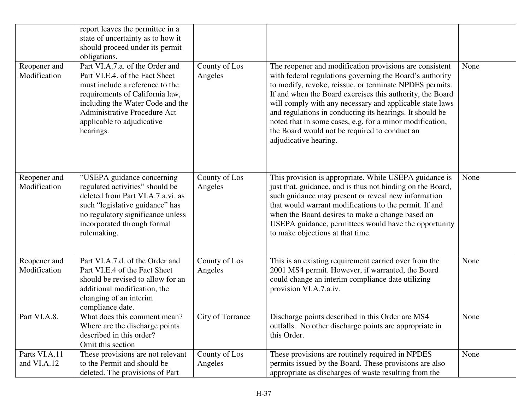|                              | report leaves the permittee in a<br>state of uncertainty as to how it<br>should proceed under its permit<br>obligations.                                                                                                                                      |                          |                                                                                                                                                                                                                                                                                                                                                                                                                                                                                                           |      |
|------------------------------|---------------------------------------------------------------------------------------------------------------------------------------------------------------------------------------------------------------------------------------------------------------|--------------------------|-----------------------------------------------------------------------------------------------------------------------------------------------------------------------------------------------------------------------------------------------------------------------------------------------------------------------------------------------------------------------------------------------------------------------------------------------------------------------------------------------------------|------|
| Reopener and<br>Modification | Part VI.A.7.a. of the Order and<br>Part VI.E.4. of the Fact Sheet<br>must include a reference to the<br>requirements of California law,<br>including the Water Code and the<br><b>Administrative Procedure Act</b><br>applicable to adjudicative<br>hearings. | County of Los<br>Angeles | The reopener and modification provisions are consistent<br>with federal regulations governing the Board's authority<br>to modify, revoke, reissue, or terminate NPDES permits.<br>If and when the Board exercises this authority, the Board<br>will comply with any necessary and applicable state laws<br>and regulations in conducting its hearings. It should be<br>noted that in some cases, e.g. for a minor modification,<br>the Board would not be required to conduct an<br>adjudicative hearing. | None |
| Reopener and<br>Modification | "USEPA guidance concerning<br>regulated activities" should be<br>deleted from Part VI.A.7.a.vi. as<br>such "legislative guidance" has<br>no regulatory significance unless<br>incorporated through formal<br>rulemaking.                                      | County of Los<br>Angeles | This provision is appropriate. While USEPA guidance is<br>just that, guidance, and is thus not binding on the Board,<br>such guidance may present or reveal new information<br>that would warrant modifications to the permit. If and<br>when the Board desires to make a change based on<br>USEPA guidance, permittees would have the opportunity<br>to make objections at that time.                                                                                                                    | None |
| Reopener and<br>Modification | Part VI.A.7.d. of the Order and<br>Part VI.E.4 of the Fact Sheet<br>should be revised to allow for an<br>additional modification, the<br>changing of an interim<br>compliance date.                                                                           | County of Los<br>Angeles | This is an existing requirement carried over from the<br>2001 MS4 permit. However, if warranted, the Board<br>could change an interim compliance date utilizing<br>provision VI.A.7.a.iv.                                                                                                                                                                                                                                                                                                                 | None |
| Part VI.A.8.                 | What does this comment mean?<br>Where are the discharge points<br>described in this order?<br>Omit this section                                                                                                                                               | City of Torrance         | Discharge points described in this Order are MS4<br>outfalls. No other discharge points are appropriate in<br>this Order.                                                                                                                                                                                                                                                                                                                                                                                 | None |
| Parts VI.A.11<br>and VI.A.12 | These provisions are not relevant<br>to the Permit and should be<br>deleted. The provisions of Part                                                                                                                                                           | County of Los<br>Angeles | These provisions are routinely required in NPDES<br>permits issued by the Board. These provisions are also<br>appropriate as discharges of waste resulting from the                                                                                                                                                                                                                                                                                                                                       | None |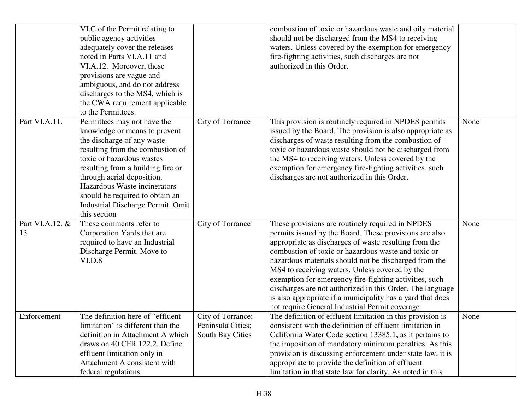|                       | VI.C of the Permit relating to<br>public agency activities<br>adequately cover the releases<br>noted in Parts VI.A.11 and<br>VI.A.12. Moreover, these<br>provisions are vague and<br>ambiguous, and do not address<br>discharges to the MS4, which is<br>the CWA requirement applicable<br>to the Permittees.                                          |                                                            | combustion of toxic or hazardous waste and oily material<br>should not be discharged from the MS4 to receiving<br>waters. Unless covered by the exemption for emergency<br>fire-fighting activities, such discharges are not<br>authorized in this Order.                                                                                                                                                                                                                                                                                                                    |      |
|-----------------------|--------------------------------------------------------------------------------------------------------------------------------------------------------------------------------------------------------------------------------------------------------------------------------------------------------------------------------------------------------|------------------------------------------------------------|------------------------------------------------------------------------------------------------------------------------------------------------------------------------------------------------------------------------------------------------------------------------------------------------------------------------------------------------------------------------------------------------------------------------------------------------------------------------------------------------------------------------------------------------------------------------------|------|
| Part VI.A.11.         | Permittees may not have the<br>knowledge or means to prevent<br>the discharge of any waste<br>resulting from the combustion of<br>toxic or hazardous wastes<br>resulting from a building fire or<br>through aerial deposition.<br>Hazardous Waste incinerators<br>should be required to obtain an<br>Industrial Discharge Permit. Omit<br>this section | City of Torrance                                           | This provision is routinely required in NPDES permits<br>issued by the Board. The provision is also appropriate as<br>discharges of waste resulting from the combustion of<br>toxic or hazardous waste should not be discharged from<br>the MS4 to receiving waters. Unless covered by the<br>exemption for emergency fire-fighting activities, such<br>discharges are not authorized in this Order.                                                                                                                                                                         | None |
| Part VI.A.12. &<br>13 | These comments refer to<br>Corporation Yards that are<br>required to have an Industrial<br>Discharge Permit. Move to<br>VI.D.8                                                                                                                                                                                                                         | City of Torrance                                           | These provisions are routinely required in NPDES<br>permits issued by the Board. These provisions are also<br>appropriate as discharges of waste resulting from the<br>combustion of toxic or hazardous waste and toxic or<br>hazardous materials should not be discharged from the<br>MS4 to receiving waters. Unless covered by the<br>exemption for emergency fire-fighting activities, such<br>discharges are not authorized in this Order. The language<br>is also appropriate if a municipality has a yard that does<br>not require General Industrial Permit coverage | None |
| Enforcement           | The definition here of "effluent"<br>limitation" is different than the<br>definition in Attachment A which<br>draws on 40 CFR 122.2. Define<br>effluent limitation only in<br>Attachment A consistent with<br>federal regulations                                                                                                                      | City of Torrance;<br>Peninsula Cities;<br>South Bay Cities | The definition of effluent limitation in this provision is<br>consistent with the definition of effluent limitation in<br>California Water Code section 13385.1, as it pertains to<br>the imposition of mandatory minimum penalties. As this<br>provision is discussing enforcement under state law, it is<br>appropriate to provide the definition of effluent<br>limitation in that state law for clarity. As noted in this                                                                                                                                                | None |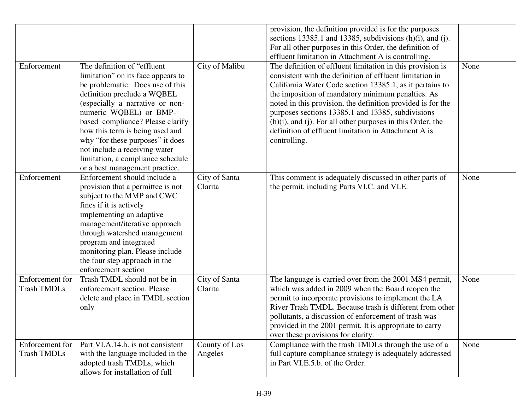|                                       |                                                                                                                                                                                                                                                                                                                                                                                                                       |                          | provision, the definition provided is for the purposes<br>sections 13385.1 and 13385, subdivisions $(h)(i)$ , and $(j)$ .<br>For all other purposes in this Order, the definition of<br>effluent limitation in Attachment A is controlling.                                                                                                                                                                                                                                                             |      |
|---------------------------------------|-----------------------------------------------------------------------------------------------------------------------------------------------------------------------------------------------------------------------------------------------------------------------------------------------------------------------------------------------------------------------------------------------------------------------|--------------------------|---------------------------------------------------------------------------------------------------------------------------------------------------------------------------------------------------------------------------------------------------------------------------------------------------------------------------------------------------------------------------------------------------------------------------------------------------------------------------------------------------------|------|
| Enforcement                           | The definition of "effluent"<br>limitation" on its face appears to<br>be problematic. Does use of this<br>definition preclude a WQBEL<br>(especially a narrative or non-<br>numeric WQBEL) or BMP-<br>based compliance? Please clarify<br>how this term is being used and<br>why "for these purposes" it does<br>not include a receiving water<br>limitation, a compliance schedule<br>or a best management practice. | City of Malibu           | The definition of effluent limitation in this provision is<br>consistent with the definition of effluent limitation in<br>California Water Code section 13385.1, as it pertains to<br>the imposition of mandatory minimum penalties. As<br>noted in this provision, the definition provided is for the<br>purposes sections 13385.1 and 13385, subdivisions<br>$(h)(i)$ , and $(j)$ . For all other purposes in this Order, the<br>definition of effluent limitation in Attachment A is<br>controlling. | None |
| Enforcement                           | Enforcement should include a<br>provision that a permittee is not<br>subject to the MMP and CWC<br>fines if it is actively<br>implementing an adaptive<br>management/iterative approach<br>through watershed management<br>program and integrated<br>monitoring plan. Please include<br>the four step approach in the<br>enforcement section                                                                          | City of Santa<br>Clarita | This comment is adequately discussed in other parts of<br>the permit, including Parts VI.C. and VI.E.                                                                                                                                                                                                                                                                                                                                                                                                   | None |
| Enforcement for<br><b>Trash TMDLs</b> | Trash TMDL should not be in<br>enforcement section. Please<br>delete and place in TMDL section<br>only                                                                                                                                                                                                                                                                                                                | City of Santa<br>Clarita | The language is carried over from the 2001 MS4 permit,<br>which was added in 2009 when the Board reopen the<br>permit to incorporate provisions to implement the LA<br>River Trash TMDL. Because trash is different from other<br>pollutants, a discussion of enforcement of trash was<br>provided in the 2001 permit. It is appropriate to carry<br>over these provisions for clarity.                                                                                                                 | None |
| Enforcement for<br><b>Trash TMDLs</b> | Part VI.A.14.h. is not consistent<br>with the language included in the<br>adopted trash TMDLs, which<br>allows for installation of full                                                                                                                                                                                                                                                                               | County of Los<br>Angeles | Compliance with the trash TMDLs through the use of a<br>full capture compliance strategy is adequately addressed<br>in Part VI.E.5.b. of the Order.                                                                                                                                                                                                                                                                                                                                                     | None |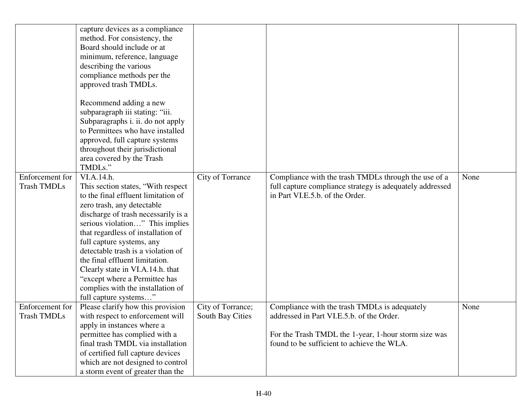|                                       | capture devices as a compliance<br>method. For consistency, the<br>Board should include or at<br>minimum, reference, language<br>describing the various<br>compliance methods per the<br>approved trash TMDLs.<br>Recommend adding a new<br>subparagraph iii stating: "iii.<br>Subparagraphs i. ii. do not apply<br>to Permittees who have installed<br>approved, full capture systems<br>throughout their jurisdictional<br>area covered by the Trash<br>TMDLs." |                                       |                                                                                                                  |      |
|---------------------------------------|-------------------------------------------------------------------------------------------------------------------------------------------------------------------------------------------------------------------------------------------------------------------------------------------------------------------------------------------------------------------------------------------------------------------------------------------------------------------|---------------------------------------|------------------------------------------------------------------------------------------------------------------|------|
| Enforcement for<br><b>Trash TMDLs</b> | VI.A.14.h.<br>This section states, "With respect"                                                                                                                                                                                                                                                                                                                                                                                                                 | City of Torrance                      | Compliance with the trash TMDLs through the use of a<br>full capture compliance strategy is adequately addressed | None |
|                                       | to the final effluent limitation of                                                                                                                                                                                                                                                                                                                                                                                                                               |                                       | in Part VI.E.5.b. of the Order.                                                                                  |      |
|                                       | zero trash, any detectable<br>discharge of trash necessarily is a                                                                                                                                                                                                                                                                                                                                                                                                 |                                       |                                                                                                                  |      |
|                                       | serious violation" This implies                                                                                                                                                                                                                                                                                                                                                                                                                                   |                                       |                                                                                                                  |      |
|                                       | that regardless of installation of                                                                                                                                                                                                                                                                                                                                                                                                                                |                                       |                                                                                                                  |      |
|                                       | full capture systems, any                                                                                                                                                                                                                                                                                                                                                                                                                                         |                                       |                                                                                                                  |      |
|                                       | detectable trash is a violation of                                                                                                                                                                                                                                                                                                                                                                                                                                |                                       |                                                                                                                  |      |
|                                       | the final effluent limitation.                                                                                                                                                                                                                                                                                                                                                                                                                                    |                                       |                                                                                                                  |      |
|                                       | Clearly state in VI.A.14.h. that                                                                                                                                                                                                                                                                                                                                                                                                                                  |                                       |                                                                                                                  |      |
|                                       | "except where a Permittee has                                                                                                                                                                                                                                                                                                                                                                                                                                     |                                       |                                                                                                                  |      |
|                                       | complies with the installation of                                                                                                                                                                                                                                                                                                                                                                                                                                 |                                       |                                                                                                                  |      |
| Enforcement for                       | full capture systems"<br>Please clarify how this provision                                                                                                                                                                                                                                                                                                                                                                                                        |                                       | Compliance with the trash TMDLs is adequately                                                                    | None |
| <b>Trash TMDLs</b>                    | with respect to enforcement will                                                                                                                                                                                                                                                                                                                                                                                                                                  | City of Torrance;<br>South Bay Cities | addressed in Part VI.E.5.b. of the Order.                                                                        |      |
|                                       | apply in instances where a                                                                                                                                                                                                                                                                                                                                                                                                                                        |                                       |                                                                                                                  |      |
|                                       | permittee has complied with a                                                                                                                                                                                                                                                                                                                                                                                                                                     |                                       | For the Trash TMDL the 1-year, 1-hour storm size was                                                             |      |
|                                       | final trash TMDL via installation                                                                                                                                                                                                                                                                                                                                                                                                                                 |                                       | found to be sufficient to achieve the WLA.                                                                       |      |
|                                       | of certified full capture devices                                                                                                                                                                                                                                                                                                                                                                                                                                 |                                       |                                                                                                                  |      |
|                                       | which are not designed to control                                                                                                                                                                                                                                                                                                                                                                                                                                 |                                       |                                                                                                                  |      |
|                                       | a storm event of greater than the                                                                                                                                                                                                                                                                                                                                                                                                                                 |                                       |                                                                                                                  |      |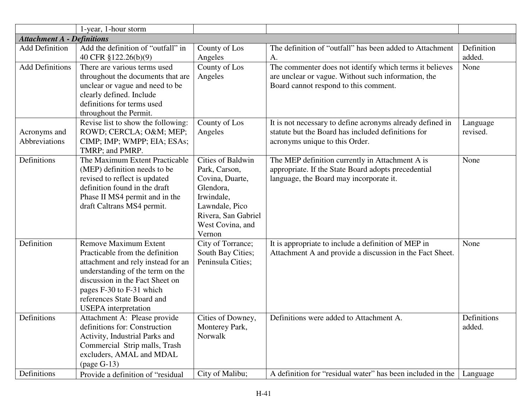|                                   | 1-year, 1-hour storm                                                                                                                                                                                                                                                  |                                                                                                                                                                |                                                                                                                                                         |                       |
|-----------------------------------|-----------------------------------------------------------------------------------------------------------------------------------------------------------------------------------------------------------------------------------------------------------------------|----------------------------------------------------------------------------------------------------------------------------------------------------------------|---------------------------------------------------------------------------------------------------------------------------------------------------------|-----------------------|
| <b>Attachment A - Definitions</b> |                                                                                                                                                                                                                                                                       |                                                                                                                                                                |                                                                                                                                                         |                       |
| <b>Add Definition</b>             | Add the definition of "outfall" in                                                                                                                                                                                                                                    | County of Los                                                                                                                                                  | The definition of "outfall" has been added to Attachment                                                                                                | Definition            |
|                                   | 40 CFR §122.26(b)(9)                                                                                                                                                                                                                                                  | Angeles                                                                                                                                                        | A.                                                                                                                                                      | added.                |
| <b>Add Definitions</b>            | There are various terms used<br>throughout the documents that are<br>unclear or vague and need to be<br>clearly defined. Include<br>definitions for terms used<br>throughout the Permit.                                                                              | County of Los<br>Angeles                                                                                                                                       | The commenter does not identify which terms it believes<br>are unclear or vague. Without such information, the<br>Board cannot respond to this comment. | None                  |
| Acronyms and<br>Abbreviations     | Revise list to show the following:<br>ROWD; CERCLA; O&M MEP;<br>CIMP; IMP; WMPP; EIA; ESAs;<br>TMRP; and PMRP.                                                                                                                                                        | County of Los<br>Angeles                                                                                                                                       | It is not necessary to define acronyms already defined in<br>statute but the Board has included definitions for<br>acronyms unique to this Order.       | Language<br>revised.  |
| Definitions                       | The Maximum Extent Practicable<br>(MEP) definition needs to be<br>revised to reflect is updated<br>definition found in the draft<br>Phase II MS4 permit and in the<br>draft Caltrans MS4 permit.                                                                      | <b>Cities of Baldwin</b><br>Park, Carson,<br>Covina, Duarte,<br>Glendora,<br>Irwindale,<br>Lawndale, Pico<br>Rivera, San Gabriel<br>West Covina, and<br>Vernon | The MEP definition currently in Attachment A is<br>appropriate. If the State Board adopts precedential<br>language, the Board may incorporate it.       | None                  |
| Definition                        | <b>Remove Maximum Extent</b><br>Practicable from the definition<br>attachment and rely instead for an<br>understanding of the term on the<br>discussion in the Fact Sheet on<br>pages F-30 to F-31 which<br>references State Board and<br><b>USEPA</b> interpretation | City of Torrance;<br>South Bay Cities;<br>Peninsula Cities;                                                                                                    | It is appropriate to include a definition of MEP in<br>Attachment A and provide a discussion in the Fact Sheet.                                         | None                  |
| Definitions                       | Attachment A: Please provide<br>definitions for: Construction<br>Activity, Industrial Parks and<br>Commercial Strip malls, Trash<br>excluders, AMAL and MDAL<br>$\left(\text{page G-13}\right)$                                                                       | Cities of Downey,<br>Monterey Park,<br>Norwalk                                                                                                                 | Definitions were added to Attachment A.                                                                                                                 | Definitions<br>added. |
| Definitions                       | Provide a definition of "residual                                                                                                                                                                                                                                     | City of Malibu;                                                                                                                                                | A definition for "residual water" has been included in the                                                                                              | Language              |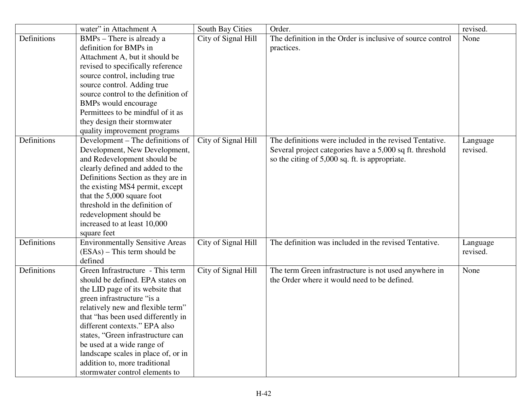|             | water" in Attachment A                                                                                                                                                                                                                                                                                                                                                                                                          | South Bay Cities    | Order.                                                                                                                                                                | revised.             |
|-------------|---------------------------------------------------------------------------------------------------------------------------------------------------------------------------------------------------------------------------------------------------------------------------------------------------------------------------------------------------------------------------------------------------------------------------------|---------------------|-----------------------------------------------------------------------------------------------------------------------------------------------------------------------|----------------------|
| Definitions | BMPs - There is already a<br>definition for BMPs in<br>Attachment A, but it should be<br>revised to specifically reference<br>source control, including true<br>source control. Adding true<br>source control to the definition of<br>BMPs would encourage<br>Permittees to be mindful of it as<br>they design their stormwater<br>quality improvement programs                                                                 | City of Signal Hill | The definition in the Order is inclusive of source control<br>practices.                                                                                              | None                 |
| Definitions | Development – The definitions of<br>Development, New Development,<br>and Redevelopment should be<br>clearly defined and added to the<br>Definitions Section as they are in<br>the existing MS4 permit, except<br>that the 5,000 square foot<br>threshold in the definition of<br>redevelopment should be<br>increased to at least 10,000<br>square feet                                                                         | City of Signal Hill | The definitions were included in the revised Tentative.<br>Several project categories have a 5,000 sq ft. threshold<br>so the citing of 5,000 sq. ft. is appropriate. | Language<br>revised. |
| Definitions | <b>Environmentally Sensitive Areas</b><br>$(ESAs)$ – This term should be<br>defined                                                                                                                                                                                                                                                                                                                                             | City of Signal Hill | The definition was included in the revised Tentative.                                                                                                                 | Language<br>revised. |
| Definitions | Green Infrastructure - This term<br>should be defined. EPA states on<br>the LID page of its website that<br>green infrastructure "is a<br>relatively new and flexible term"<br>that "has been used differently in<br>different contexts." EPA also<br>states, "Green infrastructure can<br>be used at a wide range of<br>landscape scales in place of, or in<br>addition to, more traditional<br>stormwater control elements to | City of Signal Hill | The term Green infrastructure is not used anywhere in<br>the Order where it would need to be defined.                                                                 | None                 |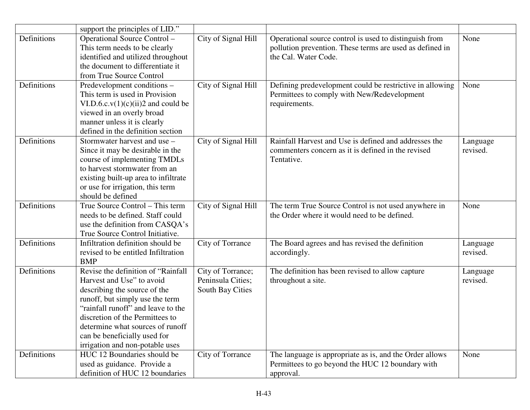|             | support the principles of LID."                                                                                                                                                                                                                                                                                    |                                                            |                                                                                                                                            |                      |
|-------------|--------------------------------------------------------------------------------------------------------------------------------------------------------------------------------------------------------------------------------------------------------------------------------------------------------------------|------------------------------------------------------------|--------------------------------------------------------------------------------------------------------------------------------------------|----------------------|
| Definitions | Operational Source Control -<br>This term needs to be clearly<br>identified and utilized throughout<br>the document to differentiate it<br>from True Source Control                                                                                                                                                | City of Signal Hill                                        | Operational source control is used to distinguish from<br>pollution prevention. These terms are used as defined in<br>the Cal. Water Code. | None                 |
| Definitions | Predevelopment conditions –<br>This term is used in Provision<br>VI.D.6.c. $v(1)(c)(ii)2$ and could be<br>viewed in an overly broad<br>manner unless it is clearly<br>defined in the definition section                                                                                                            | City of Signal Hill                                        | Defining predevelopment could be restrictive in allowing<br>Permittees to comply with New/Redevelopment<br>requirements.                   | None                 |
| Definitions | Stormwater harvest and use -<br>Since it may be desirable in the<br>course of implementing TMDLs<br>to harvest stormwater from an<br>existing built-up area to infiltrate<br>or use for irrigation, this term<br>should be defined                                                                                 | City of Signal Hill                                        | Rainfall Harvest and Use is defined and addresses the<br>commenters concern as it is defined in the revised<br>Tentative.                  | Language<br>revised. |
| Definitions | True Source Control - This term<br>needs to be defined. Staff could<br>use the definition from CASQA's<br>True Source Control Initiative.                                                                                                                                                                          | City of Signal Hill                                        | The term True Source Control is not used anywhere in<br>the Order where it would need to be defined.                                       | None                 |
| Definitions | Infiltration definition should be<br>revised to be entitled Infiltration<br><b>BMP</b>                                                                                                                                                                                                                             | City of Torrance                                           | The Board agrees and has revised the definition<br>accordingly.                                                                            | Language<br>revised. |
| Definitions | Revise the definition of "Rainfall<br>Harvest and Use" to avoid<br>describing the source of the<br>runoff, but simply use the term<br>"rainfall runoff" and leave to the<br>discretion of the Permittees to<br>determine what sources of runoff<br>can be beneficially used for<br>irrigation and non-potable uses | City of Torrance;<br>Peninsula Cities;<br>South Bay Cities | The definition has been revised to allow capture<br>throughout a site.                                                                     | Language<br>revised. |
| Definitions | HUC 12 Boundaries should be<br>used as guidance. Provide a<br>definition of HUC 12 boundaries                                                                                                                                                                                                                      | City of Torrance                                           | The language is appropriate as is, and the Order allows<br>Permittees to go beyond the HUC 12 boundary with<br>approval.                   | None                 |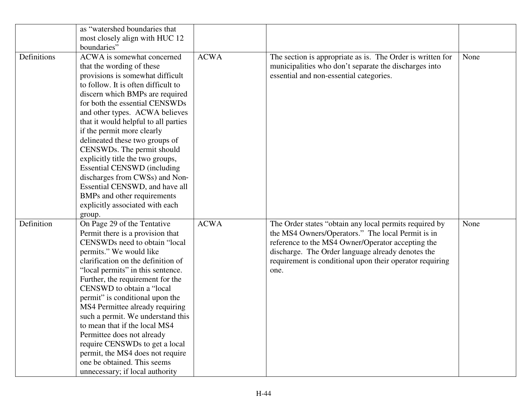|             | as "watershed boundaries that<br>most closely align with HUC 12<br>boundaries"                                                                                                                                                                                                                                                                                                                                                                                                                                                                                                                            |             |                                                                                                                                                                                                                                                                                           |      |
|-------------|-----------------------------------------------------------------------------------------------------------------------------------------------------------------------------------------------------------------------------------------------------------------------------------------------------------------------------------------------------------------------------------------------------------------------------------------------------------------------------------------------------------------------------------------------------------------------------------------------------------|-------------|-------------------------------------------------------------------------------------------------------------------------------------------------------------------------------------------------------------------------------------------------------------------------------------------|------|
| Definitions | ACWA is somewhat concerned<br>that the wording of these<br>provisions is somewhat difficult<br>to follow. It is often difficult to<br>discern which BMPs are required<br>for both the essential CENSWDs<br>and other types. ACWA believes<br>that it would helpful to all parties<br>if the permit more clearly<br>delineated these two groups of<br>CENSWDs. The permit should<br>explicitly title the two groups,<br><b>Essential CENSWD</b> (including<br>discharges from CWSs) and Non-<br>Essential CENSWD, and have all<br>BMPs and other requirements<br>explicitly associated with each<br>group. | <b>ACWA</b> | The section is appropriate as is. The Order is written for<br>municipalities who don't separate the discharges into<br>essential and non-essential categories.                                                                                                                            | None |
| Definition  | On Page 29 of the Tentative<br>Permit there is a provision that<br>CENSWDs need to obtain "local<br>permits." We would like<br>clarification on the definition of<br>"local permits" in this sentence.<br>Further, the requirement for the<br>CENSWD to obtain a "local<br>permit" is conditional upon the<br>MS4 Permittee already requiring<br>such a permit. We understand this<br>to mean that if the local MS4<br>Permittee does not already<br>require CENSWDs to get a local<br>permit, the MS4 does not require<br>one be obtained. This seems<br>unnecessary; if local authority                 | <b>ACWA</b> | The Order states "obtain any local permits required by<br>the MS4 Owners/Operators." The local Permit is in<br>reference to the MS4 Owner/Operator accepting the<br>discharge. The Order language already denotes the<br>requirement is conditional upon their operator requiring<br>one. | None |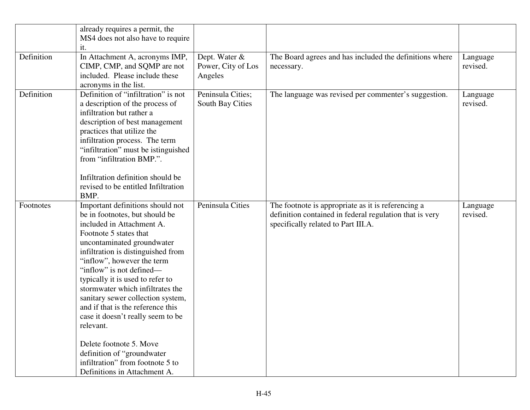|            | already requires a permit, the<br>MS4 does not also have to require<br>it.                                                                                                                                                                                                                                                                                                                                                                                                                                                                                                                |                                                |                                                                                                                                                      |                      |
|------------|-------------------------------------------------------------------------------------------------------------------------------------------------------------------------------------------------------------------------------------------------------------------------------------------------------------------------------------------------------------------------------------------------------------------------------------------------------------------------------------------------------------------------------------------------------------------------------------------|------------------------------------------------|------------------------------------------------------------------------------------------------------------------------------------------------------|----------------------|
| Definition | In Attachment A, acronyms IMP,<br>CIMP, CMP, and SQMP are not<br>included. Please include these<br>acronyms in the list.                                                                                                                                                                                                                                                                                                                                                                                                                                                                  | Dept. Water &<br>Power, City of Los<br>Angeles | The Board agrees and has included the definitions where<br>necessary.                                                                                | Language<br>revised. |
| Definition | Definition of "infiltration" is not<br>a description of the process of<br>infiltration but rather a<br>description of best management<br>practices that utilize the<br>infiltration process. The term<br>"infiltration" must be istinguished<br>from "infiltration BMP.".<br>Infiltration definition should be<br>revised to be entitled Infiltration<br>BMP.                                                                                                                                                                                                                             | Peninsula Cities;<br>South Bay Cities          | The language was revised per commenter's suggestion.                                                                                                 | Language<br>revised. |
| Footnotes  | Important definitions should not<br>be in footnotes, but should be<br>included in Attachment A.<br>Footnote 5 states that<br>uncontaminated groundwater<br>infiltration is distinguished from<br>"inflow", however the term<br>"inflow" is not defined—<br>typically it is used to refer to<br>stormwater which infiltrates the<br>sanitary sewer collection system,<br>and if that is the reference this<br>case it doesn't really seem to be<br>relevant.<br>Delete footnote 5. Move<br>definition of "groundwater"<br>infiltration" from footnote 5 to<br>Definitions in Attachment A. | Peninsula Cities                               | The footnote is appropriate as it is referencing a<br>definition contained in federal regulation that is very<br>specifically related to Part III.A. | Language<br>revised. |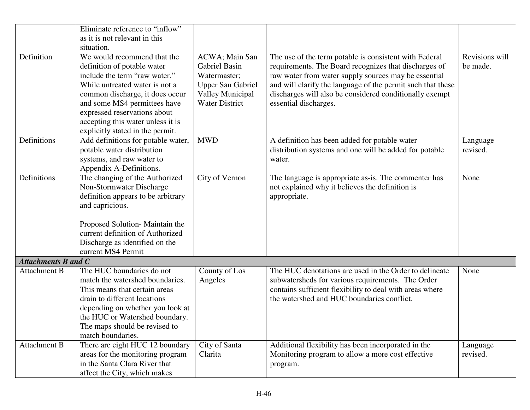|                            | Eliminate reference to "inflow"    |                          |                                                             |                |
|----------------------------|------------------------------------|--------------------------|-------------------------------------------------------------|----------------|
|                            | as it is not relevant in this      |                          |                                                             |                |
|                            | situation.                         |                          |                                                             |                |
| Definition                 | We would recommend that the        | ACWA; Main San           | The use of the term potable is consistent with Federal      | Revisions will |
|                            | definition of potable water        | <b>Gabriel Basin</b>     | requirements. The Board recognizes that discharges of       | be made.       |
|                            | include the term "raw water."      | Watermaster;             | raw water from water supply sources may be essential        |                |
|                            | While untreated water is not a     | <b>Upper San Gabriel</b> | and will clarify the language of the permit such that these |                |
|                            | common discharge, it does occur    | <b>Valley Municipal</b>  | discharges will also be considered conditionally exempt     |                |
|                            | and some MS4 permittees have       | <b>Water District</b>    | essential discharges.                                       |                |
|                            | expressed reservations about       |                          |                                                             |                |
|                            | accepting this water unless it is  |                          |                                                             |                |
|                            | explicitly stated in the permit.   |                          |                                                             |                |
| Definitions                | Add definitions for potable water, | <b>MWD</b>               | A definition has been added for potable water               | Language       |
|                            | potable water distribution         |                          | distribution systems and one will be added for potable      | revised.       |
|                            | systems, and raw water to          |                          | water.                                                      |                |
|                            | Appendix A-Definitions.            |                          |                                                             |                |
| Definitions                | The changing of the Authorized     | City of Vernon           | The language is appropriate as-is. The commenter has        | None           |
|                            | Non-Stormwater Discharge           |                          | not explained why it believes the definition is             |                |
|                            | definition appears to be arbitrary |                          | appropriate.                                                |                |
|                            | and capricious.                    |                          |                                                             |                |
|                            |                                    |                          |                                                             |                |
|                            | Proposed Solution-Maintain the     |                          |                                                             |                |
|                            | current definition of Authorized   |                          |                                                             |                |
|                            | Discharge as identified on the     |                          |                                                             |                |
|                            | current MS4 Permit                 |                          |                                                             |                |
| <b>Attachments B and C</b> |                                    |                          |                                                             |                |
| <b>Attachment B</b>        | The HUC boundaries do not          | County of Los            | The HUC denotations are used in the Order to delineate      | None           |
|                            | match the watershed boundaries.    | Angeles                  | subwatersheds for various requirements. The Order           |                |
|                            | This means that certain areas      |                          | contains sufficient flexibility to deal with areas where    |                |
|                            | drain to different locations       |                          | the watershed and HUC boundaries conflict.                  |                |
|                            | depending on whether you look at   |                          |                                                             |                |
|                            | the HUC or Watershed boundary.     |                          |                                                             |                |
|                            | The maps should be revised to      |                          |                                                             |                |
|                            | match boundaries.                  |                          |                                                             |                |
| <b>Attachment B</b>        | There are eight HUC 12 boundary    | City of Santa            | Additional flexibility has been incorporated in the         | Language       |
|                            | areas for the monitoring program   | Clarita                  | Monitoring program to allow a more cost effective           | revised.       |
|                            | in the Santa Clara River that      |                          | program.                                                    |                |
|                            | affect the City, which makes       |                          |                                                             |                |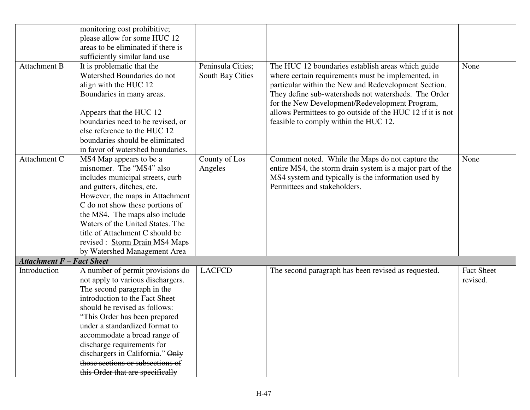|                                  | monitoring cost prohibitive;       |                   |                                                            |                   |
|----------------------------------|------------------------------------|-------------------|------------------------------------------------------------|-------------------|
|                                  | please allow for some HUC 12       |                   |                                                            |                   |
|                                  | areas to be eliminated if there is |                   |                                                            |                   |
|                                  | sufficiently similar land use      |                   |                                                            |                   |
| <b>Attachment B</b>              | It is problematic that the         | Peninsula Cities; | The HUC 12 boundaries establish areas which guide          | None              |
|                                  | Watershed Boundaries do not        | South Bay Cities  | where certain requirements must be implemented, in         |                   |
|                                  | align with the HUC 12              |                   | particular within the New and Redevelopment Section.       |                   |
|                                  | Boundaries in many areas.          |                   | They define sub-watersheds not watersheds. The Order       |                   |
|                                  |                                    |                   | for the New Development/Redevelopment Program,             |                   |
|                                  | Appears that the HUC 12            |                   | allows Permittees to go outside of the HUC 12 if it is not |                   |
|                                  | boundaries need to be revised, or  |                   | feasible to comply within the HUC 12.                      |                   |
|                                  | else reference to the HUC 12       |                   |                                                            |                   |
|                                  |                                    |                   |                                                            |                   |
|                                  | boundaries should be eliminated    |                   |                                                            |                   |
|                                  | in favor of watershed boundaries.  |                   |                                                            |                   |
| Attachment C                     | MS4 Map appears to be a            | County of Los     | Comment noted. While the Maps do not capture the           | None              |
|                                  | misnomer. The "MS4" also           | Angeles           | entire MS4, the storm drain system is a major part of the  |                   |
|                                  | includes municipal streets, curb   |                   | MS4 system and typically is the information used by        |                   |
|                                  | and gutters, ditches, etc.         |                   | Permittees and stakeholders.                               |                   |
|                                  | However, the maps in Attachment    |                   |                                                            |                   |
|                                  | C do not show these portions of    |                   |                                                            |                   |
|                                  | the MS4. The maps also include     |                   |                                                            |                   |
|                                  | Waters of the United States. The   |                   |                                                            |                   |
|                                  | title of Attachment C should be    |                   |                                                            |                   |
|                                  | revised : Storm Drain MS4 Maps     |                   |                                                            |                   |
|                                  | by Watershed Management Area       |                   |                                                            |                   |
| <b>Attachment F - Fact Sheet</b> |                                    |                   |                                                            |                   |
| Introduction                     | A number of permit provisions do   | <b>LACFCD</b>     | The second paragraph has been revised as requested.        | <b>Fact Sheet</b> |
|                                  | not apply to various dischargers.  |                   |                                                            | revised.          |
|                                  | The second paragraph in the        |                   |                                                            |                   |
|                                  | introduction to the Fact Sheet     |                   |                                                            |                   |
|                                  | should be revised as follows:      |                   |                                                            |                   |
|                                  | "This Order has been prepared      |                   |                                                            |                   |
|                                  | under a standardized format to     |                   |                                                            |                   |
|                                  | accommodate a broad range of       |                   |                                                            |                   |
|                                  | discharge requirements for         |                   |                                                            |                   |
|                                  | dischargers in California." Only   |                   |                                                            |                   |
|                                  | those sections or subsections of   |                   |                                                            |                   |
|                                  | this Order that are specifically   |                   |                                                            |                   |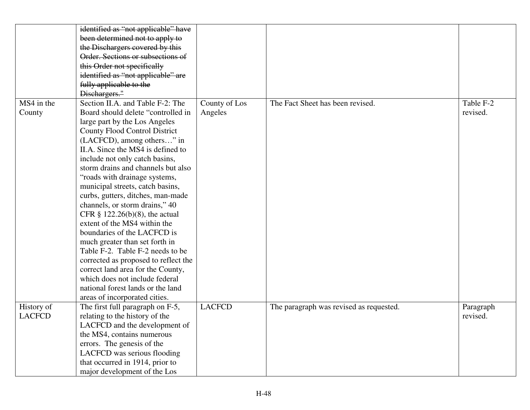|               | identified as "not applicable" have  |               |                                         |           |
|---------------|--------------------------------------|---------------|-----------------------------------------|-----------|
|               | been determined not to apply to      |               |                                         |           |
|               | the Dischargers covered by this      |               |                                         |           |
|               | Order. Sections or subsections of    |               |                                         |           |
|               | this Order not specifically          |               |                                         |           |
|               | identified as "not applicable" are   |               |                                         |           |
|               | fully applicable to the              |               |                                         |           |
|               | Dischargers."                        |               |                                         |           |
| MS4 in the    | Section II.A. and Table F-2: The     | County of Los | The Fact Sheet has been revised.        | Table F-2 |
| County        | Board should delete "controlled in   | Angeles       |                                         | revised.  |
|               | large part by the Los Angeles        |               |                                         |           |
|               | <b>County Flood Control District</b> |               |                                         |           |
|               | (LACFCD), among others" in           |               |                                         |           |
|               | II.A. Since the MS4 is defined to    |               |                                         |           |
|               | include not only catch basins,       |               |                                         |           |
|               | storm drains and channels but also   |               |                                         |           |
|               | "roads with drainage systems,        |               |                                         |           |
|               | municipal streets, catch basins,     |               |                                         |           |
|               | curbs, gutters, ditches, man-made    |               |                                         |           |
|               | channels, or storm drains," 40       |               |                                         |           |
|               | CFR $\S$ 122.26(b)(8), the actual    |               |                                         |           |
|               | extent of the MS4 within the         |               |                                         |           |
|               | boundaries of the LACFCD is          |               |                                         |           |
|               | much greater than set forth in       |               |                                         |           |
|               | Table F-2. Table F-2 needs to be     |               |                                         |           |
|               | corrected as proposed to reflect the |               |                                         |           |
|               | correct land area for the County,    |               |                                         |           |
|               | which does not include federal       |               |                                         |           |
|               | national forest lands or the land    |               |                                         |           |
|               | areas of incorporated cities.        |               |                                         |           |
| History of    | The first full paragraph on F-5,     | <b>LACFCD</b> | The paragraph was revised as requested. | Paragraph |
| <b>LACFCD</b> | relating to the history of the       |               |                                         | revised.  |
|               | LACFCD and the development of        |               |                                         |           |
|               | the MS4, contains numerous           |               |                                         |           |
|               | errors. The genesis of the           |               |                                         |           |
|               | LACFCD was serious flooding          |               |                                         |           |
|               | that occurred in 1914, prior to      |               |                                         |           |
|               | major development of the Los         |               |                                         |           |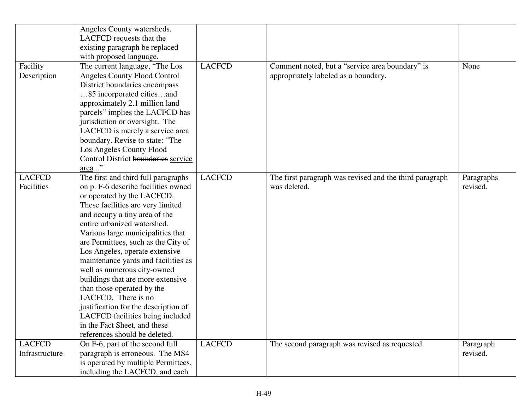|                                 | Angeles County watersheds.<br>LACFCD requests that the<br>existing paragraph be replaced<br>with proposed language.                                                                                                                                                                                                                                                                                                                                                                                                                                                                                                                      |               |                                                                                         |                        |
|---------------------------------|------------------------------------------------------------------------------------------------------------------------------------------------------------------------------------------------------------------------------------------------------------------------------------------------------------------------------------------------------------------------------------------------------------------------------------------------------------------------------------------------------------------------------------------------------------------------------------------------------------------------------------------|---------------|-----------------------------------------------------------------------------------------|------------------------|
| Facility<br>Description         | The current language, "The Los<br>Angeles County Flood Control<br>District boundaries encompass<br>85 incorporated citiesand<br>approximately 2.1 million land<br>parcels" implies the LACFCD has<br>jurisdiction or oversight. The<br>LACFCD is merely a service area<br>boundary. Revise to state: "The<br>Los Angeles County Flood<br>Control District boundaries service<br>area"                                                                                                                                                                                                                                                    | <b>LACFCD</b> | Comment noted, but a "service area boundary" is<br>appropriately labeled as a boundary. | None                   |
| <b>LACFCD</b><br>Facilities     | The first and third full paragraphs<br>on p. F-6 describe facilities owned<br>or operated by the LACFCD.<br>These facilities are very limited<br>and occupy a tiny area of the<br>entire urbanized watershed.<br>Various large municipalities that<br>are Permittees, such as the City of<br>Los Angeles, operate extensive<br>maintenance yards and facilities as<br>well as numerous city-owned<br>buildings that are more extensive<br>than those operated by the<br>LACFCD. There is no<br>justification for the description of<br>LACFCD facilities being included<br>in the Fact Sheet, and these<br>references should be deleted. | <b>LACFCD</b> | The first paragraph was revised and the third paragraph<br>was deleted.                 | Paragraphs<br>revised. |
| <b>LACFCD</b><br>Infrastructure | On F-6, part of the second full<br>paragraph is erroneous. The MS4<br>is operated by multiple Permittees,                                                                                                                                                                                                                                                                                                                                                                                                                                                                                                                                | <b>LACFCD</b> | The second paragraph was revised as requested.                                          | Paragraph<br>revised.  |
|                                 | including the LACFCD, and each                                                                                                                                                                                                                                                                                                                                                                                                                                                                                                                                                                                                           |               |                                                                                         |                        |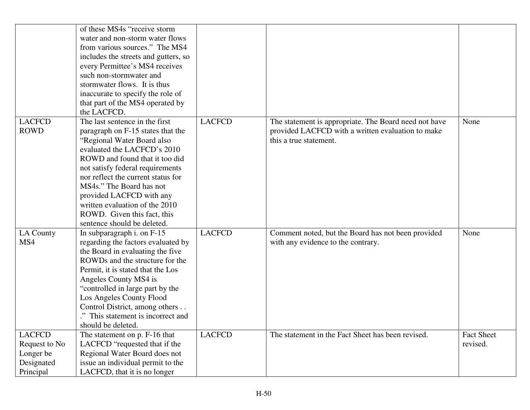|                                                                        | of these MS4s "receive storm"<br>water and non-storm water flows<br>from various sources." The MS4<br>includes the streets and gutters, so<br>every Permittee's MS4 receives<br>such non-stormwater and<br>stormwater flows. It is thus                                                                                                                                                              |               |                                                                                                                                      |                               |
|------------------------------------------------------------------------|------------------------------------------------------------------------------------------------------------------------------------------------------------------------------------------------------------------------------------------------------------------------------------------------------------------------------------------------------------------------------------------------------|---------------|--------------------------------------------------------------------------------------------------------------------------------------|-------------------------------|
|                                                                        | inaccurate to specify the role of<br>that part of the MS4 operated by<br>the LACFCD.                                                                                                                                                                                                                                                                                                                 |               |                                                                                                                                      |                               |
| <b>LACFCD</b><br><b>ROWD</b>                                           | The last sentence in the first<br>paragraph on F-15 states that the<br>"Regional Water Board also<br>evaluated the LACFCD's 2010<br>ROWD and found that it too did<br>not satisfy federal requirements<br>nor reflect the current status for<br>MS4s." The Board has not<br>provided LACFCD with any<br>written evaluation of the 2010<br>ROWD. Given this fact, this<br>sentence should be deleted. | <b>LACFCD</b> | The statement is appropriate. The Board need not have<br>provided LACFCD with a written evaluation to make<br>this a true statement. | None                          |
| LA County<br>MS4                                                       | In subparagraph i. on $F-15$<br>regarding the factors evaluated by<br>the Board in evaluating the five<br>ROWDs and the structure for the<br>Permit, it is stated that the Los<br>Angeles County MS4 is<br>"controlled in large part by the<br>Los Angeles County Flood<br>Control District, among others<br>." This statement is incorrect and<br>should be deleted.                                | <b>LACFCD</b> | Comment noted, but the Board has not been provided<br>with any evidence to the contrary.                                             | None                          |
| <b>LACFCD</b><br>Request to No<br>Longer be<br>Designated<br>Principal | The statement on p. F-16 that<br>LACFCD "requested that if the<br>Regional Water Board does not<br>issue an individual permit to the<br>LACFCD, that it is no longer                                                                                                                                                                                                                                 | <b>LACFCD</b> | The statement in the Fact Sheet has been revised.                                                                                    | <b>Fact Sheet</b><br>revised. |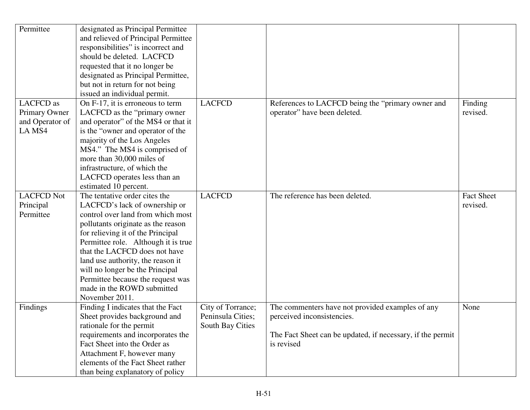| Permittee                                                      | designated as Principal Permittee<br>and relieved of Principal Permittee<br>responsibilities" is incorrect and<br>should be deleted. LACFCD<br>requested that it no longer be<br>designated as Principal Permittee,                                                                                                                                                                                                                          |                                                            |                                                                                                                                                            |                               |
|----------------------------------------------------------------|----------------------------------------------------------------------------------------------------------------------------------------------------------------------------------------------------------------------------------------------------------------------------------------------------------------------------------------------------------------------------------------------------------------------------------------------|------------------------------------------------------------|------------------------------------------------------------------------------------------------------------------------------------------------------------|-------------------------------|
|                                                                | but not in return for not being<br>issued an individual permit.                                                                                                                                                                                                                                                                                                                                                                              |                                                            |                                                                                                                                                            |                               |
| <b>LACFCD</b> as<br>Primary Owner<br>and Operator of<br>LA MS4 | On F-17, it is erroneous to term<br>LACFCD as the "primary owner"<br>and operator" of the MS4 or that it<br>is the "owner and operator of the<br>majority of the Los Angeles<br>MS4." The MS4 is comprised of<br>more than 30,000 miles of<br>infrastructure, of which the<br>LACFCD operates less than an                                                                                                                                   | <b>LACFCD</b>                                              | References to LACFCD being the "primary owner and<br>operator" have been deleted.                                                                          | Finding<br>revised.           |
| <b>LACFCD Not</b><br>Principal<br>Permittee                    | estimated 10 percent.<br>The tentative order cites the<br>LACFCD's lack of ownership or<br>control over land from which most<br>pollutants originate as the reason<br>for relieving it of the Principal<br>Permittee role. Although it is true<br>that the LACFCD does not have<br>land use authority, the reason it<br>will no longer be the Principal<br>Permittee because the request was<br>made in the ROWD submitted<br>November 2011. | <b>LACFCD</b>                                              | The reference has been deleted.                                                                                                                            | <b>Fact Sheet</b><br>revised. |
| Findings                                                       | Finding I indicates that the Fact<br>Sheet provides background and<br>rationale for the permit<br>requirements and incorporates the<br>Fact Sheet into the Order as<br>Attachment F, however many<br>elements of the Fact Sheet rather<br>than being explanatory of policy                                                                                                                                                                   | City of Torrance;<br>Peninsula Cities;<br>South Bay Cities | The commenters have not provided examples of any<br>perceived inconsistencies.<br>The Fact Sheet can be updated, if necessary, if the permit<br>is revised | None                          |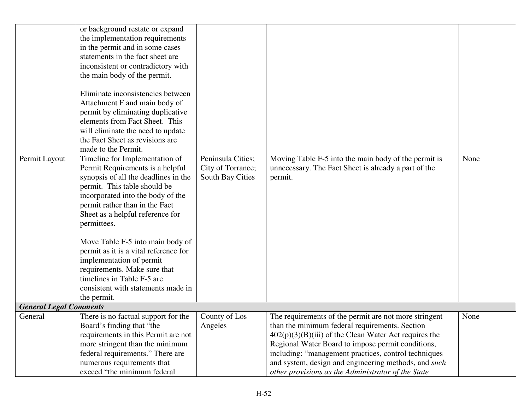|                               | or background restate or expand<br>the implementation requirements<br>in the permit and in some cases<br>statements in the fact sheet are<br>inconsistent or contradictory with<br>the main body of the permit.<br>Eliminate inconsistencies between<br>Attachment F and main body of<br>permit by eliminating duplicative<br>elements from Fact Sheet. This<br>will eliminate the need to update<br>the Fact Sheet as revisions are<br>made to the Permit.                       |                                                            |                                                                                                                                                                                                                                                                                                                                                                                                      |      |
|-------------------------------|-----------------------------------------------------------------------------------------------------------------------------------------------------------------------------------------------------------------------------------------------------------------------------------------------------------------------------------------------------------------------------------------------------------------------------------------------------------------------------------|------------------------------------------------------------|------------------------------------------------------------------------------------------------------------------------------------------------------------------------------------------------------------------------------------------------------------------------------------------------------------------------------------------------------------------------------------------------------|------|
| Permit Layout                 | Timeline for Implementation of<br>Permit Requirements is a helpful<br>synopsis of all the deadlines in the<br>permit. This table should be<br>incorporated into the body of the<br>permit rather than in the Fact<br>Sheet as a helpful reference for<br>permittees.<br>Move Table F-5 into main body of<br>permit as it is a vital reference for<br>implementation of permit<br>requirements. Make sure that<br>timelines in Table F-5 are<br>consistent with statements made in | Peninsula Cities;<br>City of Torrance;<br>South Bay Cities | Moving Table F-5 into the main body of the permit is<br>unnecessary. The Fact Sheet is already a part of the<br>permit.                                                                                                                                                                                                                                                                              | None |
| <b>General Legal Comments</b> | the permit.                                                                                                                                                                                                                                                                                                                                                                                                                                                                       |                                                            |                                                                                                                                                                                                                                                                                                                                                                                                      |      |
| General                       | There is no factual support for the<br>Board's finding that "the<br>requirements in this Permit are not<br>more stringent than the minimum<br>federal requirements." There are<br>numerous requirements that<br>exceed "the minimum federal                                                                                                                                                                                                                                       | County of Los<br>Angeles                                   | The requirements of the permit are not more stringent<br>than the minimum federal requirements. Section<br>$402(p)(3)(B)(iii)$ of the Clean Water Act requires the<br>Regional Water Board to impose permit conditions,<br>including: "management practices, control techniques<br>and system, design and engineering methods, and <i>such</i><br>other provisions as the Administrator of the State | None |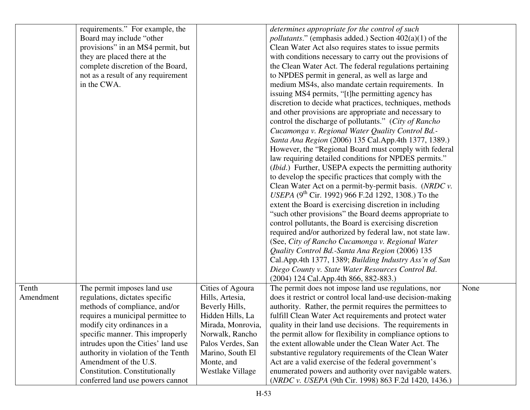|           | requirements." For example, the     |                   | determines appropriate for the control of such                    |      |
|-----------|-------------------------------------|-------------------|-------------------------------------------------------------------|------|
|           | Board may include "other            |                   | <i>pollutants.</i> " (emphasis added.) Section $402(a)(1)$ of the |      |
|           | provisions" in an MS4 permit, but   |                   | Clean Water Act also requires states to issue permits             |      |
|           | they are placed there at the        |                   | with conditions necessary to carry out the provisions of          |      |
|           | complete discretion of the Board,   |                   | the Clean Water Act. The federal regulations pertaining           |      |
|           | not as a result of any requirement  |                   | to NPDES permit in general, as well as large and                  |      |
|           | in the CWA.                         |                   | medium MS4s, also mandate certain requirements. In                |      |
|           |                                     |                   | issuing MS4 permits, "[t]he permitting agency has                 |      |
|           |                                     |                   |                                                                   |      |
|           |                                     |                   | discretion to decide what practices, techniques, methods          |      |
|           |                                     |                   | and other provisions are appropriate and necessary to             |      |
|           |                                     |                   | control the discharge of pollutants." (City of Rancho             |      |
|           |                                     |                   | Cucamonga v. Regional Water Quality Control Bd.-                  |      |
|           |                                     |                   | Santa Ana Region (2006) 135 Cal. App. 4th 1377, 1389.)            |      |
|           |                                     |                   | However, the "Regional Board must comply with federal             |      |
|           |                                     |                   | law requiring detailed conditions for NPDES permits."             |      |
|           |                                     |                   | ( <i>Ibid.</i> ) Further, USEPA expects the permitting authority  |      |
|           |                                     |                   | to develop the specific practices that comply with the            |      |
|           |                                     |                   | Clean Water Act on a permit-by-permit basis. (NRDC v.             |      |
|           |                                     |                   | USEPA (9 <sup>th</sup> Cir. 1992) 966 F.2d 1292, 1308.) To the    |      |
|           |                                     |                   | extent the Board is exercising discretion in including            |      |
|           |                                     |                   | "such other provisions" the Board deems appropriate to            |      |
|           |                                     |                   | control pollutants, the Board is exercising discretion            |      |
|           |                                     |                   | required and/or authorized by federal law, not state law.         |      |
|           |                                     |                   | (See, City of Rancho Cucamonga v. Regional Water                  |      |
|           |                                     |                   | Quality Control Bd.-Santa Ana Region (2006) 135                   |      |
|           |                                     |                   | Cal.App.4th 1377, 1389; Building Industry Ass'n of San            |      |
|           |                                     |                   | Diego County v. State Water Resources Control Bd.                 |      |
|           |                                     |                   | (2004) 124 Cal.App.4th 866, 882-883.)                             |      |
| Tenth     | The permit imposes land use         | Cities of Agoura  | The permit does not impose land use regulations, nor              | None |
| Amendment | regulations, dictates specific      | Hills, Artesia,   | does it restrict or control local land-use decision-making        |      |
|           | methods of compliance, and/or       | Beverly Hills,    | authority. Rather, the permit requires the permittees to          |      |
|           | requires a municipal permittee to   | Hidden Hills, La  | fulfill Clean Water Act requirements and protect water            |      |
|           | modify city ordinances in a         | Mirada, Monrovia, | quality in their land use decisions. The requirements in          |      |
|           | specific manner. This improperly    | Norwalk, Rancho   | the permit allow for flexibility in compliance options to         |      |
|           | intrudes upon the Cities' land use  | Palos Verdes, San | the extent allowable under the Clean Water Act. The               |      |
|           | authority in violation of the Tenth | Marino, South El  | substantive regulatory requirements of the Clean Water            |      |
|           | Amendment of the U.S.               | Monte, and        | Act are a valid exercise of the federal government's              |      |
|           | Constitution. Constitutionally      | Westlake Village  | enumerated powers and authority over navigable waters.            |      |
|           | conferred land use powers cannot    |                   | (NRDC v. USEPA (9th Cir. 1998) 863 F.2d 1420, 1436.)              |      |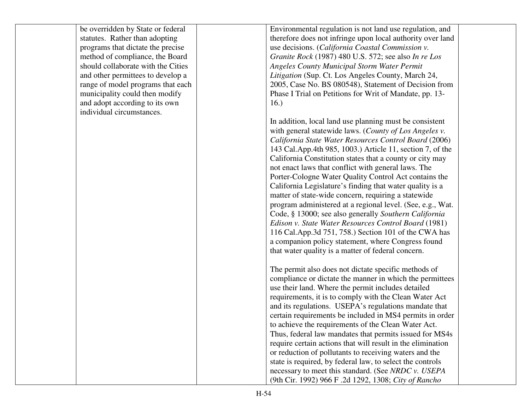| be overridden by State or federal  | Environmental regulation is not land use regulation, and    |  |
|------------------------------------|-------------------------------------------------------------|--|
| statutes. Rather than adopting     | therefore does not infringe upon local authority over land  |  |
| programs that dictate the precise  | use decisions. (California Coastal Commission v.            |  |
| method of compliance, the Board    | Granite Rock (1987) 480 U.S. 572; see also In re Los        |  |
| should collaborate with the Cities | <b>Angeles County Municipal Storm Water Permit</b>          |  |
| and other permittees to develop a  | Litigation (Sup. Ct. Los Angeles County, March 24,          |  |
| range of model programs that each  | 2005, Case No. BS 080548), Statement of Decision from       |  |
| municipality could then modify     | Phase I Trial on Petitions for Writ of Mandate, pp. 13-     |  |
| and adopt according to its own     | 16.)                                                        |  |
| individual circumstances.          |                                                             |  |
|                                    | In addition, local land use planning must be consistent     |  |
|                                    | with general statewide laws. (County of Los Angeles v.      |  |
|                                    | California State Water Resources Control Board (2006)       |  |
|                                    | 143 Cal.App.4th 985, 1003.) Article 11, section 7, of the   |  |
|                                    | California Constitution states that a county or city may    |  |
|                                    | not enact laws that conflict with general laws. The         |  |
|                                    | Porter-Cologne Water Quality Control Act contains the       |  |
|                                    | California Legislature's finding that water quality is a    |  |
|                                    | matter of state-wide concern, requiring a statewide         |  |
|                                    | program administered at a regional level. (See, e.g., Wat.  |  |
|                                    | Code, § 13000; see also generally Southern California       |  |
|                                    | Edison v. State Water Resources Control Board (1981)        |  |
|                                    | 116 Cal.App.3d 751, 758.) Section 101 of the CWA has        |  |
|                                    | a companion policy statement, where Congress found          |  |
|                                    | that water quality is a matter of federal concern.          |  |
|                                    |                                                             |  |
|                                    | The permit also does not dictate specific methods of        |  |
|                                    | compliance or dictate the manner in which the permittees    |  |
|                                    | use their land. Where the permit includes detailed          |  |
|                                    | requirements, it is to comply with the Clean Water Act      |  |
|                                    | and its regulations. USEPA's regulations mandate that       |  |
|                                    | certain requirements be included in MS4 permits in order    |  |
|                                    | to achieve the requirements of the Clean Water Act.         |  |
|                                    | Thus, federal law mandates that permits issued for MS4s     |  |
|                                    | require certain actions that will result in the elimination |  |
|                                    | or reduction of pollutants to receiving waters and the      |  |
|                                    | state is required, by federal law, to select the controls   |  |
|                                    | necessary to meet this standard. (See NRDC v. USEPA         |  |
|                                    | (9th Cir. 1992) 966 F .2d 1292, 1308; City of Rancho        |  |
|                                    |                                                             |  |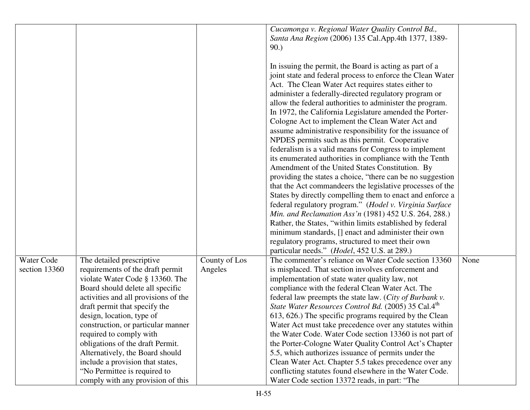|               |                                                                 |               | Cucamonga v. Regional Water Quality Control Bd.,<br>Santa Ana Region (2006) 135 Cal. App. 4th 1377, 1389-         |      |
|---------------|-----------------------------------------------------------------|---------------|-------------------------------------------------------------------------------------------------------------------|------|
|               |                                                                 |               | 90.)                                                                                                              |      |
|               |                                                                 |               | In issuing the permit, the Board is acting as part of a                                                           |      |
|               |                                                                 |               | joint state and federal process to enforce the Clean Water                                                        |      |
|               |                                                                 |               | Act. The Clean Water Act requires states either to                                                                |      |
|               |                                                                 |               | administer a federally-directed regulatory program or                                                             |      |
|               |                                                                 |               | allow the federal authorities to administer the program.                                                          |      |
|               |                                                                 |               | In 1972, the California Legislature amended the Porter-                                                           |      |
|               |                                                                 |               | Cologne Act to implement the Clean Water Act and                                                                  |      |
|               |                                                                 |               | assume administrative responsibility for the issuance of                                                          |      |
|               |                                                                 |               | NPDES permits such as this permit. Cooperative                                                                    |      |
|               |                                                                 |               | federalism is a valid means for Congress to implement                                                             |      |
|               |                                                                 |               | its enumerated authorities in compliance with the Tenth<br>Amendment of the United States Constitution. By        |      |
|               |                                                                 |               | providing the states a choice, "there can be no suggestion                                                        |      |
|               |                                                                 |               | that the Act commandeers the legislative processes of the                                                         |      |
|               |                                                                 |               | States by directly compelling them to enact and enforce a                                                         |      |
|               |                                                                 |               | federal regulatory program." (Hodel v. Virginia Surface                                                           |      |
|               |                                                                 |               | Min. and Reclamation Ass'n (1981) 452 U.S. 264, 288.)                                                             |      |
|               |                                                                 |               | Rather, the States, "within limits established by federal                                                         |      |
|               |                                                                 |               | minimum standards, [] enact and administer their own                                                              |      |
|               |                                                                 |               | regulatory programs, structured to meet their own                                                                 |      |
|               |                                                                 |               | particular needs." ( <i>Hodel</i> , 452 U.S. at 289.)                                                             |      |
| Water Code    | The detailed prescriptive                                       | County of Los | The commenter's reliance on Water Code section 13360                                                              | None |
| section 13360 | requirements of the draft permit                                | Angeles       | is misplaced. That section involves enforcement and                                                               |      |
|               | violate Water Code § 13360. The                                 |               | implementation of state water quality law, not                                                                    |      |
|               | Board should delete all specific                                |               | compliance with the federal Clean Water Act. The                                                                  |      |
|               | activities and all provisions of the                            |               | federal law preempts the state law. (City of Burbank v.                                                           |      |
|               | draft permit that specify the                                   |               | State Water Resources Control Bd. (2005) 35 Cal.4th                                                               |      |
|               | design, location, type of<br>construction, or particular manner |               | 613, 626.) The specific programs required by the Clean<br>Water Act must take precedence over any statutes within |      |
|               | required to comply with                                         |               | the Water Code. Water Code section 13360 is not part of                                                           |      |
|               | obligations of the draft Permit.                                |               | the Porter-Cologne Water Quality Control Act's Chapter                                                            |      |
|               | Alternatively, the Board should                                 |               | 5.5, which authorizes issuance of permits under the                                                               |      |
|               | include a provision that states,                                |               | Clean Water Act. Chapter 5.5 takes precedence over any                                                            |      |
|               | "No Permittee is required to                                    |               | conflicting statutes found elsewhere in the Water Code.                                                           |      |
|               | comply with any provision of this                               |               | Water Code section 13372 reads, in part: "The                                                                     |      |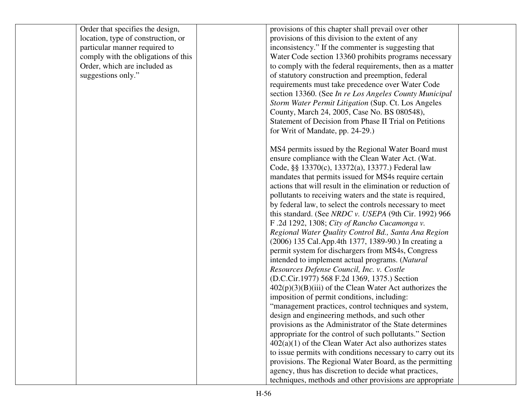| Order that specifies the design,    | provisions of this chapter shall prevail over other         |  |
|-------------------------------------|-------------------------------------------------------------|--|
| location, type of construction, or  | provisions of this division to the extent of any            |  |
| particular manner required to       | inconsistency." If the commenter is suggesting that         |  |
| comply with the obligations of this | Water Code section 13360 prohibits programs necessary       |  |
| Order, which are included as        | to comply with the federal requirements, then as a matter   |  |
| suggestions only."                  | of statutory construction and preemption, federal           |  |
|                                     | requirements must take precedence over Water Code           |  |
|                                     | section 13360. (See In re Los Angeles County Municipal      |  |
|                                     | Storm Water Permit Litigation (Sup. Ct. Los Angeles         |  |
|                                     | County, March 24, 2005, Case No. BS 080548),                |  |
|                                     | Statement of Decision from Phase II Trial on Petitions      |  |
|                                     | for Writ of Mandate, pp. 24-29.)                            |  |
|                                     |                                                             |  |
|                                     | MS4 permits issued by the Regional Water Board must         |  |
|                                     | ensure compliance with the Clean Water Act. (Wat.           |  |
|                                     | Code, §§ 13370(c), 13372(a), 13377.) Federal law            |  |
|                                     | mandates that permits issued for MS4s require certain       |  |
|                                     | actions that will result in the elimination or reduction of |  |
|                                     | pollutants to receiving waters and the state is required,   |  |
|                                     | by federal law, to select the controls necessary to meet    |  |
|                                     | this standard. (See NRDC v. USEPA (9th Cir. 1992) 966       |  |
|                                     | F.2d 1292, 1308; City of Rancho Cucamonga v.                |  |
|                                     | Regional Water Quality Control Bd., Santa Ana Region        |  |
|                                     | (2006) 135 Cal.App.4th 1377, 1389-90.) In creating a        |  |
|                                     | permit system for dischargers from MS4s, Congress           |  |
|                                     | intended to implement actual programs. (Natural             |  |
|                                     | Resources Defense Council, Inc. v. Costle                   |  |
|                                     | (D.C.Cir.1977) 568 F.2d 1369, 1375.) Section                |  |
|                                     | $402(p)(3)(B)(iii)$ of the Clean Water Act authorizes the   |  |
|                                     | imposition of permit conditions, including:                 |  |
|                                     | "management practices, control techniques and system,       |  |
|                                     | design and engineering methods, and such other              |  |
|                                     | provisions as the Administrator of the State determines     |  |
|                                     | appropriate for the control of such pollutants." Section    |  |
|                                     | $402(a)(1)$ of the Clean Water Act also authorizes states   |  |
|                                     | to issue permits with conditions necessary to carry out its |  |
|                                     | provisions. The Regional Water Board, as the permitting     |  |
|                                     | agency, thus has discretion to decide what practices,       |  |
|                                     | techniques, methods and other provisions are appropriate    |  |
|                                     |                                                             |  |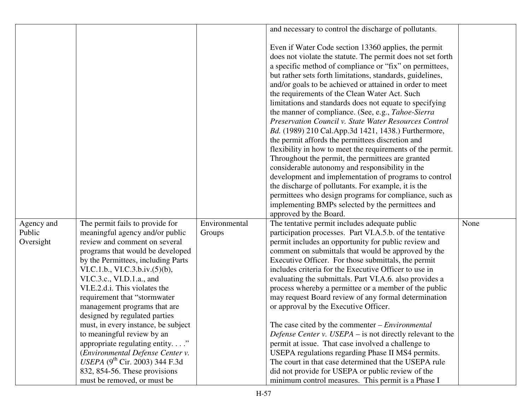|                      |                                            |               | and necessary to control the discharge of pollutants.                                                                                                                                                                                                                                                                                                                                                                                                                                                                              |      |
|----------------------|--------------------------------------------|---------------|------------------------------------------------------------------------------------------------------------------------------------------------------------------------------------------------------------------------------------------------------------------------------------------------------------------------------------------------------------------------------------------------------------------------------------------------------------------------------------------------------------------------------------|------|
|                      |                                            |               |                                                                                                                                                                                                                                                                                                                                                                                                                                                                                                                                    |      |
|                      |                                            |               | Even if Water Code section 13360 applies, the permit<br>does not violate the statute. The permit does not set forth<br>a specific method of compliance or "fix" on permittees,<br>but rather sets forth limitations, standards, guidelines,<br>and/or goals to be achieved or attained in order to meet<br>the requirements of the Clean Water Act. Such<br>limitations and standards does not equate to specifying<br>the manner of compliance. (See, e.g., Tahoe-Sierra<br>Preservation Council v. State Water Resources Control |      |
|                      |                                            |               | Bd. (1989) 210 Cal.App.3d 1421, 1438.) Furthermore,                                                                                                                                                                                                                                                                                                                                                                                                                                                                                |      |
|                      |                                            |               | the permit affords the permittees discretion and                                                                                                                                                                                                                                                                                                                                                                                                                                                                                   |      |
|                      |                                            |               | flexibility in how to meet the requirements of the permit.                                                                                                                                                                                                                                                                                                                                                                                                                                                                         |      |
|                      |                                            |               | Throughout the permit, the permittees are granted                                                                                                                                                                                                                                                                                                                                                                                                                                                                                  |      |
|                      |                                            |               | considerable autonomy and responsibility in the                                                                                                                                                                                                                                                                                                                                                                                                                                                                                    |      |
|                      |                                            |               | development and implementation of programs to control                                                                                                                                                                                                                                                                                                                                                                                                                                                                              |      |
|                      |                                            |               | the discharge of pollutants. For example, it is the                                                                                                                                                                                                                                                                                                                                                                                                                                                                                |      |
|                      |                                            |               | permittees who design programs for compliance, such as<br>implementing BMPs selected by the permittees and                                                                                                                                                                                                                                                                                                                                                                                                                         |      |
|                      |                                            |               | approved by the Board.                                                                                                                                                                                                                                                                                                                                                                                                                                                                                                             |      |
|                      | The permit fails to provide for            | Environmental | The tentative permit includes adequate public                                                                                                                                                                                                                                                                                                                                                                                                                                                                                      | None |
| Agency and<br>Public | meaningful agency and/or public            | Groups        | participation processes. Part VI.A.5.b. of the tentative                                                                                                                                                                                                                                                                                                                                                                                                                                                                           |      |
| Oversight            | review and comment on several              |               | permit includes an opportunity for public review and                                                                                                                                                                                                                                                                                                                                                                                                                                                                               |      |
|                      | programs that would be developed           |               | comment on submittals that would be approved by the                                                                                                                                                                                                                                                                                                                                                                                                                                                                                |      |
|                      | by the Permittees, including Parts         |               | Executive Officer. For those submittals, the permit                                                                                                                                                                                                                                                                                                                                                                                                                                                                                |      |
|                      | VI.C.1.b., VI.C.3.b.iv. $(5)(b)$ ,         |               | includes criteria for the Executive Officer to use in                                                                                                                                                                                                                                                                                                                                                                                                                                                                              |      |
|                      | VI.C.3.c., VI.D.1.a., and                  |               | evaluating the submittals. Part VI.A.6. also provides a                                                                                                                                                                                                                                                                                                                                                                                                                                                                            |      |
|                      | VI.E.2.d.i. This violates the              |               | process whereby a permittee or a member of the public                                                                                                                                                                                                                                                                                                                                                                                                                                                                              |      |
|                      | requirement that "stormwater               |               | may request Board review of any formal determination                                                                                                                                                                                                                                                                                                                                                                                                                                                                               |      |
|                      | management programs that are               |               | or approval by the Executive Officer.                                                                                                                                                                                                                                                                                                                                                                                                                                                                                              |      |
|                      | designed by regulated parties              |               |                                                                                                                                                                                                                                                                                                                                                                                                                                                                                                                                    |      |
|                      | must, in every instance, be subject        |               | The case cited by the commenter $-$ <i>Environmental</i>                                                                                                                                                                                                                                                                                                                                                                                                                                                                           |      |
|                      | to meaningful review by an                 |               | Defense Center v. USEPA – is not directly relevant to the                                                                                                                                                                                                                                                                                                                                                                                                                                                                          |      |
|                      | appropriate regulating entity"             |               | permit at issue. That case involved a challenge to                                                                                                                                                                                                                                                                                                                                                                                                                                                                                 |      |
|                      | (Environmental Defense Center v.           |               | USEPA regulations regarding Phase II MS4 permits.                                                                                                                                                                                                                                                                                                                                                                                                                                                                                  |      |
|                      | USEPA (9 <sup>th</sup> Cir. 2003) 344 F.3d |               | The court in that case determined that the USEPA rule                                                                                                                                                                                                                                                                                                                                                                                                                                                                              |      |
|                      | 832, 854-56. These provisions              |               | did not provide for USEPA or public review of the                                                                                                                                                                                                                                                                                                                                                                                                                                                                                  |      |
|                      | must be removed, or must be                |               | minimum control measures. This permit is a Phase I                                                                                                                                                                                                                                                                                                                                                                                                                                                                                 |      |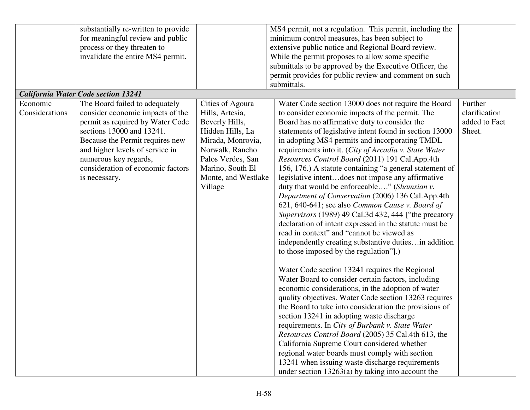|                | substantially re-written to provide        |                     | MS4 permit, not a regulation. This permit, including the |               |
|----------------|--------------------------------------------|---------------------|----------------------------------------------------------|---------------|
|                | for meaningful review and public           |                     | minimum control measures, has been subject to            |               |
|                | process or they threaten to                |                     | extensive public notice and Regional Board review.       |               |
|                | invalidate the entire MS4 permit.          |                     | While the permit proposes to allow some specific         |               |
|                |                                            |                     | submittals to be approved by the Executive Officer, the  |               |
|                |                                            |                     | permit provides for public review and comment on such    |               |
|                |                                            |                     | submittals.                                              |               |
|                | <b>California Water Code section 13241</b> |                     |                                                          |               |
| Economic       | The Board failed to adequately             | Cities of Agoura    | Water Code section 13000 does not require the Board      | Further       |
| Considerations | consider economic impacts of the           | Hills, Artesia,     | to consider economic impacts of the permit. The          | clarification |
|                | permit as required by Water Code           | Beverly Hills,      | Board has no affirmative duty to consider the            | added to Fact |
|                | sections 13000 and 13241.                  | Hidden Hills, La    | statements of legislative intent found in section 13000  | Sheet.        |
|                | Because the Permit requires new            | Mirada, Monrovia,   | in adopting MS4 permits and incorporating TMDL           |               |
|                | and higher levels of service in            | Norwalk, Rancho     | requirements into it. (City of Arcadia v. State Water    |               |
|                | numerous key regards,                      | Palos Verdes, San   | Resources Control Board (2011) 191 Cal.App.4th           |               |
|                | consideration of economic factors          | Marino, South El    | 156, 176.) A statute containing "a general statement of  |               |
|                | is necessary.                              | Monte, and Westlake | legislative intentdoes not impose any affirmative        |               |
|                |                                            | Village             | duty that would be enforceable" (Shamsian v.             |               |
|                |                                            |                     | Department of Conservation (2006) 136 Cal.App.4th        |               |
|                |                                            |                     | 621, 640-641; see also Common Cause v. Board of          |               |
|                |                                            |                     | Supervisors (1989) 49 Cal.3d 432, 444 ["the precatory    |               |
|                |                                            |                     | declaration of intent expressed in the statute must be   |               |
|                |                                            |                     | read in context" and "cannot be viewed as                |               |
|                |                                            |                     | independently creating substantive dutiesin addition     |               |
|                |                                            |                     | to those imposed by the regulation".)                    |               |
|                |                                            |                     |                                                          |               |
|                |                                            |                     | Water Code section 13241 requires the Regional           |               |
|                |                                            |                     | Water Board to consider certain factors, including       |               |
|                |                                            |                     | economic considerations, in the adoption of water        |               |
|                |                                            |                     | quality objectives. Water Code section 13263 requires    |               |
|                |                                            |                     | the Board to take into consideration the provisions of   |               |
|                |                                            |                     | section 13241 in adopting waste discharge                |               |
|                |                                            |                     | requirements. In City of Burbank v. State Water          |               |
|                |                                            |                     | Resources Control Board (2005) 35 Cal.4th 613, the       |               |
|                |                                            |                     | California Supreme Court considered whether              |               |
|                |                                            |                     | regional water boards must comply with section           |               |
|                |                                            |                     | 13241 when issuing waste discharge requirements          |               |
|                |                                            |                     |                                                          |               |
|                |                                            |                     | under section $13263(a)$ by taking into account the      |               |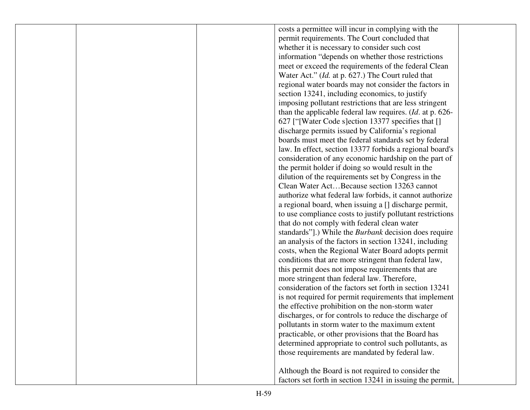|  | costs a permittee will incur in complying with the           |  |
|--|--------------------------------------------------------------|--|
|  | permit requirements. The Court concluded that                |  |
|  | whether it is necessary to consider such cost                |  |
|  | information "depends on whether those restrictions"          |  |
|  | meet or exceed the requirements of the federal Clean         |  |
|  | Water Act." ( <i>Id.</i> at p. 627.) The Court ruled that    |  |
|  | regional water boards may not consider the factors in        |  |
|  | section 13241, including economics, to justify               |  |
|  | imposing pollutant restrictions that are less stringent      |  |
|  | than the applicable federal law requires. $(Id.$ at p. 626-  |  |
|  | 627 ["[Water Code s] ection 13377 specifies that []          |  |
|  | discharge permits issued by California's regional            |  |
|  | boards must meet the federal standards set by federal        |  |
|  | law. In effect, section 13377 forbids a regional board's     |  |
|  | consideration of any economic hardship on the part of        |  |
|  | the permit holder if doing so would result in the            |  |
|  | dilution of the requirements set by Congress in the          |  |
|  | Clean Water ActBecause section 13263 cannot                  |  |
|  | authorize what federal law forbids, it cannot authorize      |  |
|  | a regional board, when issuing a [] discharge permit,        |  |
|  | to use compliance costs to justify pollutant restrictions    |  |
|  | that do not comply with federal clean water                  |  |
|  | standards"].) While the <i>Burbank</i> decision does require |  |
|  | an analysis of the factors in section 13241, including       |  |
|  | costs, when the Regional Water Board adopts permit           |  |
|  | conditions that are more stringent than federal law,         |  |
|  | this permit does not impose requirements that are            |  |
|  | more stringent than federal law. Therefore,                  |  |
|  | consideration of the factors set forth in section 13241      |  |
|  | is not required for permit requirements that implement       |  |
|  | the effective prohibition on the non-storm water             |  |
|  | discharges, or for controls to reduce the discharge of       |  |
|  | pollutants in storm water to the maximum extent              |  |
|  | practicable, or other provisions that the Board has          |  |
|  | determined appropriate to control such pollutants, as        |  |
|  | those requirements are mandated by federal law.              |  |
|  | Although the Board is not required to consider the           |  |
|  | factors set forth in section 13241 in issuing the permit,    |  |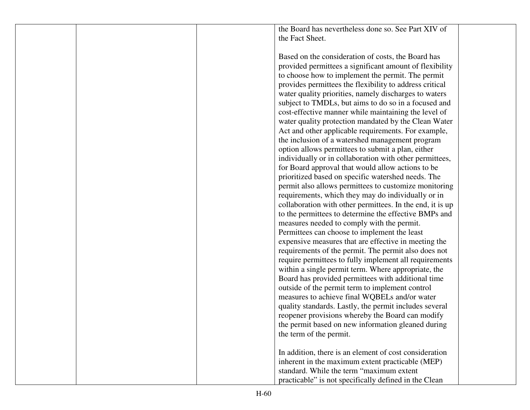the Board has nevertheless done so. See Part XIV ofthe Fact Sheet.

Based on the consideration of costs, the Board has provided permittees a significant amount of flexibility to choose how to implement the permit. The permit provides permittees the flexibility to address critical water quality priorities, namely discharges to waters subject to TMDLs, but aims to do so in a focused and cost-effective manner while maintaining the level of water quality protection mandated by the Clean Water Act and other applicable requirements. For example,the inclusion of a watershed management program option allows permittees to submit a plan, either individually or in collaboration with other permittees, for Board approval that would allow actions to be prioritized based on specific watershed needs. The permit also allows permittees to customize monitoring requirements, which they may do individually or in collaboration with other permittees. In the end, it is up to the permittees to determine the effective BMPs and measures needed to comply with the permit. Permittees can choose to implement the least expensive measures that are effective in meeting the requirements of the permit. The permit also does not require permittees to fully implement all requirements within a single permit term. Where appropriate, the Board has provided permittees with additional time outside of the permit term to implement control measures to achieve final WQBELs and/or water quality standards. Lastly, the permit includes several reopener provisions whereby the Board can modify the permit based on new information gleaned during the term of the permit.

In addition, there is an element of cost consideration inherent in the maximum extent practicable (MEP) standard. While the term "maximum extent practicable" is not specifically defined in the Clean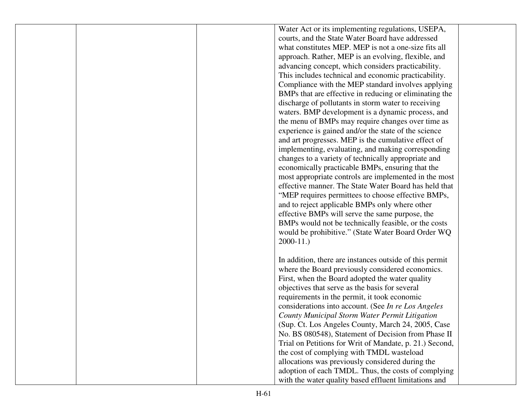|  | Water Act or its implementing regulations, USEPA,       |  |
|--|---------------------------------------------------------|--|
|  | courts, and the State Water Board have addressed        |  |
|  | what constitutes MEP. MEP is not a one-size fits all    |  |
|  | approach. Rather, MEP is an evolving, flexible, and     |  |
|  | advancing concept, which considers practicability.      |  |
|  | This includes technical and economic practicability.    |  |
|  | Compliance with the MEP standard involves applying      |  |
|  | BMPs that are effective in reducing or eliminating the  |  |
|  | discharge of pollutants in storm water to receiving     |  |
|  | waters. BMP development is a dynamic process, and       |  |
|  | the menu of BMPs may require changes over time as       |  |
|  | experience is gained and/or the state of the science    |  |
|  | and art progresses. MEP is the cumulative effect of     |  |
|  | implementing, evaluating, and making corresponding      |  |
|  | changes to a variety of technically appropriate and     |  |
|  | economically practicable BMPs, ensuring that the        |  |
|  | most appropriate controls are implemented in the most   |  |
|  | effective manner. The State Water Board has held that   |  |
|  | "MEP requires permittees to choose effective BMPs,      |  |
|  | and to reject applicable BMPs only where other          |  |
|  | effective BMPs will serve the same purpose, the         |  |
|  | BMPs would not be technically feasible, or the costs    |  |
|  | would be prohibitive." (State Water Board Order WQ      |  |
|  | $2000-11.$                                              |  |
|  |                                                         |  |
|  | In addition, there are instances outside of this permit |  |
|  | where the Board previously considered economics.        |  |
|  | First, when the Board adopted the water quality         |  |
|  | objectives that serve as the basis for several          |  |
|  | requirements in the permit, it took economic            |  |
|  | considerations into account. (See In re Los Angeles     |  |
|  | County Municipal Storm Water Permit Litigation          |  |
|  | (Sup. Ct. Los Angeles County, March 24, 2005, Case      |  |
|  | No. BS 080548), Statement of Decision from Phase II     |  |
|  | Trial on Petitions for Writ of Mandate, p. 21.) Second, |  |
|  | the cost of complying with TMDL wasteload               |  |
|  | allocations was previously considered during the        |  |
|  | adoption of each TMDL. Thus, the costs of complying     |  |
|  | with the water quality based effluent limitations and   |  |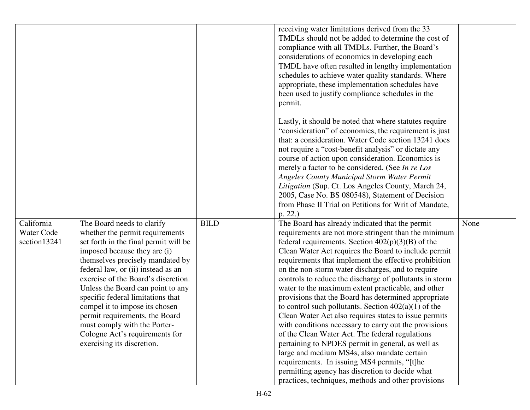|                                          |                                                                                                                                                                                                                                                                                                                                                                                                                                                                                                       |             | receiving water limitations derived from the 33<br>TMDLs should not be added to determine the cost of<br>compliance with all TMDLs. Further, the Board's<br>considerations of economics in developing each<br>TMDL have often resulted in lengthy implementation<br>schedules to achieve water quality standards. Where<br>appropriate, these implementation schedules have<br>been used to justify compliance schedules in the<br>permit.                                                                                                                                                                                                                                                                                                                                                                                                                                                                                                          |      |
|------------------------------------------|-------------------------------------------------------------------------------------------------------------------------------------------------------------------------------------------------------------------------------------------------------------------------------------------------------------------------------------------------------------------------------------------------------------------------------------------------------------------------------------------------------|-------------|-----------------------------------------------------------------------------------------------------------------------------------------------------------------------------------------------------------------------------------------------------------------------------------------------------------------------------------------------------------------------------------------------------------------------------------------------------------------------------------------------------------------------------------------------------------------------------------------------------------------------------------------------------------------------------------------------------------------------------------------------------------------------------------------------------------------------------------------------------------------------------------------------------------------------------------------------------|------|
|                                          |                                                                                                                                                                                                                                                                                                                                                                                                                                                                                                       |             | Lastly, it should be noted that where statutes require<br>"consideration" of economics, the requirement is just<br>that: a consideration. Water Code section 13241 does<br>not require a "cost-benefit analysis" or dictate any<br>course of action upon consideration. Economics is<br>merely a factor to be considered. (See In re Los<br><b>Angeles County Municipal Storm Water Permit</b><br>Litigation (Sup. Ct. Los Angeles County, March 24,<br>2005, Case No. BS 080548), Statement of Decision<br>from Phase II Trial on Petitions for Writ of Mandate,<br>p. 22.)                                                                                                                                                                                                                                                                                                                                                                        |      |
| California<br>Water Code<br>section13241 | The Board needs to clarify<br>whether the permit requirements<br>set forth in the final permit will be<br>imposed because they are (i)<br>themselves precisely mandated by<br>federal law, or (ii) instead as an<br>exercise of the Board's discretion.<br>Unless the Board can point to any<br>specific federal limitations that<br>compel it to impose its chosen<br>permit requirements, the Board<br>must comply with the Porter-<br>Cologne Act's requirements for<br>exercising its discretion. | <b>BILD</b> | The Board has already indicated that the permit<br>requirements are not more stringent than the minimum<br>federal requirements. Section $402(p)(3)(B)$ of the<br>Clean Water Act requires the Board to include permit<br>requirements that implement the effective prohibition<br>on the non-storm water discharges, and to require<br>controls to reduce the discharge of pollutants in storm<br>water to the maximum extent practicable, and other<br>provisions that the Board has determined appropriate<br>to control such pollutants. Section $402(a)(1)$ of the<br>Clean Water Act also requires states to issue permits<br>with conditions necessary to carry out the provisions<br>of the Clean Water Act. The federal regulations<br>pertaining to NPDES permit in general, as well as<br>large and medium MS4s, also mandate certain<br>requirements. In issuing MS4 permits, "[t]he<br>permitting agency has discretion to decide what | None |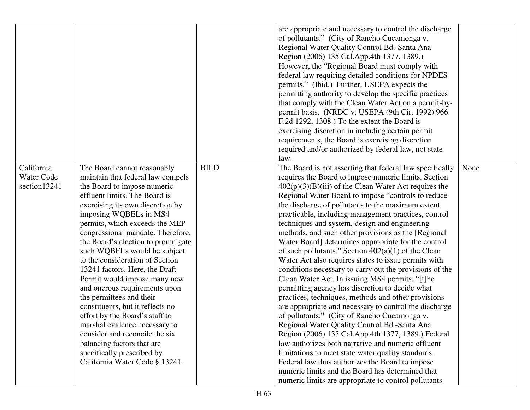|                                          |                                                                                                                                                                                                                                                                                                                                                                                                                                                                                                                                                                                                                                                                                                                                                      |             | are appropriate and necessary to control the discharge<br>of pollutants." (City of Rancho Cucamonga v.<br>Regional Water Quality Control Bd.-Santa Ana<br>Region (2006) 135 Cal.App.4th 1377, 1389.)<br>However, the "Regional Board must comply with<br>federal law requiring detailed conditions for NPDES<br>permits." (Ibid.) Further, USEPA expects the<br>permitting authority to develop the specific practices<br>that comply with the Clean Water Act on a permit-by-<br>permit basis. (NRDC v. USEPA (9th Cir. 1992) 966<br>F.2d 1292, 1308.) To the extent the Board is<br>exercising discretion in including certain permit<br>requirements, the Board is exercising discretion<br>required and/or authorized by federal law, not state<br>law.                                                                                                                                                                                                                                                                                                                                                                                                                                                                                                                                                                                        |      |
|------------------------------------------|------------------------------------------------------------------------------------------------------------------------------------------------------------------------------------------------------------------------------------------------------------------------------------------------------------------------------------------------------------------------------------------------------------------------------------------------------------------------------------------------------------------------------------------------------------------------------------------------------------------------------------------------------------------------------------------------------------------------------------------------------|-------------|----------------------------------------------------------------------------------------------------------------------------------------------------------------------------------------------------------------------------------------------------------------------------------------------------------------------------------------------------------------------------------------------------------------------------------------------------------------------------------------------------------------------------------------------------------------------------------------------------------------------------------------------------------------------------------------------------------------------------------------------------------------------------------------------------------------------------------------------------------------------------------------------------------------------------------------------------------------------------------------------------------------------------------------------------------------------------------------------------------------------------------------------------------------------------------------------------------------------------------------------------------------------------------------------------------------------------------------------------|------|
| California<br>Water Code<br>section13241 | The Board cannot reasonably<br>maintain that federal law compels<br>the Board to impose numeric<br>effluent limits. The Board is<br>exercising its own discretion by<br>imposing WQBELs in MS4<br>permits, which exceeds the MEP<br>congressional mandate. Therefore,<br>the Board's election to promulgate<br>such WQBELs would be subject<br>to the consideration of Section<br>13241 factors. Here, the Draft<br>Permit would impose many new<br>and onerous requirements upon<br>the permittees and their<br>constituents, but it reflects no<br>effort by the Board's staff to<br>marshal evidence necessary to<br>consider and reconcile the six<br>balancing factors that are<br>specifically prescribed by<br>California Water Code § 13241. | <b>BILD</b> | The Board is not asserting that federal law specifically<br>requires the Board to impose numeric limits. Section<br>$402(p)(3)(B)(iii)$ of the Clean Water Act requires the<br>Regional Water Board to impose "controls to reduce<br>the discharge of pollutants to the maximum extent<br>practicable, including management practices, control<br>techniques and system, design and engineering<br>methods, and such other provisions as the [Regional]<br>Water Board] determines appropriate for the control<br>of such pollutants." Section $402(a)(1)$ of the Clean<br>Water Act also requires states to issue permits with<br>conditions necessary to carry out the provisions of the<br>Clean Water Act. In issuing MS4 permits, "[t]he<br>permitting agency has discretion to decide what<br>practices, techniques, methods and other provisions<br>are appropriate and necessary to control the discharge<br>of pollutants." (City of Rancho Cucamonga v.<br>Regional Water Quality Control Bd.-Santa Ana<br>Region (2006) 135 Cal.App.4th 1377, 1389.) Federal<br>law authorizes both narrative and numeric effluent<br>limitations to meet state water quality standards.<br>Federal law thus authorizes the Board to impose<br>numeric limits and the Board has determined that<br>numeric limits are appropriate to control pollutants | None |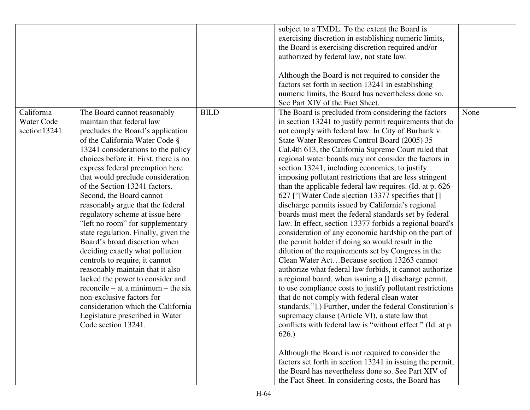|              |                                       |             | subject to a TMDL. To the extent the Board is              |      |
|--------------|---------------------------------------|-------------|------------------------------------------------------------|------|
|              |                                       |             | exercising discretion in establishing numeric limits,      |      |
|              |                                       |             | the Board is exercising discretion required and/or         |      |
|              |                                       |             | authorized by federal law, not state law.                  |      |
|              |                                       |             |                                                            |      |
|              |                                       |             | Although the Board is not required to consider the         |      |
|              |                                       |             | factors set forth in section 13241 in establishing         |      |
|              |                                       |             | numeric limits, the Board has nevertheless done so.        |      |
|              |                                       |             | See Part XIV of the Fact Sheet.                            |      |
|              |                                       |             |                                                            |      |
| California   | The Board cannot reasonably           | <b>BILD</b> | The Board is precluded from considering the factors        | None |
| Water Code   | maintain that federal law             |             | in section 13241 to justify permit requirements that do    |      |
| section13241 | precludes the Board's application     |             | not comply with federal law. In City of Burbank v.         |      |
|              | of the California Water Code §        |             | State Water Resources Control Board (2005) 35              |      |
|              | 13241 considerations to the policy    |             | Cal.4th 613, the California Supreme Court ruled that       |      |
|              | choices before it. First, there is no |             | regional water boards may not consider the factors in      |      |
|              | express federal preemption here       |             | section 13241, including economics, to justify             |      |
|              | that would preclude consideration     |             | imposing pollutant restrictions that are less stringent    |      |
|              | of the Section 13241 factors.         |             | than the applicable federal law requires. (Id. at p. 626-  |      |
|              | Second, the Board cannot              |             | 627 ["[Water Code s]ection 13377 specifies that []         |      |
|              | reasonably argue that the federal     |             | discharge permits issued by California's regional          |      |
|              | regulatory scheme at issue here       |             | boards must meet the federal standards set by federal      |      |
|              | "left no room" for supplementary      |             | law. In effect, section 13377 forbids a regional board's   |      |
|              | state regulation. Finally, given the  |             | consideration of any economic hardship on the part of      |      |
|              | Board's broad discretion when         |             | the permit holder if doing so would result in the          |      |
|              | deciding exactly what pollution       |             | dilution of the requirements set by Congress in the        |      |
|              | controls to require, it cannot        |             | Clean Water ActBecause section 13263 cannot                |      |
|              |                                       |             |                                                            |      |
|              | reasonably maintain that it also      |             | authorize what federal law forbids, it cannot authorize    |      |
|              | lacked the power to consider and      |             | a regional board, when issuing a [] discharge permit,      |      |
|              | $reconcile - at a minimum - the six$  |             | to use compliance costs to justify pollutant restrictions  |      |
|              | non-exclusive factors for             |             | that do not comply with federal clean water                |      |
|              | consideration which the California    |             | standards."].) Further, under the federal Constitution's   |      |
|              | Legislature prescribed in Water       |             | supremacy clause (Article VI), a state law that            |      |
|              | Code section 13241.                   |             | conflicts with federal law is "without effect." (Id. at p. |      |
|              |                                       |             | 626.)                                                      |      |
|              |                                       |             | Although the Board is not required to consider the         |      |
|              |                                       |             | factors set forth in section 13241 in issuing the permit,  |      |
|              |                                       |             | the Board has nevertheless done so. See Part XIV of        |      |
|              |                                       |             |                                                            |      |
|              |                                       |             | the Fact Sheet. In considering costs, the Board has        |      |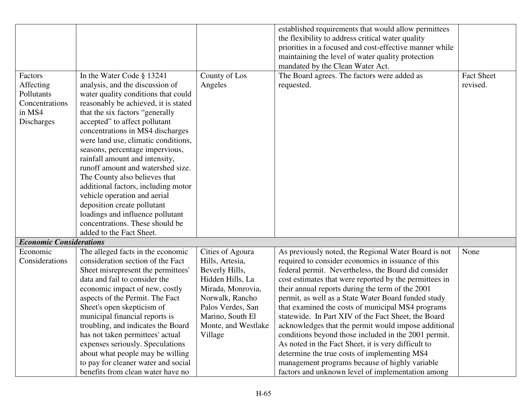|                                |                                                                         |                     | established requirements that would allow permittees                                                         |                   |
|--------------------------------|-------------------------------------------------------------------------|---------------------|--------------------------------------------------------------------------------------------------------------|-------------------|
|                                |                                                                         |                     | the flexibility to address critical water quality                                                            |                   |
|                                |                                                                         |                     | priorities in a focused and cost-effective manner while                                                      |                   |
|                                |                                                                         |                     | maintaining the level of water quality protection                                                            |                   |
|                                |                                                                         |                     | mandated by the Clean Water Act.                                                                             |                   |
| Factors                        | In the Water Code § 13241                                               | County of Los       | The Board agrees. The factors were added as                                                                  | <b>Fact Sheet</b> |
| Affecting                      | analysis, and the discussion of                                         | Angeles             | requested.                                                                                                   | revised.          |
| Pollutants                     | water quality conditions that could                                     |                     |                                                                                                              |                   |
| Concentrations                 |                                                                         |                     |                                                                                                              |                   |
| in MS4                         | reasonably be achieved, it is stated                                    |                     |                                                                                                              |                   |
|                                | that the six factors "generally                                         |                     |                                                                                                              |                   |
| Discharges                     | accepted" to affect pollutant                                           |                     |                                                                                                              |                   |
|                                | concentrations in MS4 discharges<br>were land use, climatic conditions, |                     |                                                                                                              |                   |
|                                | seasons, percentage impervious,                                         |                     |                                                                                                              |                   |
|                                | rainfall amount and intensity,                                          |                     |                                                                                                              |                   |
|                                | runoff amount and watershed size.                                       |                     |                                                                                                              |                   |
|                                | The County also believes that                                           |                     |                                                                                                              |                   |
|                                | additional factors, including motor                                     |                     |                                                                                                              |                   |
|                                | vehicle operation and aerial                                            |                     |                                                                                                              |                   |
|                                | deposition create pollutant                                             |                     |                                                                                                              |                   |
|                                | loadings and influence pollutant                                        |                     |                                                                                                              |                   |
|                                | concentrations. These should be                                         |                     |                                                                                                              |                   |
|                                | added to the Fact Sheet.                                                |                     |                                                                                                              |                   |
| <b>Economic Considerations</b> |                                                                         |                     |                                                                                                              |                   |
| Economic                       | The alleged facts in the economic                                       | Cities of Agoura    | As previously noted, the Regional Water Board is not                                                         | None              |
| Considerations                 | consideration section of the Fact                                       | Hills, Artesia,     | required to consider economics in issuance of this                                                           |                   |
|                                |                                                                         | Beverly Hills,      | federal permit. Nevertheless, the Board did consider                                                         |                   |
|                                | Sheet misrepresent the permittees'<br>data and fail to consider the     | Hidden Hills, La    |                                                                                                              |                   |
|                                |                                                                         | Mirada, Monrovia,   | cost estimates that were reported by the permittees in<br>their annual reports during the term of the 2001   |                   |
|                                | economic impact of new, costly<br>aspects of the Permit. The Fact       | Norwalk, Rancho     |                                                                                                              |                   |
|                                |                                                                         | Palos Verdes, San   | permit, as well as a State Water Board funded study                                                          |                   |
|                                | Sheet's open skepticism of                                              |                     | that examined the costs of municipal MS4 programs<br>statewide. In Part XIV of the Fact Sheet, the Board     |                   |
|                                | municipal financial reports is                                          | Marino, South El    |                                                                                                              |                   |
|                                | troubling, and indicates the Board<br>has not taken permittees' actual  | Monte, and Westlake | acknowledges that the permit would impose additional<br>conditions beyond those included in the 2001 permit. |                   |
|                                | expenses seriously. Speculations                                        | Village             | As noted in the Fact Sheet, it is very difficult to                                                          |                   |
|                                | about what people may be willing                                        |                     | determine the true costs of implementing MS4                                                                 |                   |
|                                | to pay for cleaner water and social                                     |                     | management programs because of highly variable                                                               |                   |
|                                | benefits from clean water have no                                       |                     | factors and unknown level of implementation among                                                            |                   |
|                                |                                                                         |                     |                                                                                                              |                   |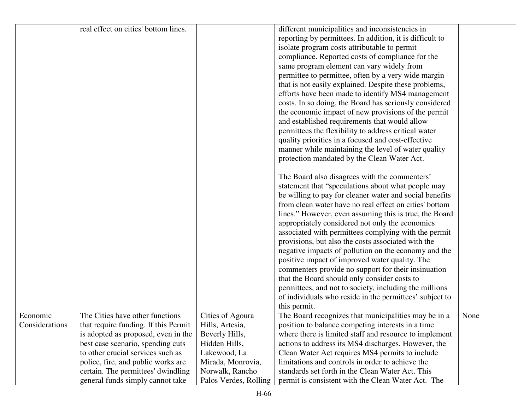|                | real effect on cities' bottom lines. |                       | different municipalities and inconsistencies in          |      |
|----------------|--------------------------------------|-----------------------|----------------------------------------------------------|------|
|                |                                      |                       | reporting by permittees. In addition, it is difficult to |      |
|                |                                      |                       | isolate program costs attributable to permit             |      |
|                |                                      |                       | compliance. Reported costs of compliance for the         |      |
|                |                                      |                       |                                                          |      |
|                |                                      |                       | same program element can vary widely from                |      |
|                |                                      |                       | permittee to permittee, often by a very wide margin      |      |
|                |                                      |                       | that is not easily explained. Despite these problems,    |      |
|                |                                      |                       | efforts have been made to identify MS4 management        |      |
|                |                                      |                       | costs. In so doing, the Board has seriously considered   |      |
|                |                                      |                       | the economic impact of new provisions of the permit      |      |
|                |                                      |                       | and established requirements that would allow            |      |
|                |                                      |                       | permittees the flexibility to address critical water     |      |
|                |                                      |                       | quality priorities in a focused and cost-effective       |      |
|                |                                      |                       | manner while maintaining the level of water quality      |      |
|                |                                      |                       | protection mandated by the Clean Water Act.              |      |
|                |                                      |                       | The Board also disagrees with the commenters'            |      |
|                |                                      |                       | statement that "speculations about what people may       |      |
|                |                                      |                       | be willing to pay for cleaner water and social benefits  |      |
|                |                                      |                       | from clean water have no real effect on cities' bottom   |      |
|                |                                      |                       | lines." However, even assuming this is true, the Board   |      |
|                |                                      |                       | appropriately considered not only the economics          |      |
|                |                                      |                       | associated with permittees complying with the permit     |      |
|                |                                      |                       | provisions, but also the costs associated with the       |      |
|                |                                      |                       | negative impacts of pollution on the economy and the     |      |
|                |                                      |                       | positive impact of improved water quality. The           |      |
|                |                                      |                       | commenters provide no support for their insinuation      |      |
|                |                                      |                       |                                                          |      |
|                |                                      |                       | that the Board should only consider costs to             |      |
|                |                                      |                       | permittees, and not to society, including the millions   |      |
|                |                                      |                       | of individuals who reside in the permittees' subject to  |      |
|                |                                      |                       | this permit.                                             |      |
| Economic       | The Cities have other functions      | Cities of Agoura      | The Board recognizes that municipalities may be in a     | None |
| Considerations | that require funding. If this Permit | Hills, Artesia,       | position to balance competing interests in a time        |      |
|                | is adopted as proposed, even in the  | Beverly Hills,        | where there is limited staff and resource to implement   |      |
|                | best case scenario, spending cuts    | Hidden Hills,         | actions to address its MS4 discharges. However, the      |      |
|                | to other crucial services such as    | Lakewood, La          | Clean Water Act requires MS4 permits to include          |      |
|                | police, fire, and public works are   | Mirada, Monrovia,     | limitations and controls in order to achieve the         |      |
|                | certain. The permittees' dwindling   | Norwalk, Rancho       | standards set forth in the Clean Water Act. This         |      |
|                | general funds simply cannot take     | Palos Verdes, Rolling | permit is consistent with the Clean Water Act. The       |      |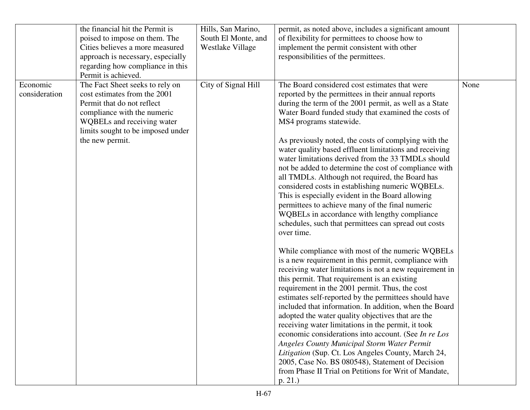|                           | the financial hit the Permit is<br>poised to impose on them. The<br>Cities believes a more measured<br>approach is necessary, especially<br>regarding how compliance in this<br>Permit is achieved.                | Hills, San Marino,<br>South El Monte, and<br>Westlake Village | permit, as noted above, includes a significant amount<br>of flexibility for permittees to choose how to<br>implement the permit consistent with other<br>responsibilities of the permittees.                                                                                                                                                                                                                                                                                                                                                                                                                                                                                                                                                                                                                                                                                                                                                                                                                                                                                                                                                                                                                                                                                                                                                                                                                                                                                                                                                                                                                           |      |
|---------------------------|--------------------------------------------------------------------------------------------------------------------------------------------------------------------------------------------------------------------|---------------------------------------------------------------|------------------------------------------------------------------------------------------------------------------------------------------------------------------------------------------------------------------------------------------------------------------------------------------------------------------------------------------------------------------------------------------------------------------------------------------------------------------------------------------------------------------------------------------------------------------------------------------------------------------------------------------------------------------------------------------------------------------------------------------------------------------------------------------------------------------------------------------------------------------------------------------------------------------------------------------------------------------------------------------------------------------------------------------------------------------------------------------------------------------------------------------------------------------------------------------------------------------------------------------------------------------------------------------------------------------------------------------------------------------------------------------------------------------------------------------------------------------------------------------------------------------------------------------------------------------------------------------------------------------------|------|
| Economic<br>consideration | The Fact Sheet seeks to rely on<br>cost estimates from the 2001<br>Permit that do not reflect<br>compliance with the numeric<br>WQBELs and receiving water<br>limits sought to be imposed under<br>the new permit. | City of Signal Hill                                           | The Board considered cost estimates that were<br>reported by the permittees in their annual reports<br>during the term of the 2001 permit, as well as a State<br>Water Board funded study that examined the costs of<br>MS4 programs statewide.<br>As previously noted, the costs of complying with the<br>water quality based effluent limitations and receiving<br>water limitations derived from the 33 TMDLs should<br>not be added to determine the cost of compliance with<br>all TMDLs. Although not required, the Board has<br>considered costs in establishing numeric WQBELs.<br>This is especially evident in the Board allowing<br>permittees to achieve many of the final numeric<br>WQBELs in accordance with lengthy compliance<br>schedules, such that permittees can spread out costs<br>over time.<br>While compliance with most of the numeric WQBELs<br>is a new requirement in this permit, compliance with<br>receiving water limitations is not a new requirement in<br>this permit. That requirement is an existing<br>requirement in the 2001 permit. Thus, the cost<br>estimates self-reported by the permittees should have<br>included that information. In addition, when the Board<br>adopted the water quality objectives that are the<br>receiving water limitations in the permit, it took<br>economic considerations into account. (See In re Los<br><b>Angeles County Municipal Storm Water Permit</b><br>Litigation (Sup. Ct. Los Angeles County, March 24,<br>2005, Case No. BS 080548), Statement of Decision<br>from Phase II Trial on Petitions for Writ of Mandate,<br>p. 21. | None |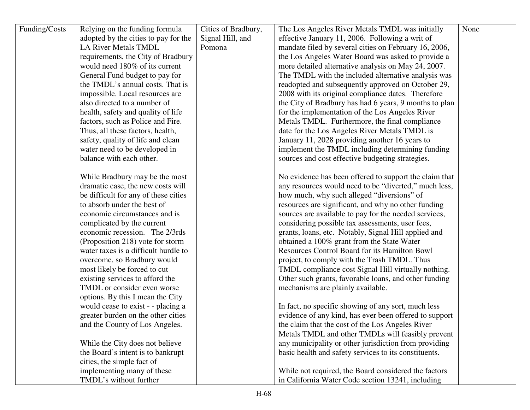| Funding/Costs | Relying on the funding formula       | Cities of Bradbury, | The Los Angeles River Metals TMDL was initially        | None |
|---------------|--------------------------------------|---------------------|--------------------------------------------------------|------|
|               | adopted by the cities to pay for the | Signal Hill, and    | effective January 11, 2006. Following a writ of        |      |
|               | <b>LA River Metals TMDL</b>          | Pomona              | mandate filed by several cities on February 16, 2006,  |      |
|               | requirements, the City of Bradbury   |                     | the Los Angeles Water Board was asked to provide a     |      |
|               | would need 180% of its current       |                     | more detailed alternative analysis on May 24, 2007.    |      |
|               | General Fund budget to pay for       |                     | The TMDL with the included alternative analysis was    |      |
|               | the TMDL's annual costs. That is     |                     | readopted and subsequently approved on October 29,     |      |
|               | impossible. Local resources are      |                     | 2008 with its original compliance dates. Therefore     |      |
|               | also directed to a number of         |                     | the City of Bradbury has had 6 years, 9 months to plan |      |
|               | health, safety and quality of life   |                     | for the implementation of the Los Angeles River        |      |
|               | factors, such as Police and Fire.    |                     | Metals TMDL. Furthermore, the final compliance         |      |
|               | Thus, all these factors, health,     |                     | date for the Los Angeles River Metals TMDL is          |      |
|               | safety, quality of life and clean    |                     | January 11, 2028 providing another 16 years to         |      |
|               | water need to be developed in        |                     | implement the TMDL including determining funding       |      |
|               | balance with each other.             |                     | sources and cost effective budgeting strategies.       |      |
|               |                                      |                     |                                                        |      |
|               | While Bradbury may be the most       |                     | No evidence has been offered to support the claim that |      |
|               | dramatic case, the new costs will    |                     | any resources would need to be "diverted," much less,  |      |
|               | be difficult for any of these cities |                     | how much, why such alleged "diversions" of             |      |
|               | to absorb under the best of          |                     | resources are significant, and why no other funding    |      |
|               | economic circumstances and is        |                     | sources are available to pay for the needed services,  |      |
|               | complicated by the current           |                     | considering possible tax assessments, user fees,       |      |
|               | economic recession. The 2/3rds       |                     | grants, loans, etc. Notably, Signal Hill applied and   |      |
|               | (Proposition 218) vote for storm     |                     | obtained a 100% grant from the State Water             |      |
|               | water taxes is a difficult hurdle to |                     | Resources Control Board for its Hamilton Bowl          |      |
|               | overcome, so Bradbury would          |                     | project, to comply with the Trash TMDL. Thus           |      |
|               | most likely be forced to cut         |                     | TMDL compliance cost Signal Hill virtually nothing.    |      |
|               | existing services to afford the      |                     | Other such grants, favorable loans, and other funding  |      |
|               | TMDL or consider even worse          |                     | mechanisms are plainly available.                      |      |
|               | options. By this I mean the City     |                     |                                                        |      |
|               | would cease to exist - - placing a   |                     | In fact, no specific showing of any sort, much less    |      |
|               | greater burden on the other cities   |                     | evidence of any kind, has ever been offered to support |      |
|               | and the County of Los Angeles.       |                     | the claim that the cost of the Los Angeles River       |      |
|               |                                      |                     | Metals TMDL and other TMDLs will feasibly prevent      |      |
|               | While the City does not believe      |                     | any municipality or other jurisdiction from providing  |      |
|               | the Board's intent is to bankrupt    |                     | basic health and safety services to its constituents.  |      |
|               | cities, the simple fact of           |                     |                                                        |      |
|               | implementing many of these           |                     | While not required, the Board considered the factors   |      |
|               | TMDL's without further               |                     | in California Water Code section 13241, including      |      |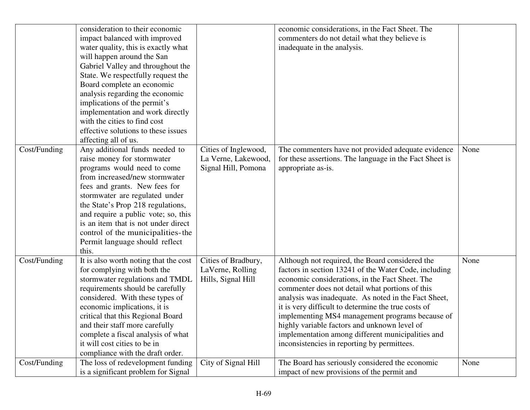|              | consideration to their economic<br>impact balanced with improved<br>water quality, this is exactly what<br>will happen around the San<br>Gabriel Valley and throughout the<br>State. We respectfully request the<br>Board complete an economic<br>analysis regarding the economic<br>implications of the permit's<br>implementation and work directly<br>with the cities to find cost<br>effective solutions to these issues<br>affecting all of us. |                                                                    | economic considerations, in the Fact Sheet. The<br>commenters do not detail what they believe is<br>inadequate in the analysis.                                                                                                                                                                                                                                                                                                                                                                                                      |      |
|--------------|------------------------------------------------------------------------------------------------------------------------------------------------------------------------------------------------------------------------------------------------------------------------------------------------------------------------------------------------------------------------------------------------------------------------------------------------------|--------------------------------------------------------------------|--------------------------------------------------------------------------------------------------------------------------------------------------------------------------------------------------------------------------------------------------------------------------------------------------------------------------------------------------------------------------------------------------------------------------------------------------------------------------------------------------------------------------------------|------|
| Cost/Funding | Any additional funds needed to<br>raise money for stormwater<br>programs would need to come<br>from increased/new stormwater<br>fees and grants. New fees for<br>stormwater are regulated under<br>the State's Prop 218 regulations,<br>and require a public vote; so, this<br>is an item that is not under direct<br>control of the municipalities-the<br>Permit language should reflect<br>this.                                                   | Cities of Inglewood,<br>La Verne, Lakewood,<br>Signal Hill, Pomona | The commenters have not provided adequate evidence<br>for these assertions. The language in the Fact Sheet is<br>appropriate as-is.                                                                                                                                                                                                                                                                                                                                                                                                  | None |
| Cost/Funding | It is also worth noting that the cost<br>for complying with both the<br>stormwater regulations and TMDL<br>requirements should be carefully<br>considered. With these types of<br>economic implications, it is<br>critical that this Regional Board<br>and their staff more carefully<br>complete a fiscal analysis of what<br>it will cost cities to be in<br>compliance with the draft order.                                                      | Cities of Bradbury,<br>LaVerne, Rolling<br>Hills, Signal Hill      | Although not required, the Board considered the<br>factors in section 13241 of the Water Code, including<br>economic considerations, in the Fact Sheet. The<br>commenter does not detail what portions of this<br>analysis was inadequate. As noted in the Fact Sheet,<br>it is very difficult to determine the true costs of<br>implementing MS4 management programs because of<br>highly variable factors and unknown level of<br>implementation among different municipalities and<br>inconsistencies in reporting by permittees. | None |
| Cost/Funding | The loss of redevelopment funding<br>is a significant problem for Signal                                                                                                                                                                                                                                                                                                                                                                             | City of Signal Hill                                                | The Board has seriously considered the economic<br>impact of new provisions of the permit and                                                                                                                                                                                                                                                                                                                                                                                                                                        | None |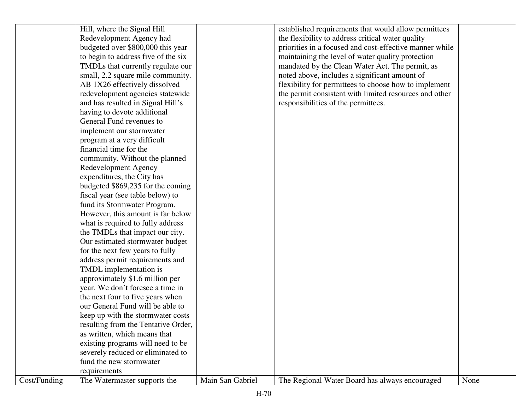|              | Hill, where the Signal Hill         |                  | established requirements that would allow permittees    |      |
|--------------|-------------------------------------|------------------|---------------------------------------------------------|------|
|              | Redevelopment Agency had            |                  | the flexibility to address critical water quality       |      |
|              | budgeted over \$800,000 this year   |                  | priorities in a focused and cost-effective manner while |      |
|              | to begin to address five of the six |                  | maintaining the level of water quality protection       |      |
|              | TMDLs that currently regulate our   |                  | mandated by the Clean Water Act. The permit, as         |      |
|              | small, 2.2 square mile community.   |                  | noted above, includes a significant amount of           |      |
|              | AB 1X26 effectively dissolved       |                  | flexibility for permittees to choose how to implement   |      |
|              | redevelopment agencies statewide    |                  | the permit consistent with limited resources and other  |      |
|              | and has resulted in Signal Hill's   |                  | responsibilities of the permittees.                     |      |
|              | having to devote additional         |                  |                                                         |      |
|              | General Fund revenues to            |                  |                                                         |      |
|              | implement our stormwater            |                  |                                                         |      |
|              | program at a very difficult         |                  |                                                         |      |
|              | financial time for the              |                  |                                                         |      |
|              | community. Without the planned      |                  |                                                         |      |
|              | Redevelopment Agency                |                  |                                                         |      |
|              | expenditures, the City has          |                  |                                                         |      |
|              | budgeted \$869,235 for the coming   |                  |                                                         |      |
|              | fiscal year (see table below) to    |                  |                                                         |      |
|              | fund its Stormwater Program.        |                  |                                                         |      |
|              | However, this amount is far below   |                  |                                                         |      |
|              | what is required to fully address   |                  |                                                         |      |
|              | the TMDLs that impact our city.     |                  |                                                         |      |
|              | Our estimated stormwater budget     |                  |                                                         |      |
|              | for the next few years to fully     |                  |                                                         |      |
|              | address permit requirements and     |                  |                                                         |      |
|              | TMDL implementation is              |                  |                                                         |      |
|              | approximately \$1.6 million per     |                  |                                                         |      |
|              | year. We don't foresee a time in    |                  |                                                         |      |
|              | the next four to five years when    |                  |                                                         |      |
|              | our General Fund will be able to    |                  |                                                         |      |
|              | keep up with the stormwater costs   |                  |                                                         |      |
|              | resulting from the Tentative Order, |                  |                                                         |      |
|              | as written, which means that        |                  |                                                         |      |
|              | existing programs will need to be   |                  |                                                         |      |
|              | severely reduced or eliminated to   |                  |                                                         |      |
|              | fund the new stormwater             |                  |                                                         |      |
|              | requirements                        |                  |                                                         |      |
| Cost/Funding | The Watermaster supports the        | Main San Gabriel | The Regional Water Board has always encouraged          | None |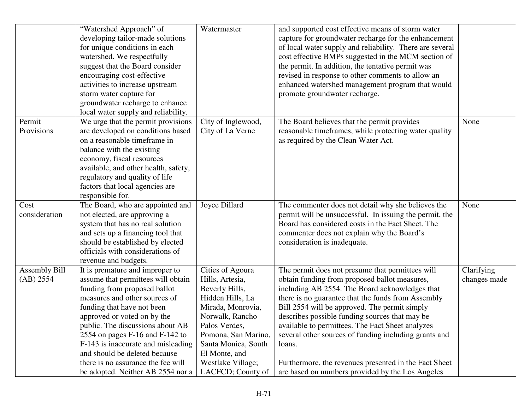|                      | "Watershed Approach" of              | Watermaster         | and supported cost effective means of storm water        |              |
|----------------------|--------------------------------------|---------------------|----------------------------------------------------------|--------------|
|                      | developing tailor-made solutions     |                     | capture for groundwater recharge for the enhancement     |              |
|                      | for unique conditions in each        |                     | of local water supply and reliability. There are several |              |
|                      | watershed. We respectfully           |                     | cost effective BMPs suggested in the MCM section of      |              |
|                      | suggest that the Board consider      |                     | the permit. In addition, the tentative permit was        |              |
|                      | encouraging cost-effective           |                     | revised in response to other comments to allow an        |              |
|                      | activities to increase upstream      |                     | enhanced watershed management program that would         |              |
|                      | storm water capture for              |                     | promote groundwater recharge.                            |              |
|                      | groundwater recharge to enhance      |                     |                                                          |              |
|                      | local water supply and reliability.  |                     |                                                          |              |
| Permit               | We urge that the permit provisions   | City of Inglewood,  | The Board believes that the permit provides              | None         |
| Provisions           | are developed on conditions based    | City of La Verne    | reasonable timeframes, while protecting water quality    |              |
|                      | on a reasonable timeframe in         |                     | as required by the Clean Water Act.                      |              |
|                      | balance with the existing            |                     |                                                          |              |
|                      | economy, fiscal resources            |                     |                                                          |              |
|                      | available, and other health, safety, |                     |                                                          |              |
|                      | regulatory and quality of life       |                     |                                                          |              |
|                      | factors that local agencies are      |                     |                                                          |              |
|                      | responsible for.                     |                     |                                                          |              |
| Cost                 | The Board, who are appointed and     | Joyce Dillard       | The commenter does not detail why she believes the       | None         |
| consideration        | not elected, are approving a         |                     | permit will be unsuccessful. In issuing the permit, the  |              |
|                      | system that has no real solution     |                     | Board has considered costs in the Fact Sheet. The        |              |
|                      | and sets up a financing tool that    |                     | commenter does not explain why the Board's               |              |
|                      | should be established by elected     |                     | consideration is inadequate.                             |              |
|                      | officials with considerations of     |                     |                                                          |              |
|                      | revenue and budgets.                 |                     |                                                          |              |
| <b>Assembly Bill</b> | It is premature and improper to      | Cities of Agoura    | The permit does not presume that permittees will         | Clarifying   |
| (AB) 2554            | assume that permittees will obtain   | Hills, Artesia,     | obtain funding from proposed ballot measures,            | changes made |
|                      | funding from proposed ballot         | Beverly Hills,      | including AB 2554. The Board acknowledges that           |              |
|                      | measures and other sources of        | Hidden Hills, La    | there is no guarantee that the funds from Assembly       |              |
|                      | funding that have not been           | Mirada, Monrovia,   | Bill 2554 will be approved. The permit simply            |              |
|                      | approved or voted on by the          | Norwalk, Rancho     | describes possible funding sources that may be           |              |
|                      | public. The discussions about AB     | Palos Verdes,       | available to permittees. The Fact Sheet analyzes         |              |
|                      | 2554 on pages $F-16$ and $F-142$ to  | Pomona, San Marino, | several other sources of funding including grants and    |              |
|                      | F-143 is inaccurate and misleading   | Santa Monica, South | loans.                                                   |              |
|                      | and should be deleted because        | El Monte, and       |                                                          |              |
|                      | there is no assurance the fee will   | Westlake Village;   | Furthermore, the revenues presented in the Fact Sheet    |              |
|                      | be adopted. Neither AB 2554 nor a    | LACFCD; County of   | are based on numbers provided by the Los Angeles         |              |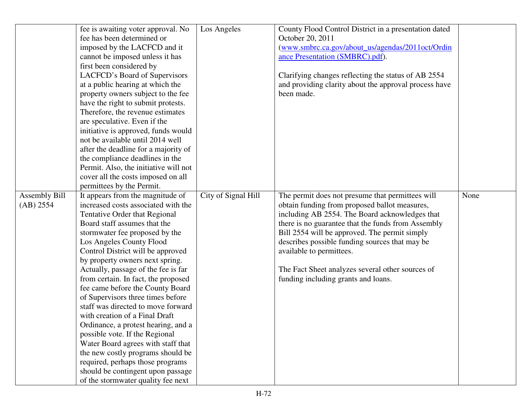|                            | fee is awaiting voter approval. No<br>fee has been determined or<br>imposed by the LACFCD and it<br>cannot be imposed unless it has<br>first been considered by<br>LACFCD's Board of Supervisors<br>at a public hearing at which the<br>property owners subject to the fee<br>have the right to submit protests.<br>Therefore, the revenue estimates<br>are speculative. Even if the<br>initiative is approved, funds would<br>not be available until 2014 well<br>after the deadline for a majority of<br>the compliance deadlines in the<br>Permit. Also, the initiative will not<br>cover all the costs imposed on all<br>permittees by the Permit.                                                                                                                           | Los Angeles         | County Flood Control District in a presentation dated<br>October 20, 2011<br>(www.smbrc.ca.gov/about_us/agendas/2011oct/Ordin<br>ance Presentation (SMBRC).pdf).<br>Clarifying changes reflecting the status of AB 2554<br>and providing clarity about the approval process have<br>been made.                                                                                                                                      |      |
|----------------------------|----------------------------------------------------------------------------------------------------------------------------------------------------------------------------------------------------------------------------------------------------------------------------------------------------------------------------------------------------------------------------------------------------------------------------------------------------------------------------------------------------------------------------------------------------------------------------------------------------------------------------------------------------------------------------------------------------------------------------------------------------------------------------------|---------------------|-------------------------------------------------------------------------------------------------------------------------------------------------------------------------------------------------------------------------------------------------------------------------------------------------------------------------------------------------------------------------------------------------------------------------------------|------|
| Assembly Bill<br>(AB) 2554 | It appears from the magnitude of<br>increased costs associated with the<br>Tentative Order that Regional<br>Board staff assumes that the<br>stormwater fee proposed by the<br>Los Angeles County Flood<br>Control District will be approved<br>by property owners next spring.<br>Actually, passage of the fee is far<br>from certain. In fact, the proposed<br>fee came before the County Board<br>of Supervisors three times before<br>staff was directed to move forward<br>with creation of a Final Draft<br>Ordinance, a protest hearing, and a<br>possible vote. If the Regional<br>Water Board agrees with staff that<br>the new costly programs should be<br>required, perhaps those programs<br>should be contingent upon passage<br>of the stormwater quality fee next | City of Signal Hill | The permit does not presume that permittees will<br>obtain funding from proposed ballot measures,<br>including AB 2554. The Board acknowledges that<br>there is no guarantee that the funds from Assembly<br>Bill 2554 will be approved. The permit simply<br>describes possible funding sources that may be<br>available to permittees.<br>The Fact Sheet analyzes several other sources of<br>funding including grants and loans. | None |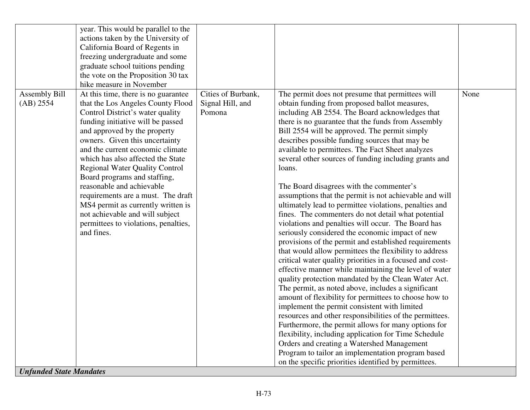|                                | year. This would be parallel to the   |                    |                                                          |      |
|--------------------------------|---------------------------------------|--------------------|----------------------------------------------------------|------|
|                                | actions taken by the University of    |                    |                                                          |      |
|                                | California Board of Regents in        |                    |                                                          |      |
|                                | freezing undergraduate and some       |                    |                                                          |      |
|                                | graduate school tuitions pending      |                    |                                                          |      |
|                                | the vote on the Proposition 30 tax    |                    |                                                          |      |
|                                | hike measure in November              |                    |                                                          |      |
| <b>Assembly Bill</b>           | At this time, there is no guarantee   | Cities of Burbank, | The permit does not presume that permittees will         | None |
| (AB) 2554                      | that the Los Angeles County Flood     | Signal Hill, and   | obtain funding from proposed ballot measures,            |      |
|                                | Control District's water quality      | Pomona             | including AB 2554. The Board acknowledges that           |      |
|                                | funding initiative will be passed     |                    | there is no guarantee that the funds from Assembly       |      |
|                                | and approved by the property          |                    | Bill 2554 will be approved. The permit simply            |      |
|                                | owners. Given this uncertainty        |                    | describes possible funding sources that may be           |      |
|                                | and the current economic climate      |                    | available to permittees. The Fact Sheet analyzes         |      |
|                                | which has also affected the State     |                    | several other sources of funding including grants and    |      |
|                                | <b>Regional Water Quality Control</b> |                    | loans.                                                   |      |
|                                | Board programs and staffing,          |                    |                                                          |      |
|                                | reasonable and achievable             |                    | The Board disagrees with the commenter's                 |      |
|                                | requirements are a must. The draft    |                    | assumptions that the permit is not achievable and will   |      |
|                                | MS4 permit as currently written is    |                    | ultimately lead to permittee violations, penalties and   |      |
|                                | not achievable and will subject       |                    | fines. The commenters do not detail what potential       |      |
|                                | permittees to violations, penalties,  |                    | violations and penalties will occur. The Board has       |      |
|                                | and fines.                            |                    | seriously considered the economic impact of new          |      |
|                                |                                       |                    | provisions of the permit and established requirements    |      |
|                                |                                       |                    | that would allow permittees the flexibility to address   |      |
|                                |                                       |                    | critical water quality priorities in a focused and cost- |      |
|                                |                                       |                    | effective manner while maintaining the level of water    |      |
|                                |                                       |                    | quality protection mandated by the Clean Water Act.      |      |
|                                |                                       |                    | The permit, as noted above, includes a significant       |      |
|                                |                                       |                    | amount of flexibility for permittees to choose how to    |      |
|                                |                                       |                    | implement the permit consistent with limited             |      |
|                                |                                       |                    | resources and other responsibilities of the permittees.  |      |
|                                |                                       |                    | Furthermore, the permit allows for many options for      |      |
|                                |                                       |                    | flexibility, including application for Time Schedule     |      |
|                                |                                       |                    | Orders and creating a Watershed Management               |      |
|                                |                                       |                    | Program to tailor an implementation program based        |      |
|                                |                                       |                    | on the specific priorities identified by permittees.     |      |
| <b>Unfunded State Mandates</b> |                                       |                    |                                                          |      |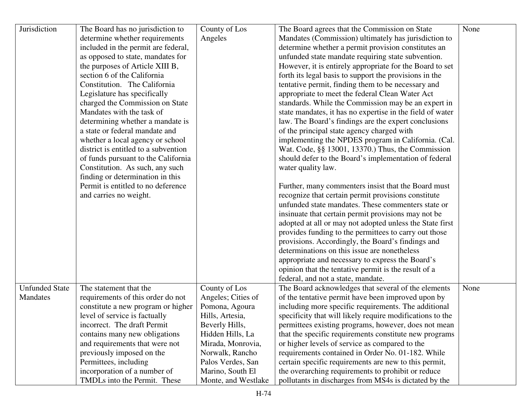| Jurisdiction          | The Board has no jurisdiction to     | County of Los       | The Board agrees that the Commission on State             | None |
|-----------------------|--------------------------------------|---------------------|-----------------------------------------------------------|------|
|                       | determine whether requirements       | Angeles             | Mandates (Commission) ultimately has jurisdiction to      |      |
|                       | included in the permit are federal,  |                     | determine whether a permit provision constitutes an       |      |
|                       | as opposed to state, mandates for    |                     | unfunded state mandate requiring state subvention.        |      |
|                       | the purposes of Article XIII B,      |                     | However, it is entirely appropriate for the Board to set  |      |
|                       | section 6 of the California          |                     | forth its legal basis to support the provisions in the    |      |
|                       | Constitution. The California         |                     | tentative permit, finding them to be necessary and        |      |
|                       | Legislature has specifically         |                     | appropriate to meet the federal Clean Water Act           |      |
|                       | charged the Commission on State      |                     | standards. While the Commission may be an expert in       |      |
|                       | Mandates with the task of            |                     | state mandates, it has no expertise in the field of water |      |
|                       | determining whether a mandate is     |                     | law. The Board's findings are the expert conclusions      |      |
|                       | a state or federal mandate and       |                     | of the principal state agency charged with                |      |
|                       | whether a local agency or school     |                     | implementing the NPDES program in California. (Cal.       |      |
|                       | district is entitled to a subvention |                     | Wat. Code, §§ 13001, 13370.) Thus, the Commission         |      |
|                       | of funds pursuant to the California  |                     | should defer to the Board's implementation of federal     |      |
|                       | Constitution. As such, any such      |                     | water quality law.                                        |      |
|                       | finding or determination in this     |                     |                                                           |      |
|                       | Permit is entitled to no deference   |                     | Further, many commenters insist that the Board must       |      |
|                       | and carries no weight.               |                     | recognize that certain permit provisions constitute       |      |
|                       |                                      |                     | unfunded state mandates. These commenters state or        |      |
|                       |                                      |                     | insinuate that certain permit provisions may not be       |      |
|                       |                                      |                     | adopted at all or may not adopted unless the State first  |      |
|                       |                                      |                     | provides funding to the permittees to carry out those     |      |
|                       |                                      |                     | provisions. Accordingly, the Board's findings and         |      |
|                       |                                      |                     | determinations on this issue are nonetheless              |      |
|                       |                                      |                     | appropriate and necessary to express the Board's          |      |
|                       |                                      |                     | opinion that the tentative permit is the result of a      |      |
|                       |                                      |                     | federal, and not a state, mandate.                        |      |
| <b>Unfunded State</b> | The statement that the               | County of Los       | The Board acknowledges that several of the elements       | None |
| Mandates              | requirements of this order do not    | Angeles; Cities of  | of the tentative permit have been improved upon by        |      |
|                       | constitute a new program or higher   | Pomona, Agoura      | including more specific requirements. The additional      |      |
|                       | level of service is factually        | Hills, Artesia,     | specificity that will likely require modifications to the |      |
|                       | incorrect. The draft Permit          | Beverly Hills,      | permittees existing programs, however, does not mean      |      |
|                       | contains many new obligations        | Hidden Hills, La    | that the specific requirements constitute new programs    |      |
|                       | and requirements that were not       | Mirada, Monrovia,   | or higher levels of service as compared to the            |      |
|                       | previously imposed on the            | Norwalk, Rancho     | requirements contained in Order No. 01-182. While         |      |
|                       | Permittees, including                | Palos Verdes, San   | certain specific requirements are new to this permit,     |      |
|                       | incorporation of a number of         | Marino, South El    | the overarching requirements to prohibit or reduce        |      |
|                       | TMDLs into the Permit. These         | Monte, and Westlake | pollutants in discharges from MS4s is dictated by the     |      |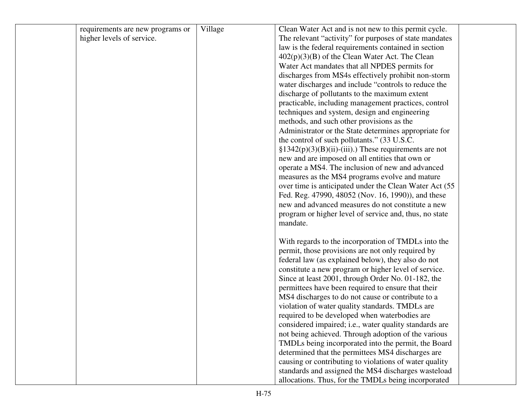| Clean Water Act and is not new to this permit cycle.<br>Village<br>requirements are new programs or<br>The relevant "activity" for purposes of state mandates<br>higher levels of service. |  |
|--------------------------------------------------------------------------------------------------------------------------------------------------------------------------------------------|--|
|                                                                                                                                                                                            |  |
|                                                                                                                                                                                            |  |
| law is the federal requirements contained in section                                                                                                                                       |  |
| $402(p)(3)(B)$ of the Clean Water Act. The Clean                                                                                                                                           |  |
| Water Act mandates that all NPDES permits for                                                                                                                                              |  |
| discharges from MS4s effectively prohibit non-storm                                                                                                                                        |  |
| water discharges and include "controls to reduce the                                                                                                                                       |  |
| discharge of pollutants to the maximum extent                                                                                                                                              |  |
| practicable, including management practices, control                                                                                                                                       |  |
| techniques and system, design and engineering                                                                                                                                              |  |
| methods, and such other provisions as the                                                                                                                                                  |  |
| Administrator or the State determines appropriate for                                                                                                                                      |  |
| the control of such pollutants." (33 U.S.C.                                                                                                                                                |  |
| $\S 1342(p)(3)(B)(ii)$ -(iii).) These requirements are not                                                                                                                                 |  |
| new and are imposed on all entities that own or                                                                                                                                            |  |
| operate a MS4. The inclusion of new and advanced                                                                                                                                           |  |
| measures as the MS4 programs evolve and mature                                                                                                                                             |  |
| over time is anticipated under the Clean Water Act (55                                                                                                                                     |  |
| Fed. Reg. 47990, 48052 (Nov. 16, 1990)), and these                                                                                                                                         |  |
| new and advanced measures do not constitute a new                                                                                                                                          |  |
| program or higher level of service and, thus, no state                                                                                                                                     |  |
| mandate.                                                                                                                                                                                   |  |
|                                                                                                                                                                                            |  |
| With regards to the incorporation of TMDLs into the                                                                                                                                        |  |
| permit, those provisions are not only required by                                                                                                                                          |  |
| federal law (as explained below), they also do not                                                                                                                                         |  |
| constitute a new program or higher level of service.                                                                                                                                       |  |
| Since at least 2001, through Order No. 01-182, the                                                                                                                                         |  |
| permittees have been required to ensure that their                                                                                                                                         |  |
| MS4 discharges to do not cause or contribute to a                                                                                                                                          |  |
| violation of water quality standards. TMDLs are                                                                                                                                            |  |
| required to be developed when waterbodies are                                                                                                                                              |  |
| considered impaired; i.e., water quality standards are                                                                                                                                     |  |
| not being achieved. Through adoption of the various                                                                                                                                        |  |
| TMDLs being incorporated into the permit, the Board                                                                                                                                        |  |
| determined that the permittees MS4 discharges are                                                                                                                                          |  |
| causing or contributing to violations of water quality                                                                                                                                     |  |
| standards and assigned the MS4 discharges wasteload                                                                                                                                        |  |
| allocations. Thus, for the TMDLs being incorporated                                                                                                                                        |  |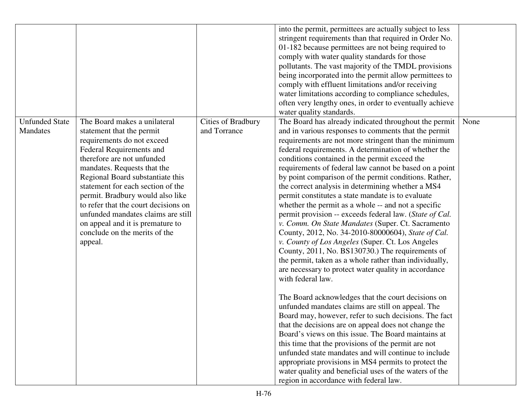|                       |                                      |                    | into the permit, permittees are actually subject to less |      |
|-----------------------|--------------------------------------|--------------------|----------------------------------------------------------|------|
|                       |                                      |                    | stringent requirements than that required in Order No.   |      |
|                       |                                      |                    | 01-182 because permittees are not being required to      |      |
|                       |                                      |                    | comply with water quality standards for those            |      |
|                       |                                      |                    | pollutants. The vast majority of the TMDL provisions     |      |
|                       |                                      |                    | being incorporated into the permit allow permittees to   |      |
|                       |                                      |                    | comply with effluent limitations and/or receiving        |      |
|                       |                                      |                    | water limitations according to compliance schedules,     |      |
|                       |                                      |                    | often very lengthy ones, in order to eventually achieve  |      |
|                       |                                      |                    | water quality standards.                                 |      |
| <b>Unfunded State</b> | The Board makes a unilateral         | Cities of Bradbury | The Board has already indicated throughout the permit    | None |
| Mandates              | statement that the permit            | and Torrance       | and in various responses to comments that the permit     |      |
|                       | requirements do not exceed           |                    | requirements are not more stringent than the minimum     |      |
|                       | Federal Requirements and             |                    | federal requirements. A determination of whether the     |      |
|                       | therefore are not unfunded           |                    | conditions contained in the permit exceed the            |      |
|                       | mandates. Requests that the          |                    | requirements of federal law cannot be based on a point   |      |
|                       | Regional Board substantiate this     |                    | by point comparison of the permit conditions. Rather,    |      |
|                       | statement for each section of the    |                    | the correct analysis in determining whether a MS4        |      |
|                       | permit. Bradbury would also like     |                    | permit constitutes a state mandate is to evaluate        |      |
|                       | to refer that the court decisions on |                    | whether the permit as a whole -- and not a specific      |      |
|                       | unfunded mandates claims are still   |                    | permit provision -- exceeds federal law. (State of Cal.  |      |
|                       | on appeal and it is premature to     |                    | v. Comm. On State Mandates (Super. Ct. Sacramento        |      |
|                       | conclude on the merits of the        |                    | County, 2012, No. 34-2010-80000604), State of Cal.       |      |
|                       | appeal.                              |                    | v. County of Los Angeles (Super. Ct. Los Angeles         |      |
|                       |                                      |                    | County, 2011, No. BS130730.) The requirements of         |      |
|                       |                                      |                    | the permit, taken as a whole rather than individually,   |      |
|                       |                                      |                    | are necessary to protect water quality in accordance     |      |
|                       |                                      |                    | with federal law.                                        |      |
|                       |                                      |                    |                                                          |      |
|                       |                                      |                    | The Board acknowledges that the court decisions on       |      |
|                       |                                      |                    | unfunded mandates claims are still on appeal. The        |      |
|                       |                                      |                    | Board may, however, refer to such decisions. The fact    |      |
|                       |                                      |                    | that the decisions are on appeal does not change the     |      |
|                       |                                      |                    | Board's views on this issue. The Board maintains at      |      |
|                       |                                      |                    | this time that the provisions of the permit are not      |      |
|                       |                                      |                    | unfunded state mandates and will continue to include     |      |
|                       |                                      |                    | appropriate provisions in MS4 permits to protect the     |      |
|                       |                                      |                    | water quality and beneficial uses of the waters of the   |      |
|                       |                                      |                    | region in accordance with federal law.                   |      |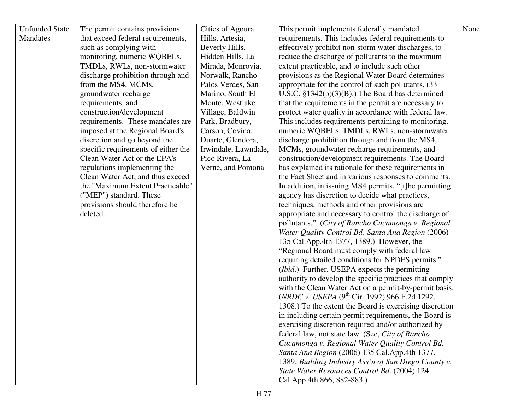| <b>Unfunded State</b> | The permit contains provisions      | Cities of Agoura     | This permit implements federally mandated                                | None |
|-----------------------|-------------------------------------|----------------------|--------------------------------------------------------------------------|------|
| Mandates              | that exceed federal requirements,   | Hills, Artesia,      | requirements. This includes federal requirements to                      |      |
|                       | such as complying with              | Beverly Hills,       | effectively prohibit non-storm water discharges, to                      |      |
|                       | monitoring, numeric WQBELs,         | Hidden Hills, La     | reduce the discharge of pollutants to the maximum                        |      |
|                       | TMDLs, RWLs, non-stormwater         | Mirada, Monrovia,    | extent practicable, and to include such other                            |      |
|                       | discharge prohibition through and   | Norwalk, Rancho      | provisions as the Regional Water Board determines                        |      |
|                       | from the MS4, MCMs,                 | Palos Verdes, San    | appropriate for the control of such pollutants. (33)                     |      |
|                       | groundwater recharge                | Marino, South El     | U.S.C. $\S 1342(p)(3)(B)$ .) The Board has determined                    |      |
|                       | requirements, and                   | Monte, Westlake      | that the requirements in the permit are necessary to                     |      |
|                       | construction/development            | Village, Baldwin     | protect water quality in accordance with federal law.                    |      |
|                       | requirements. These mandates are    | Park, Bradbury,      | This includes requirements pertaining to monitoring,                     |      |
|                       | imposed at the Regional Board's     | Carson, Covina,      | numeric WQBELs, TMDLs, RWLs, non-stormwater                              |      |
|                       | discretion and go beyond the        | Duarte, Glendora,    | discharge prohibition through and from the MS4,                          |      |
|                       | specific requirements of either the | Irwindale, Lawndale, | MCMs, groundwater recharge requirements, and                             |      |
|                       | Clean Water Act or the EPA's        | Pico Rivera, La      | construction/development requirements. The Board                         |      |
|                       | regulations implementing the        | Verne, and Pomona    | has explained its rationale for these requirements in                    |      |
|                       | Clean Water Act, and thus exceed    |                      | the Fact Sheet and in various responses to comments.                     |      |
|                       | the "Maximum Extent Practicable"    |                      | In addition, in issuing MS4 permits, "[t]he permitting                   |      |
|                       | ("MEP") standard. These             |                      | agency has discretion to decide what practices,                          |      |
|                       | provisions should therefore be      |                      | techniques, methods and other provisions are                             |      |
|                       | deleted.                            |                      | appropriate and necessary to control the discharge of                    |      |
|                       |                                     |                      | pollutants." (City of Rancho Cucamonga v. Regional                       |      |
|                       |                                     |                      | Water Quality Control Bd.-Santa Ana Region (2006)                        |      |
|                       |                                     |                      | 135 Cal. App. 4th 1377, 1389.) However, the                              |      |
|                       |                                     |                      | "Regional Board must comply with federal law                             |      |
|                       |                                     |                      | requiring detailed conditions for NPDES permits."                        |      |
|                       |                                     |                      | ( <i>Ibid.</i> ) Further, USEPA expects the permitting                   |      |
|                       |                                     |                      | authority to develop the specific practices that comply                  |      |
|                       |                                     |                      | with the Clean Water Act on a permit-by-permit basis.                    |      |
|                       |                                     |                      | ( <i>NRDC</i> v. <i>USEPA</i> (9 <sup>th</sup> Cir. 1992) 966 F.2d 1292, |      |
|                       |                                     |                      | 1308.) To the extent the Board is exercising discretion                  |      |
|                       |                                     |                      | in including certain permit requirements, the Board is                   |      |
|                       |                                     |                      | exercising discretion required and/or authorized by                      |      |
|                       |                                     |                      | federal law, not state law. (See, City of Rancho                         |      |
|                       |                                     |                      | Cucamonga v. Regional Water Quality Control Bd.-                         |      |
|                       |                                     |                      | Santa Ana Region (2006) 135 Cal. App. 4th 1377,                          |      |
|                       |                                     |                      | 1389; Building Industry Ass'n of San Diego County v.                     |      |
|                       |                                     |                      | State Water Resources Control Bd. (2004) 124                             |      |
|                       |                                     |                      | Cal.App.4th 866, 882-883.)                                               |      |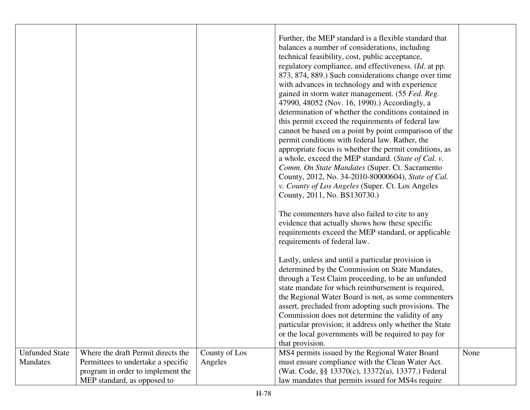|                       |                                    |               | Further, the MEP standard is a flexible standard that<br>balances a number of considerations, including<br>technical feasibility, cost, public acceptance,<br>regulatory compliance, and effectiveness. ( <i>Id.</i> at pp.<br>873, 874, 889.) Such considerations change over time<br>with advances in technology and with experience<br>gained in storm water management. (55 Fed. Reg.<br>47990, 48052 (Nov. 16, 1990).) Accordingly, a<br>determination of whether the conditions contained in<br>this permit exceed the requirements of federal law<br>cannot be based on a point by point comparison of the<br>permit conditions with federal law. Rather, the<br>appropriate focus is whether the permit conditions, as<br>a whole, exceed the MEP standard. (State of Cal. v.<br>Comm. On State Mandates (Super. Ct. Sacramento<br>County, 2012, No. 34-2010-80000604), State of Cal.<br>v. County of Los Angeles (Super. Ct. Los Angeles<br>County, 2011, No. BS130730.)<br>The commenters have also failed to cite to any<br>evidence that actually shows how these specific<br>requirements exceed the MEP standard, or applicable<br>requirements of federal law.<br>Lastly, unless and until a particular provision is<br>determined by the Commission on State Mandates,<br>through a Test Claim proceeding, to be an unfunded<br>state mandate for which reimbursement is required,<br>the Regional Water Board is not, as some commenters<br>assert, precluded from adopting such provisions. The<br>Commission does not determine the validity of any<br>particular provision; it address only whether the State<br>or the local governments will be required to pay for |      |
|-----------------------|------------------------------------|---------------|-------------------------------------------------------------------------------------------------------------------------------------------------------------------------------------------------------------------------------------------------------------------------------------------------------------------------------------------------------------------------------------------------------------------------------------------------------------------------------------------------------------------------------------------------------------------------------------------------------------------------------------------------------------------------------------------------------------------------------------------------------------------------------------------------------------------------------------------------------------------------------------------------------------------------------------------------------------------------------------------------------------------------------------------------------------------------------------------------------------------------------------------------------------------------------------------------------------------------------------------------------------------------------------------------------------------------------------------------------------------------------------------------------------------------------------------------------------------------------------------------------------------------------------------------------------------------------------------------------------------------------------------------------------------------------------------|------|
|                       |                                    |               |                                                                                                                                                                                                                                                                                                                                                                                                                                                                                                                                                                                                                                                                                                                                                                                                                                                                                                                                                                                                                                                                                                                                                                                                                                                                                                                                                                                                                                                                                                                                                                                                                                                                                           |      |
|                       |                                    |               | that provision.                                                                                                                                                                                                                                                                                                                                                                                                                                                                                                                                                                                                                                                                                                                                                                                                                                                                                                                                                                                                                                                                                                                                                                                                                                                                                                                                                                                                                                                                                                                                                                                                                                                                           |      |
| <b>Unfunded State</b> | Where the draft Permit directs the | County of Los | MS4 permits issued by the Regional Water Board                                                                                                                                                                                                                                                                                                                                                                                                                                                                                                                                                                                                                                                                                                                                                                                                                                                                                                                                                                                                                                                                                                                                                                                                                                                                                                                                                                                                                                                                                                                                                                                                                                            | None |
| <b>Mandates</b>       | Permittees to undertake a specific | Angeles       | must ensure compliance with the Clean Water Act.                                                                                                                                                                                                                                                                                                                                                                                                                                                                                                                                                                                                                                                                                                                                                                                                                                                                                                                                                                                                                                                                                                                                                                                                                                                                                                                                                                                                                                                                                                                                                                                                                                          |      |
|                       | program in order to implement the  |               | (Wat. Code, §§ 13370(c), 13372(a), 13377.) Federal                                                                                                                                                                                                                                                                                                                                                                                                                                                                                                                                                                                                                                                                                                                                                                                                                                                                                                                                                                                                                                                                                                                                                                                                                                                                                                                                                                                                                                                                                                                                                                                                                                        |      |
|                       | MEP standard, as opposed to        |               | law mandates that permits issued for MS4s require                                                                                                                                                                                                                                                                                                                                                                                                                                                                                                                                                                                                                                                                                                                                                                                                                                                                                                                                                                                                                                                                                                                                                                                                                                                                                                                                                                                                                                                                                                                                                                                                                                         |      |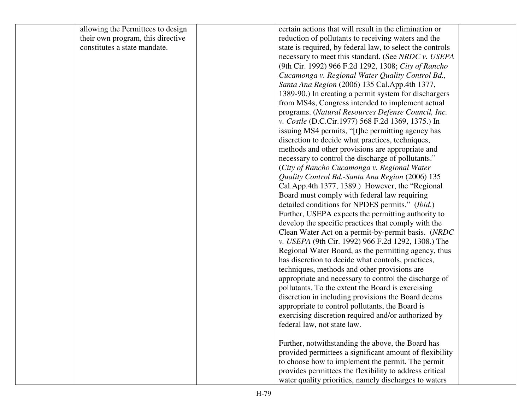| allowing the Permittees to design | certain actions that will result in the elimination or    |  |
|-----------------------------------|-----------------------------------------------------------|--|
| their own program, this directive | reduction of pollutants to receiving waters and the       |  |
| constitutes a state mandate.      | state is required, by federal law, to select the controls |  |
|                                   | necessary to meet this standard. (See NRDC v. USEPA       |  |
|                                   | (9th Cir. 1992) 966 F.2d 1292, 1308; City of Rancho       |  |
|                                   | Cucamonga v. Regional Water Quality Control Bd.,          |  |
|                                   | Santa Ana Region (2006) 135 Cal. App. 4th 1377,           |  |
|                                   | 1389-90.) In creating a permit system for dischargers     |  |
|                                   | from MS4s, Congress intended to implement actual          |  |
|                                   | programs. (Natural Resources Defense Council, Inc.        |  |
|                                   | v. Costle (D.C.Cir.1977) 568 F.2d 1369, 1375.) In         |  |
|                                   | issuing MS4 permits, "[t]he permitting agency has         |  |
|                                   | discretion to decide what practices, techniques,          |  |
|                                   | methods and other provisions are appropriate and          |  |
|                                   | necessary to control the discharge of pollutants."        |  |
|                                   | (City of Rancho Cucamonga v. Regional Water)              |  |
|                                   | Quality Control Bd.-Santa Ana Region (2006) 135           |  |
|                                   | Cal.App.4th 1377, 1389.) However, the "Regional           |  |
|                                   | Board must comply with federal law requiring              |  |
|                                   | detailed conditions for NPDES permits." (Ibid.)           |  |
|                                   | Further, USEPA expects the permitting authority to        |  |
|                                   | develop the specific practices that comply with the       |  |
|                                   | Clean Water Act on a permit-by-permit basis. (NRDC        |  |
|                                   | v. USEPA (9th Cir. 1992) 966 F.2d 1292, 1308.) The        |  |
|                                   | Regional Water Board, as the permitting agency, thus      |  |
|                                   | has discretion to decide what controls, practices,        |  |
|                                   | techniques, methods and other provisions are              |  |
|                                   | appropriate and necessary to control the discharge of     |  |
|                                   | pollutants. To the extent the Board is exercising         |  |
|                                   | discretion in including provisions the Board deems        |  |
|                                   | appropriate to control pollutants, the Board is           |  |
|                                   | exercising discretion required and/or authorized by       |  |
|                                   | federal law, not state law.                               |  |
|                                   |                                                           |  |
|                                   | Further, notwithstanding the above, the Board has         |  |
|                                   | provided permittees a significant amount of flexibility   |  |
|                                   | to choose how to implement the permit. The permit         |  |
|                                   | provides permittees the flexibility to address critical   |  |
|                                   | water quality priorities, namely discharges to waters     |  |
|                                   |                                                           |  |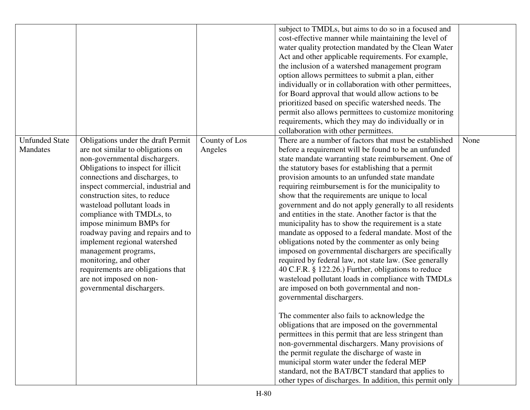|                                   |                                                                                                                                                                                                                                                                                                                                                                                                                                                                                                                                                                    |                          | subject to TMDLs, but aims to do so in a focused and<br>cost-effective manner while maintaining the level of<br>water quality protection mandated by the Clean Water<br>Act and other applicable requirements. For example,<br>the inclusion of a watershed management program<br>option allows permittees to submit a plan, either<br>individually or in collaboration with other permittees,<br>for Board approval that would allow actions to be<br>prioritized based on specific watershed needs. The<br>permit also allows permittees to customize monitoring<br>requirements, which they may do individually or in<br>collaboration with other permittees.                                                                                                                                                                                                                                                                                                                                                                                                                                                                                                                                                                                                                                                                                                                                                         |      |
|-----------------------------------|--------------------------------------------------------------------------------------------------------------------------------------------------------------------------------------------------------------------------------------------------------------------------------------------------------------------------------------------------------------------------------------------------------------------------------------------------------------------------------------------------------------------------------------------------------------------|--------------------------|--------------------------------------------------------------------------------------------------------------------------------------------------------------------------------------------------------------------------------------------------------------------------------------------------------------------------------------------------------------------------------------------------------------------------------------------------------------------------------------------------------------------------------------------------------------------------------------------------------------------------------------------------------------------------------------------------------------------------------------------------------------------------------------------------------------------------------------------------------------------------------------------------------------------------------------------------------------------------------------------------------------------------------------------------------------------------------------------------------------------------------------------------------------------------------------------------------------------------------------------------------------------------------------------------------------------------------------------------------------------------------------------------------------------------|------|
| <b>Unfunded State</b><br>Mandates | Obligations under the draft Permit<br>are not similar to obligations on<br>non-governmental dischargers.<br>Obligations to inspect for illicit<br>connections and discharges, to<br>inspect commercial, industrial and<br>construction sites, to reduce<br>wasteload pollutant loads in<br>compliance with TMDLs, to<br>impose minimum BMPs for<br>roadway paving and repairs and to<br>implement regional watershed<br>management programs,<br>monitoring, and other<br>requirements are obligations that<br>are not imposed on non-<br>governmental dischargers. | County of Los<br>Angeles | There are a number of factors that must be established<br>before a requirement will be found to be an unfunded<br>state mandate warranting state reimbursement. One of<br>the statutory bases for establishing that a permit<br>provision amounts to an unfunded state mandate<br>requiring reimbursement is for the municipality to<br>show that the requirements are unique to local<br>government and do not apply generally to all residents<br>and entities in the state. Another factor is that the<br>municipality has to show the requirement is a state<br>mandate as opposed to a federal mandate. Most of the<br>obligations noted by the commenter as only being<br>imposed on governmental dischargers are specifically<br>required by federal law, not state law. (See generally<br>40 C.F.R. § 122.26.) Further, obligations to reduce<br>wasteload pollutant loads in compliance with TMDLs<br>are imposed on both governmental and non-<br>governmental dischargers.<br>The commenter also fails to acknowledge the<br>obligations that are imposed on the governmental<br>permittees in this permit that are less stringent than<br>non-governmental dischargers. Many provisions of<br>the permit regulate the discharge of waste in<br>municipal storm water under the federal MEP<br>standard, not the BAT/BCT standard that applies to<br>other types of discharges. In addition, this permit only | None |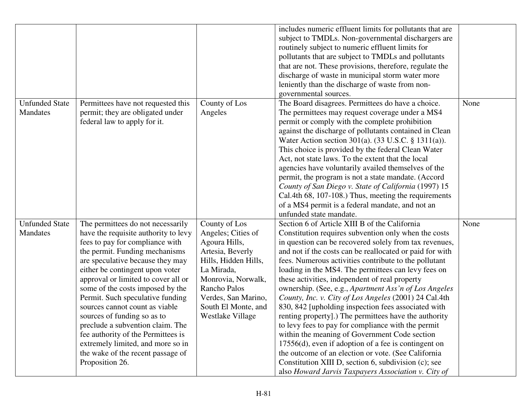|                       |                                      |                      | includes numeric effluent limits for pollutants that are |      |
|-----------------------|--------------------------------------|----------------------|----------------------------------------------------------|------|
|                       |                                      |                      | subject to TMDLs. Non-governmental dischargers are       |      |
|                       |                                      |                      | routinely subject to numeric effluent limits for         |      |
|                       |                                      |                      |                                                          |      |
|                       |                                      |                      | pollutants that are subject to TMDLs and pollutants      |      |
|                       |                                      |                      | that are not. These provisions, therefore, regulate the  |      |
|                       |                                      |                      | discharge of waste in municipal storm water more         |      |
|                       |                                      |                      | leniently than the discharge of waste from non-          |      |
|                       |                                      |                      | governmental sources.                                    |      |
| <b>Unfunded State</b> | Permittees have not requested this   | County of Los        | The Board disagrees. Permittees do have a choice.        | None |
| <b>Mandates</b>       | permit; they are obligated under     | Angeles              | The permittees may request coverage under a MS4          |      |
|                       | federal law to apply for it.         |                      | permit or comply with the complete prohibition           |      |
|                       |                                      |                      | against the discharge of pollutants contained in Clean   |      |
|                       |                                      |                      | Water Action section 301(a). (33 U.S.C. § 1311(a)).      |      |
|                       |                                      |                      | This choice is provided by the federal Clean Water       |      |
|                       |                                      |                      | Act, not state laws. To the extent that the local        |      |
|                       |                                      |                      | agencies have voluntarily availed themselves of the      |      |
|                       |                                      |                      | permit, the program is not a state mandate. (Accord      |      |
|                       |                                      |                      | County of San Diego v. State of California (1997) 15     |      |
|                       |                                      |                      | Cal.4th 68, 107-108.) Thus, meeting the requirements     |      |
|                       |                                      |                      | of a MS4 permit is a federal mandate, and not an         |      |
|                       |                                      |                      | unfunded state mandate.                                  |      |
|                       |                                      |                      |                                                          |      |
| <b>Unfunded State</b> | The permittees do not necessarily    | County of Los        | Section 6 of Article XIII B of the California            | None |
| <b>Mandates</b>       | have the requisite authority to levy | Angeles; Cities of   | Constitution requires subvention only when the costs     |      |
|                       | fees to pay for compliance with      | Agoura Hills,        | in question can be recovered solely from tax revenues,   |      |
|                       | the permit. Funding mechanisms       | Artesia, Beverly     | and not if the costs can be reallocated or paid for with |      |
|                       | are speculative because they may     | Hills, Hidden Hills, | fees. Numerous activities contribute to the pollutant    |      |
|                       | either be contingent upon voter      | La Mirada,           | loading in the MS4. The permittees can levy fees on      |      |
|                       | approval or limited to cover all or  | Monrovia, Norwalk,   | these activities, independent of real property           |      |
|                       | some of the costs imposed by the     | <b>Rancho Palos</b>  | ownership. (See, e.g., Apartment Ass'n of Los Angeles    |      |
|                       | Permit. Such speculative funding     | Verdes, San Marino,  | County, Inc. v. City of Los Angeles (2001) 24 Cal.4th    |      |
|                       | sources cannot count as viable       | South El Monte, and  | 830, 842 [upholding inspection fees associated with      |      |
|                       | sources of funding so as to          | Westlake Village     | renting property].) The permittees have the authority    |      |
|                       | preclude a subvention claim. The     |                      | to levy fees to pay for compliance with the permit       |      |
|                       | fee authority of the Permittees is   |                      | within the meaning of Government Code section            |      |
|                       | extremely limited, and more so in    |                      | 17556(d), even if adoption of a fee is contingent on     |      |
|                       | the wake of the recent passage of    |                      | the outcome of an election or vote. (See California      |      |
|                       |                                      |                      |                                                          |      |
|                       | Proposition 26.                      |                      | Constitution XIII D, section 6, subdivision (c); see     |      |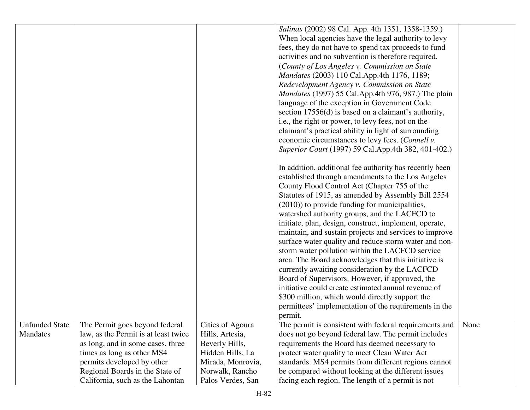|                       |                                      |                   | Salinas (2002) 98 Cal. App. 4th 1351, 1358-1359.)          |      |
|-----------------------|--------------------------------------|-------------------|------------------------------------------------------------|------|
|                       |                                      |                   | When local agencies have the legal authority to levy       |      |
|                       |                                      |                   | fees, they do not have to spend tax proceeds to fund       |      |
|                       |                                      |                   | activities and no subvention is therefore required.        |      |
|                       |                                      |                   | (County of Los Angeles v. Commission on State              |      |
|                       |                                      |                   | Mandates (2003) 110 Cal.App.4th 1176, 1189;                |      |
|                       |                                      |                   | Redevelopment Agency v. Commission on State                |      |
|                       |                                      |                   | <i>Mandates</i> (1997) 55 Cal.App.4th 976, 987.) The plain |      |
|                       |                                      |                   | language of the exception in Government Code               |      |
|                       |                                      |                   | section 17556(d) is based on a claimant's authority,       |      |
|                       |                                      |                   | i.e., the right or power, to levy fees, not on the         |      |
|                       |                                      |                   | claimant's practical ability in light of surrounding       |      |
|                       |                                      |                   | economic circumstances to levy fees. (Connell v.           |      |
|                       |                                      |                   | Superior Court (1997) 59 Cal.App.4th 382, 401-402.)        |      |
|                       |                                      |                   |                                                            |      |
|                       |                                      |                   | In addition, additional fee authority has recently been    |      |
|                       |                                      |                   | established through amendments to the Los Angeles          |      |
|                       |                                      |                   | County Flood Control Act (Chapter 755 of the               |      |
|                       |                                      |                   | Statutes of 1915, as amended by Assembly Bill 2554         |      |
|                       |                                      |                   | (2010)) to provide funding for municipalities,             |      |
|                       |                                      |                   | watershed authority groups, and the LACFCD to              |      |
|                       |                                      |                   | initiate, plan, design, construct, implement, operate,     |      |
|                       |                                      |                   | maintain, and sustain projects and services to improve     |      |
|                       |                                      |                   | surface water quality and reduce storm water and non-      |      |
|                       |                                      |                   | storm water pollution within the LACFCD service            |      |
|                       |                                      |                   | area. The Board acknowledges that this initiative is       |      |
|                       |                                      |                   | currently awaiting consideration by the LACFCD             |      |
|                       |                                      |                   | Board of Supervisors. However, if approved, the            |      |
|                       |                                      |                   | initiative could create estimated annual revenue of        |      |
|                       |                                      |                   |                                                            |      |
|                       |                                      |                   | \$300 million, which would directly support the            |      |
|                       |                                      |                   | permittees' implementation of the requirements in the      |      |
|                       |                                      |                   | permit.                                                    |      |
| <b>Unfunded State</b> | The Permit goes beyond federal       | Cities of Agoura  | The permit is consistent with federal requirements and     | None |
| Mandates              | law, as the Permit is at least twice | Hills, Artesia,   | does not go beyond federal law. The permit includes        |      |
|                       | as long, and in some cases, three    | Beverly Hills,    | requirements the Board has deemed necessary to             |      |
|                       | times as long as other MS4           | Hidden Hills, La  | protect water quality to meet Clean Water Act              |      |
|                       | permits developed by other           | Mirada, Monrovia, | standards. MS4 permits from different regions cannot       |      |
|                       | Regional Boards in the State of      | Norwalk, Rancho   | be compared without looking at the different issues        |      |
|                       | California, such as the Lahontan     | Palos Verdes, San | facing each region. The length of a permit is not          |      |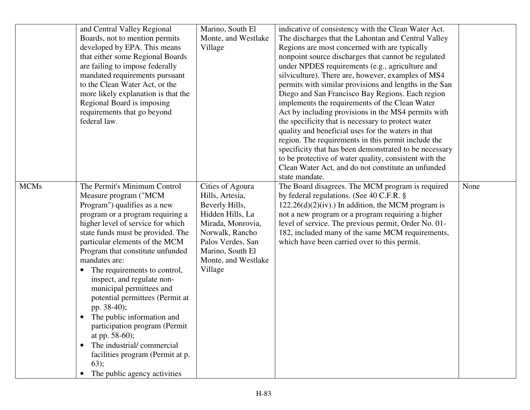|             | and Central Valley Regional         | Marino, South El    | indicative of consistency with the Clean Water Act.    |      |
|-------------|-------------------------------------|---------------------|--------------------------------------------------------|------|
|             | Boards, not to mention permits      | Monte, and Westlake | The discharges that the Lahontan and Central Valley    |      |
|             | developed by EPA. This means        | Village             | Regions are most concerned with are typically          |      |
|             | that either some Regional Boards    |                     | nonpoint source discharges that cannot be regulated    |      |
|             | are failing to impose federally     |                     | under NPDES requirements (e.g., agriculture and        |      |
|             | mandated requirements pursuant      |                     | silviculture). There are, however, examples of MS4     |      |
|             | to the Clean Water Act, or the      |                     | permits with similar provisions and lengths in the San |      |
|             | more likely explanation is that the |                     | Diego and San Francisco Bay Regions. Each region       |      |
|             | Regional Board is imposing          |                     | implements the requirements of the Clean Water         |      |
|             | requirements that go beyond         |                     | Act by including provisions in the MS4 permits with    |      |
|             | federal law.                        |                     | the specificity that is necessary to protect water     |      |
|             |                                     |                     | quality and beneficial uses for the waters in that     |      |
|             |                                     |                     | region. The requirements in this permit include the    |      |
|             |                                     |                     | specificity that has been demonstrated to be necessary |      |
|             |                                     |                     | to be protective of water quality, consistent with the |      |
|             |                                     |                     | Clean Water Act, and do not constitute an unfunded     |      |
|             |                                     |                     | state mandate.                                         |      |
| <b>MCMs</b> | The Permit's Minimum Control        | Cities of Agoura    | The Board disagrees. The MCM program is required       | None |
|             | Measure program ("MCM               | Hills, Artesia,     | by federal regulations. (See 40 C.F.R. §               |      |
|             | Program") qualifies as a new        | Beverly Hills,      | $122.26(d)(2)(iv)$ .) In addition, the MCM program is  |      |
|             | program or a program requiring a    | Hidden Hills, La    | not a new program or a program requiring a higher      |      |
|             | higher level of service for which   | Mirada, Monrovia,   | level of service. The previous permit, Order No. 01-   |      |
|             | state funds must be provided. The   | Norwalk, Rancho     | 182, included many of the same MCM requirements,       |      |
|             | particular elements of the MCM      | Palos Verdes, San   | which have been carried over to this permit.           |      |
|             | Program that constitute unfunded    | Marino, South El    |                                                        |      |
|             | mandates are:                       | Monte, and Westlake |                                                        |      |
|             | The requirements to control,        | Village             |                                                        |      |
|             | inspect, and regulate non-          |                     |                                                        |      |
|             | municipal permittees and            |                     |                                                        |      |
|             | potential permittees (Permit at     |                     |                                                        |      |
|             | pp. 38-40);                         |                     |                                                        |      |
|             | The public information and          |                     |                                                        |      |
|             | participation program (Permit       |                     |                                                        |      |
|             | at pp. 58-60);                      |                     |                                                        |      |
|             | The industrial/commercial           |                     |                                                        |      |
|             | facilities program (Permit at p.    |                     |                                                        |      |
|             | 63);                                |                     |                                                        |      |
|             | The public agency activities        |                     |                                                        |      |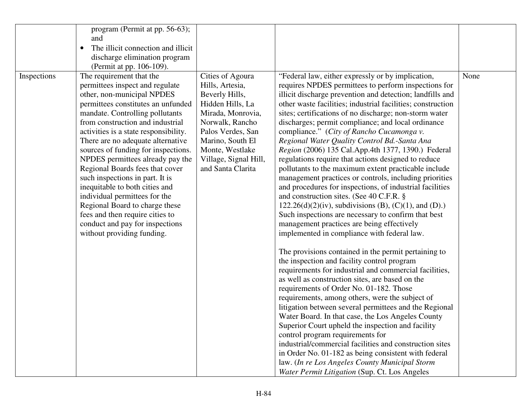|             | program (Permit at pp. 56-63);        |                       |                                                             |      |
|-------------|---------------------------------------|-----------------------|-------------------------------------------------------------|------|
|             | and                                   |                       |                                                             |      |
|             | The illicit connection and illicit    |                       |                                                             |      |
|             | discharge elimination program         |                       |                                                             |      |
|             | (Permit at pp. 106-109).              |                       |                                                             |      |
| Inspections | The requirement that the              | Cities of Agoura      | "Federal law, either expressly or by implication,           | None |
|             | permittees inspect and regulate       | Hills, Artesia,       | requires NPDES permittees to perform inspections for        |      |
|             | other, non-municipal NPDES            | Beverly Hills,        | illicit discharge prevention and detection; landfills and   |      |
|             | permittees constitutes an unfunded    | Hidden Hills, La      | other waste facilities; industrial facilities; construction |      |
|             | mandate. Controlling pollutants       | Mirada, Monrovia,     | sites; certifications of no discharge; non-storm water      |      |
|             | from construction and industrial      | Norwalk, Rancho       | discharges; permit compliance; and local ordinance          |      |
|             | activities is a state responsibility. | Palos Verdes, San     | compliance." (City of Rancho Cucamonga v.                   |      |
|             | There are no adequate alternative     | Marino, South El      | Regional Water Quality Control Bd.-Santa Ana                |      |
|             | sources of funding for inspections.   | Monte, Westlake       | Region (2006) 135 Cal.App.4th 1377, 1390.) Federal          |      |
|             | NPDES permittees already pay the      | Village, Signal Hill, | regulations require that actions designed to reduce         |      |
|             | Regional Boards fees that cover       | and Santa Clarita     | pollutants to the maximum extent practicable include        |      |
|             | such inspections in part. It is       |                       | management practices or controls, including priorities      |      |
|             | inequitable to both cities and        |                       | and procedures for inspections, of industrial facilities    |      |
|             | individual permittees for the         |                       | and construction sites. (See 40 C.F.R. §                    |      |
|             | Regional Board to charge these        |                       | $122.26(d)(2)(iv)$ , subdivisions (B), (C)(1), and (D).)    |      |
|             | fees and then require cities to       |                       | Such inspections are necessary to confirm that best         |      |
|             | conduct and pay for inspections       |                       | management practices are being effectively                  |      |
|             | without providing funding.            |                       | implemented in compliance with federal law.                 |      |
|             |                                       |                       |                                                             |      |
|             |                                       |                       | The provisions contained in the permit pertaining to        |      |
|             |                                       |                       | the inspection and facility control program                 |      |
|             |                                       |                       | requirements for industrial and commercial facilities,      |      |
|             |                                       |                       | as well as construction sites, are based on the             |      |
|             |                                       |                       | requirements of Order No. 01-182. Those                     |      |
|             |                                       |                       | requirements, among others, were the subject of             |      |
|             |                                       |                       | litigation between several permittees and the Regional      |      |
|             |                                       |                       | Water Board. In that case, the Los Angeles County           |      |
|             |                                       |                       | Superior Court upheld the inspection and facility           |      |
|             |                                       |                       | control program requirements for                            |      |
|             |                                       |                       | industrial/commercial facilities and construction sites     |      |
|             |                                       |                       | in Order No. 01-182 as being consistent with federal        |      |
|             |                                       |                       | law. (In re Los Angeles County Municipal Storm              |      |
|             |                                       |                       | Water Permit Litigation (Sup. Ct. Los Angeles               |      |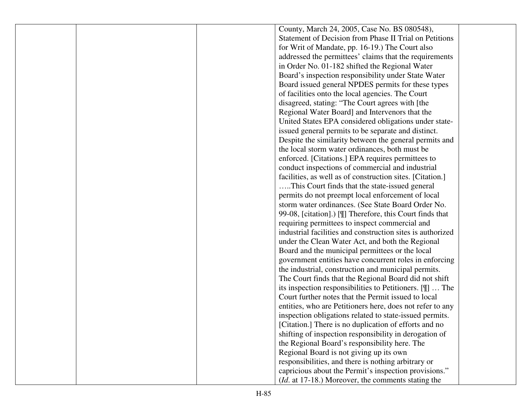|  | County, March 24, 2005, Case No. BS 080548),                       |  |
|--|--------------------------------------------------------------------|--|
|  | Statement of Decision from Phase II Trial on Petitions             |  |
|  | for Writ of Mandate, pp. 16-19.) The Court also                    |  |
|  | addressed the permittees' claims that the requirements             |  |
|  | in Order No. 01-182 shifted the Regional Water                     |  |
|  | Board's inspection responsibility under State Water                |  |
|  | Board issued general NPDES permits for these types                 |  |
|  | of facilities onto the local agencies. The Court                   |  |
|  | disagreed, stating: "The Court agrees with [the                    |  |
|  | Regional Water Board] and Intervenors that the                     |  |
|  | United States EPA considered obligations under state-              |  |
|  | issued general permits to be separate and distinct.                |  |
|  | Despite the similarity between the general permits and             |  |
|  | the local storm water ordinances, both must be                     |  |
|  | enforced. [Citations.] EPA requires permittees to                  |  |
|  | conduct inspections of commercial and industrial                   |  |
|  | facilities, as well as of construction sites. [Citation.]          |  |
|  | This Court finds that the state-issued general                     |  |
|  | permits do not preempt local enforcement of local                  |  |
|  | storm water ordinances. (See State Board Order No.                 |  |
|  | 99-08, [citation].) [I] Therefore, this Court finds that           |  |
|  | requiring permittees to inspect commercial and                     |  |
|  | industrial facilities and construction sites is authorized         |  |
|  | under the Clean Water Act, and both the Regional                   |  |
|  | Board and the municipal permittees or the local                    |  |
|  | government entities have concurrent roles in enforcing             |  |
|  | the industrial, construction and municipal permits.                |  |
|  | The Court finds that the Regional Board did not shift              |  |
|  | its inspection responsibilities to Petitioners. $[\mathbb{T}]$ The |  |
|  | Court further notes that the Permit issued to local                |  |
|  | entities, who are Petitioners here, does not refer to any          |  |
|  | inspection obligations related to state-issued permits.            |  |
|  | [Citation.] There is no duplication of efforts and no              |  |
|  | shifting of inspection responsibility in derogation of             |  |
|  | the Regional Board's responsibility here. The                      |  |
|  | Regional Board is not giving up its own                            |  |
|  | responsibilities, and there is nothing arbitrary or                |  |
|  | capricious about the Permit's inspection provisions."              |  |
|  | ( <i>Id.</i> at 17-18.) Moreover, the comments stating the         |  |
|  |                                                                    |  |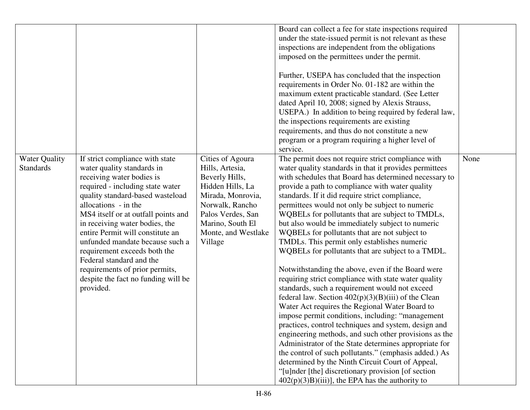|                                          |                                                                                                                                                                                                                                                                                                                                                                                                                                                                                              |                                                                                                                                                                                              | Board can collect a fee for state inspections required<br>under the state-issued permit is not relevant as these<br>inspections are independent from the obligations<br>imposed on the permittees under the permit.<br>Further, USEPA has concluded that the inspection<br>requirements in Order No. 01-182 are within the<br>maximum extent practicable standard. (See Letter<br>dated April 10, 2008; signed by Alexis Strauss,<br>USEPA.) In addition to being required by federal law,<br>the inspections requirements are existing<br>requirements, and thus do not constitute a new<br>program or a program requiring a higher level of                                                                                                                                                                                                                                                                                                                                                                                                                                                                                                                                                                                                                                                                                           |      |
|------------------------------------------|----------------------------------------------------------------------------------------------------------------------------------------------------------------------------------------------------------------------------------------------------------------------------------------------------------------------------------------------------------------------------------------------------------------------------------------------------------------------------------------------|----------------------------------------------------------------------------------------------------------------------------------------------------------------------------------------------|-----------------------------------------------------------------------------------------------------------------------------------------------------------------------------------------------------------------------------------------------------------------------------------------------------------------------------------------------------------------------------------------------------------------------------------------------------------------------------------------------------------------------------------------------------------------------------------------------------------------------------------------------------------------------------------------------------------------------------------------------------------------------------------------------------------------------------------------------------------------------------------------------------------------------------------------------------------------------------------------------------------------------------------------------------------------------------------------------------------------------------------------------------------------------------------------------------------------------------------------------------------------------------------------------------------------------------------------|------|
| <b>Water Quality</b><br><b>Standards</b> | If strict compliance with state<br>water quality standards in<br>receiving water bodies is<br>required - including state water<br>quality standard-based wasteload<br>allocations - in the<br>MS4 itself or at outfall points and<br>in receiving water bodies, the<br>entire Permit will constitute an<br>unfunded mandate because such a<br>requirement exceeds both the<br>Federal standard and the<br>requirements of prior permits,<br>despite the fact no funding will be<br>provided. | Cities of Agoura<br>Hills, Artesia,<br>Beverly Hills,<br>Hidden Hills, La<br>Mirada, Monrovia,<br>Norwalk, Rancho<br>Palos Verdes, San<br>Marino, South El<br>Monte, and Westlake<br>Village | service.<br>The permit does not require strict compliance with<br>water quality standards in that it provides permittees<br>with schedules that Board has determined necessary to<br>provide a path to compliance with water quality<br>standards. If it did require strict compliance,<br>permittees would not only be subject to numeric<br>WQBELs for pollutants that are subject to TMDLs,<br>but also would be immediately subject to numeric<br>WQBELs for pollutants that are not subject to<br>TMDLs. This permit only establishes numeric<br>WQBELs for pollutants that are subject to a TMDL.<br>Notwithstanding the above, even if the Board were<br>requiring strict compliance with state water quality<br>standards, such a requirement would not exceed<br>federal law. Section $402(p)(3)(B)(iii)$ of the Clean<br>Water Act requires the Regional Water Board to<br>impose permit conditions, including: "management<br>practices, control techniques and system, design and<br>engineering methods, and such other provisions as the<br>Administrator of the State determines appropriate for<br>the control of such pollutants." (emphasis added.) As<br>determined by the Ninth Circuit Court of Appeal,<br>"[u]nder [the] discretionary provision [of section<br>$402(p)(3)B)(iii)$ , the EPA has the authority to | None |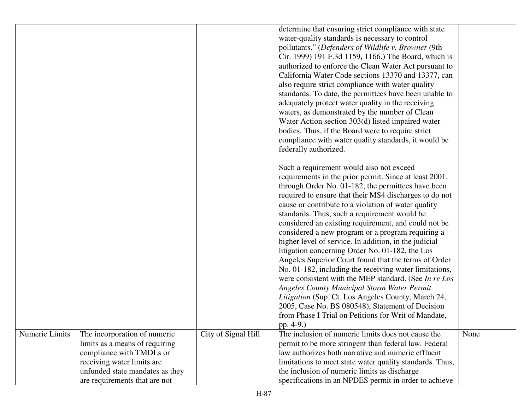|                |                                 |                     | determine that ensuring strict compliance with state     |      |
|----------------|---------------------------------|---------------------|----------------------------------------------------------|------|
|                |                                 |                     | water-quality standards is necessary to control          |      |
|                |                                 |                     | pollutants." (Defenders of Wildlife v. Browner (9th      |      |
|                |                                 |                     | Cir. 1999) 191 F.3d 1159, 1166.) The Board, which is     |      |
|                |                                 |                     | authorized to enforce the Clean Water Act pursuant to    |      |
|                |                                 |                     | California Water Code sections 13370 and 13377, can      |      |
|                |                                 |                     | also require strict compliance with water quality        |      |
|                |                                 |                     | standards. To date, the permittees have been unable to   |      |
|                |                                 |                     | adequately protect water quality in the receiving        |      |
|                |                                 |                     | waters, as demonstrated by the number of Clean           |      |
|                |                                 |                     | Water Action section 303(d) listed impaired water        |      |
|                |                                 |                     | bodies. Thus, if the Board were to require strict        |      |
|                |                                 |                     |                                                          |      |
|                |                                 |                     | compliance with water quality standards, it would be     |      |
|                |                                 |                     | federally authorized.                                    |      |
|                |                                 |                     |                                                          |      |
|                |                                 |                     | Such a requirement would also not exceed                 |      |
|                |                                 |                     | requirements in the prior permit. Since at least 2001,   |      |
|                |                                 |                     | through Order No. 01-182, the permittees have been       |      |
|                |                                 |                     | required to ensure that their MS4 discharges to do not   |      |
|                |                                 |                     | cause or contribute to a violation of water quality      |      |
|                |                                 |                     | standards. Thus, such a requirement would be             |      |
|                |                                 |                     | considered an existing requirement, and could not be     |      |
|                |                                 |                     | considered a new program or a program requiring a        |      |
|                |                                 |                     | higher level of service. In addition, in the judicial    |      |
|                |                                 |                     | litigation concerning Order No. 01-182, the Los          |      |
|                |                                 |                     | Angeles Superior Court found that the terms of Order     |      |
|                |                                 |                     | No. 01-182, including the receiving water limitations,   |      |
|                |                                 |                     | were consistent with the MEP standard. (See In re Los    |      |
|                |                                 |                     | <b>Angeles County Municipal Storm Water Permit</b>       |      |
|                |                                 |                     | Litigation (Sup. Ct. Los Angeles County, March 24,       |      |
|                |                                 |                     | 2005, Case No. BS 080548), Statement of Decision         |      |
|                |                                 |                     | from Phase I Trial on Petitions for Writ of Mandate,     |      |
|                |                                 |                     | pp. 4-9.)                                                |      |
| Numeric Limits | The incorporation of numeric    | City of Signal Hill | The inclusion of numeric limits does not cause the       | None |
|                | limits as a means of requiring  |                     | permit to be more stringent than federal law. Federal    |      |
|                | compliance with TMDLs or        |                     | law authorizes both narrative and numeric effluent       |      |
|                | receiving water limits are      |                     | limitations to meet state water quality standards. Thus, |      |
|                | unfunded state mandates as they |                     | the inclusion of numeric limits as discharge             |      |
|                | are requirements that are not   |                     | specifications in an NPDES permit in order to achieve    |      |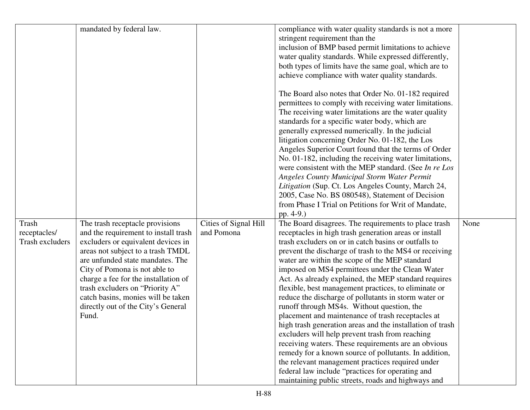|                        | mandated by federal law.             |                       | compliance with water quality standards is not a more     |      |
|------------------------|--------------------------------------|-----------------------|-----------------------------------------------------------|------|
|                        |                                      |                       | stringent requirement than the                            |      |
|                        |                                      |                       | inclusion of BMP based permit limitations to achieve      |      |
|                        |                                      |                       |                                                           |      |
|                        |                                      |                       | water quality standards. While expressed differently,     |      |
|                        |                                      |                       | both types of limits have the same goal, which are to     |      |
|                        |                                      |                       | achieve compliance with water quality standards.          |      |
|                        |                                      |                       | The Board also notes that Order No. 01-182 required       |      |
|                        |                                      |                       | permittees to comply with receiving water limitations.    |      |
|                        |                                      |                       |                                                           |      |
|                        |                                      |                       | The receiving water limitations are the water quality     |      |
|                        |                                      |                       | standards for a specific water body, which are            |      |
|                        |                                      |                       | generally expressed numerically. In the judicial          |      |
|                        |                                      |                       | litigation concerning Order No. 01-182, the Los           |      |
|                        |                                      |                       | Angeles Superior Court found that the terms of Order      |      |
|                        |                                      |                       | No. 01-182, including the receiving water limitations,    |      |
|                        |                                      |                       | were consistent with the MEP standard. (See In re Los     |      |
|                        |                                      |                       | <b>Angeles County Municipal Storm Water Permit</b>        |      |
|                        |                                      |                       | Litigation (Sup. Ct. Los Angeles County, March 24,        |      |
|                        |                                      |                       | 2005, Case No. BS 080548), Statement of Decision          |      |
|                        |                                      |                       | from Phase I Trial on Petitions for Writ of Mandate,      |      |
|                        |                                      |                       | pp. 4-9.)                                                 |      |
| Trash                  | The trash receptacle provisions      | Cities of Signal Hill | The Board disagrees. The requirements to place trash      | None |
| receptacles/           | and the requirement to install trash | and Pomona            | receptacles in high trash generation areas or install     |      |
| <b>Trash excluders</b> | excluders or equivalent devices in   |                       | trash excluders on or in catch basins or outfalls to      |      |
|                        | areas not subject to a trash TMDL    |                       | prevent the discharge of trash to the MS4 or receiving    |      |
|                        | are unfunded state mandates. The     |                       | water are within the scope of the MEP standard            |      |
|                        | City of Pomona is not able to        |                       | imposed on MS4 permittees under the Clean Water           |      |
|                        | charge a fee for the installation of |                       | Act. As already explained, the MEP standard requires      |      |
|                        | trash excluders on "Priority A"      |                       | flexible, best management practices, to eliminate or      |      |
|                        | catch basins, monies will be taken   |                       | reduce the discharge of pollutants in storm water or      |      |
|                        | directly out of the City's General   |                       | runoff through MS4s. Without question, the                |      |
|                        | Fund.                                |                       | placement and maintenance of trash receptacles at         |      |
|                        |                                      |                       |                                                           |      |
|                        |                                      |                       | high trash generation areas and the installation of trash |      |
|                        |                                      |                       | excluders will help prevent trash from reaching           |      |
|                        |                                      |                       | receiving waters. These requirements are an obvious       |      |
|                        |                                      |                       | remedy for a known source of pollutants. In addition,     |      |
|                        |                                      |                       | the relevant management practices required under          |      |
|                        |                                      |                       | federal law include "practices for operating and          |      |
|                        |                                      |                       | maintaining public streets, roads and highways and        |      |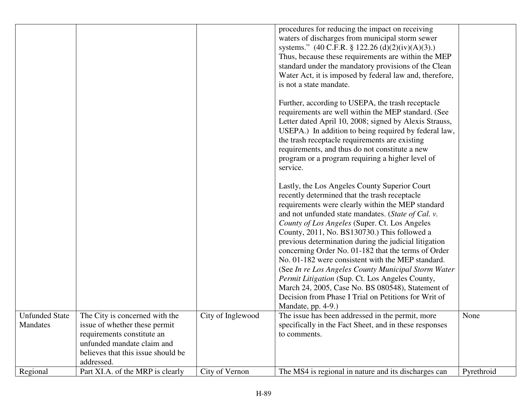|                                   |                                                                                                                                                                                  |                   | procedures for reducing the impact on receiving<br>waters of discharges from municipal storm sewer<br>systems." $(40 \text{ C.F.R. } § 122.26 \text{ (d)}(2)(iv)(A)(3).)$<br>Thus, because these requirements are within the MEP<br>standard under the mandatory provisions of the Clean<br>Water Act, it is imposed by federal law and, therefore,<br>is not a state mandate.                                                                                                                                                                                                                                                                                                                                               |            |
|-----------------------------------|----------------------------------------------------------------------------------------------------------------------------------------------------------------------------------|-------------------|------------------------------------------------------------------------------------------------------------------------------------------------------------------------------------------------------------------------------------------------------------------------------------------------------------------------------------------------------------------------------------------------------------------------------------------------------------------------------------------------------------------------------------------------------------------------------------------------------------------------------------------------------------------------------------------------------------------------------|------------|
|                                   |                                                                                                                                                                                  |                   | Further, according to USEPA, the trash receptacle<br>requirements are well within the MEP standard. (See<br>Letter dated April 10, 2008; signed by Alexis Strauss,<br>USEPA.) In addition to being required by federal law,<br>the trash receptacle requirements are existing<br>requirements, and thus do not constitute a new<br>program or a program requiring a higher level of<br>service.                                                                                                                                                                                                                                                                                                                              |            |
|                                   |                                                                                                                                                                                  |                   | Lastly, the Los Angeles County Superior Court<br>recently determined that the trash receptacle<br>requirements were clearly within the MEP standard<br>and not unfunded state mandates. (State of Cal. v.<br>County of Los Angeles (Super. Ct. Los Angeles<br>County, 2011, No. BS130730.) This followed a<br>previous determination during the judicial litigation<br>concerning Order No. 01-182 that the terms of Order<br>No. 01-182 were consistent with the MEP standard.<br>(See In re Los Angeles County Municipal Storm Water<br>Permit Litigation (Sup. Ct. Los Angeles County,<br>March 24, 2005, Case No. BS 080548), Statement of<br>Decision from Phase I Trial on Petitions for Writ of<br>Mandate, pp. 4-9.) |            |
| <b>Unfunded State</b><br>Mandates | The City is concerned with the<br>is sue of whether these permit<br>requirements constitute an<br>unfunded mandate claim and<br>believes that this issue should be<br>addressed. | City of Inglewood | The issue has been addressed in the permit, more<br>specifically in the Fact Sheet, and in these responses<br>to comments.                                                                                                                                                                                                                                                                                                                                                                                                                                                                                                                                                                                                   | None       |
| Regional                          | Part XI.A. of the MRP is clearly                                                                                                                                                 | City of Vernon    | The MS4 is regional in nature and its discharges can                                                                                                                                                                                                                                                                                                                                                                                                                                                                                                                                                                                                                                                                         | Pyrethroid |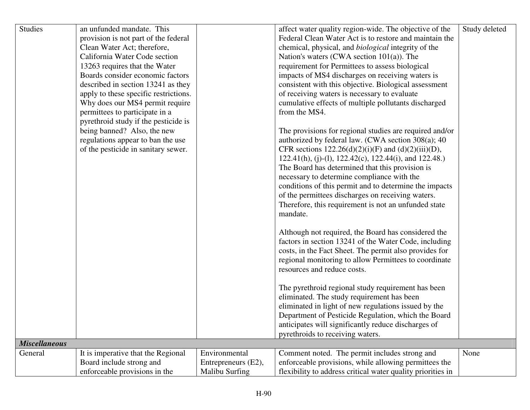| <b>Studies</b>       | an unfunded mandate. This             |                     | affect water quality region-wide. The objective of the      | Study deleted |
|----------------------|---------------------------------------|---------------------|-------------------------------------------------------------|---------------|
|                      | provision is not part of the federal  |                     | Federal Clean Water Act is to restore and maintain the      |               |
|                      | Clean Water Act; therefore,           |                     | chemical, physical, and <i>biological</i> integrity of the  |               |
|                      | California Water Code section         |                     | Nation's waters (CWA section 101(a)). The                   |               |
|                      | 13263 requires that the Water         |                     | requirement for Permittees to assess biological             |               |
|                      | Boards consider economic factors      |                     | impacts of MS4 discharges on receiving waters is            |               |
|                      | described in section 13241 as they    |                     | consistent with this objective. Biological assessment       |               |
|                      | apply to these specific restrictions. |                     | of receiving waters is necessary to evaluate                |               |
|                      | Why does our MS4 permit require       |                     | cumulative effects of multiple pollutants discharged        |               |
|                      | permittees to participate in a        |                     | from the MS4.                                               |               |
|                      | pyrethroid study if the pesticide is  |                     |                                                             |               |
|                      | being banned? Also, the new           |                     | The provisions for regional studies are required and/or     |               |
|                      | regulations appear to ban the use     |                     | authorized by federal law. (CWA section 308(a); 40          |               |
|                      | of the pesticide in sanitary sewer.   |                     | CFR sections $122.26(d)(2)(i)(F)$ and $(d)(2)(iii)(D)$ ,    |               |
|                      |                                       |                     | $122.41(h), (i)-(1), 122.42(c), 122.44(i), and 122.48.)$    |               |
|                      |                                       |                     | The Board has determined that this provision is             |               |
|                      |                                       |                     | necessary to determine compliance with the                  |               |
|                      |                                       |                     | conditions of this permit and to determine the impacts      |               |
|                      |                                       |                     | of the permittees discharges on receiving waters.           |               |
|                      |                                       |                     | Therefore, this requirement is not an unfunded state        |               |
|                      |                                       |                     | mandate.                                                    |               |
|                      |                                       |                     |                                                             |               |
|                      |                                       |                     | Although not required, the Board has considered the         |               |
|                      |                                       |                     | factors in section 13241 of the Water Code, including       |               |
|                      |                                       |                     | costs, in the Fact Sheet. The permit also provides for      |               |
|                      |                                       |                     | regional monitoring to allow Permittees to coordinate       |               |
|                      |                                       |                     | resources and reduce costs.                                 |               |
|                      |                                       |                     |                                                             |               |
|                      |                                       |                     | The pyrethroid regional study requirement has been          |               |
|                      |                                       |                     | eliminated. The study requirement has been                  |               |
|                      |                                       |                     | eliminated in light of new regulations issued by the        |               |
|                      |                                       |                     | Department of Pesticide Regulation, which the Board         |               |
|                      |                                       |                     | anticipates will significantly reduce discharges of         |               |
|                      |                                       |                     | pyrethroids to receiving waters.                            |               |
| <b>Miscellaneous</b> |                                       |                     |                                                             |               |
| General              | It is imperative that the Regional    | Environmental       | Comment noted. The permit includes strong and               | None          |
|                      | Board include strong and              | Entrepreneurs (E2), | enforceable provisions, while allowing permittees the       |               |
|                      | enforceable provisions in the         | Malibu Surfing      | flexibility to address critical water quality priorities in |               |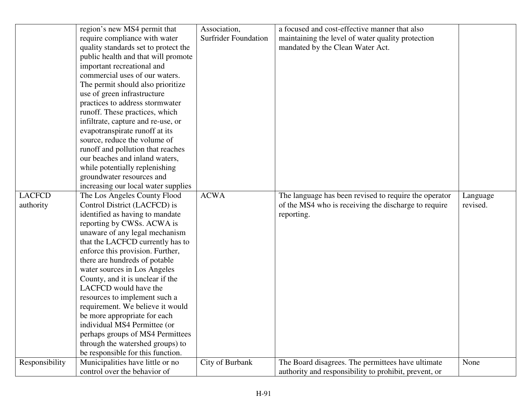|                | region's new MS4 permit that         | Association,                | a focused and cost-effective manner that also         |          |
|----------------|--------------------------------------|-----------------------------|-------------------------------------------------------|----------|
|                | require compliance with water        | <b>Surfrider Foundation</b> | maintaining the level of water quality protection     |          |
|                | quality standards set to protect the |                             | mandated by the Clean Water Act.                      |          |
|                | public health and that will promote  |                             |                                                       |          |
|                | important recreational and           |                             |                                                       |          |
|                | commercial uses of our waters.       |                             |                                                       |          |
|                | The permit should also prioritize    |                             |                                                       |          |
|                | use of green infrastructure          |                             |                                                       |          |
|                | practices to address stormwater      |                             |                                                       |          |
|                | runoff. These practices, which       |                             |                                                       |          |
|                | infiltrate, capture and re-use, or   |                             |                                                       |          |
|                | evapotranspirate runoff at its       |                             |                                                       |          |
|                | source, reduce the volume of         |                             |                                                       |          |
|                | runoff and pollution that reaches    |                             |                                                       |          |
|                | our beaches and inland waters,       |                             |                                                       |          |
|                | while potentially replenishing       |                             |                                                       |          |
|                | groundwater resources and            |                             |                                                       |          |
|                | increasing our local water supplies  |                             |                                                       |          |
| <b>LACFCD</b>  | The Los Angeles County Flood         | <b>ACWA</b>                 | The language has been revised to require the operator | Language |
| authority      | Control District (LACFCD) is         |                             | of the MS4 who is receiving the discharge to require  | revised. |
|                | identified as having to mandate      |                             | reporting.                                            |          |
|                | reporting by CWSs. ACWA is           |                             |                                                       |          |
|                | unaware of any legal mechanism       |                             |                                                       |          |
|                | that the LACFCD currently has to     |                             |                                                       |          |
|                | enforce this provision. Further,     |                             |                                                       |          |
|                | there are hundreds of potable        |                             |                                                       |          |
|                | water sources in Los Angeles         |                             |                                                       |          |
|                | County, and it is unclear if the     |                             |                                                       |          |
|                | LACFCD would have the                |                             |                                                       |          |
|                | resources to implement such a        |                             |                                                       |          |
|                | requirement. We believe it would     |                             |                                                       |          |
|                | be more appropriate for each         |                             |                                                       |          |
|                | individual MS4 Permittee (or         |                             |                                                       |          |
|                | perhaps groups of MS4 Permittees     |                             |                                                       |          |
|                | through the watershed groups) to     |                             |                                                       |          |
|                | be responsible for this function.    |                             |                                                       |          |
| Responsibility | Municipalities have little or no     | City of Burbank             | The Board disagrees. The permittees have ultimate     | None     |
|                | control over the behavior of         |                             | authority and responsibility to prohibit, prevent, or |          |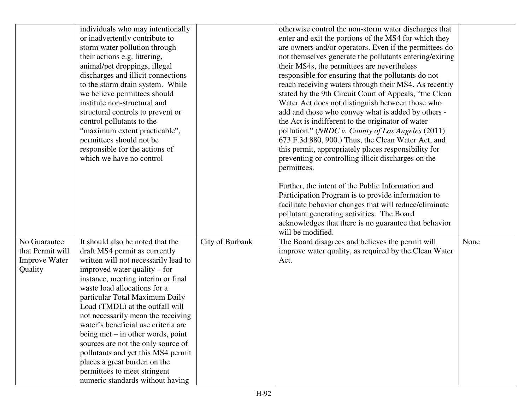|                      | individuals who may intentionally<br>or inadvertently contribute to   |                 | otherwise control the non-storm water discharges that<br>enter and exit the portions of the MS4 for which they  |      |
|----------------------|-----------------------------------------------------------------------|-----------------|-----------------------------------------------------------------------------------------------------------------|------|
|                      | storm water pollution through                                         |                 | are owners and/or operators. Even if the permittees do                                                          |      |
|                      | their actions e.g. littering,                                         |                 | not themselves generate the pollutants entering/exiting                                                         |      |
|                      | animal/pet droppings, illegal                                         |                 | their MS4s, the permittees are nevertheless                                                                     |      |
|                      | discharges and illicit connections                                    |                 | responsible for ensuring that the pollutants do not                                                             |      |
|                      | to the storm drain system. While                                      |                 | reach receiving waters through their MS4. As recently<br>stated by the 9th Circuit Court of Appeals, "the Clean |      |
|                      | we believe permittees should<br>institute non-structural and          |                 | Water Act does not distinguish between those who                                                                |      |
|                      | structural controls to prevent or                                     |                 | add and those who convey what is added by others -                                                              |      |
|                      | control pollutants to the                                             |                 | the Act is indifferent to the originator of water                                                               |      |
|                      | "maximum extent practicable",                                         |                 | pollution." (NRDC v. County of Los Angeles (2011)                                                               |      |
|                      | permittees should not be                                              |                 | 673 F.3d 880, 900.) Thus, the Clean Water Act, and                                                              |      |
|                      | responsible for the actions of                                        |                 | this permit, appropriately places responsibility for                                                            |      |
|                      | which we have no control                                              |                 | preventing or controlling illicit discharges on the                                                             |      |
|                      |                                                                       |                 | permittees.                                                                                                     |      |
|                      |                                                                       |                 |                                                                                                                 |      |
|                      |                                                                       |                 | Further, the intent of the Public Information and                                                               |      |
|                      |                                                                       |                 | Participation Program is to provide information to                                                              |      |
|                      |                                                                       |                 | facilitate behavior changes that will reduce/eliminate                                                          |      |
|                      |                                                                       |                 | pollutant generating activities. The Board                                                                      |      |
|                      |                                                                       |                 | acknowledges that there is no guarantee that behavior                                                           |      |
| No Guarantee         |                                                                       |                 | will be modified.                                                                                               |      |
| that Permit will     | It should also be noted that the                                      | City of Burbank | The Board disagrees and believes the permit will                                                                | None |
| <b>Improve Water</b> | draft MS4 permit as currently<br>written will not necessarily lead to |                 | improve water quality, as required by the Clean Water<br>Act.                                                   |      |
| Quality              | improved water quality – for                                          |                 |                                                                                                                 |      |
|                      | instance, meeting interim or final                                    |                 |                                                                                                                 |      |
|                      | waste load allocations for a                                          |                 |                                                                                                                 |      |
|                      | particular Total Maximum Daily                                        |                 |                                                                                                                 |      |
|                      | Load (TMDL) at the outfall will                                       |                 |                                                                                                                 |      |
|                      | not necessarily mean the receiving                                    |                 |                                                                                                                 |      |
|                      | water's beneficial use criteria are                                   |                 |                                                                                                                 |      |
|                      | being met $-$ in other words, point                                   |                 |                                                                                                                 |      |
|                      | sources are not the only source of                                    |                 |                                                                                                                 |      |
|                      | pollutants and yet this MS4 permit                                    |                 |                                                                                                                 |      |
|                      | places a great burden on the                                          |                 |                                                                                                                 |      |
|                      | permittees to meet stringent                                          |                 |                                                                                                                 |      |
|                      | numeric standards without having                                      |                 |                                                                                                                 |      |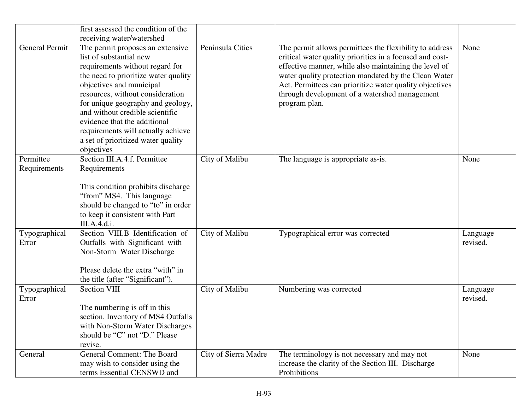|                           | first assessed the condition of the<br>receiving water/watershed                                                                                                                                                                                                                                                                                                                                         |                      |                                                                                                                                                                                                                                                                                                                                                                   |                      |
|---------------------------|----------------------------------------------------------------------------------------------------------------------------------------------------------------------------------------------------------------------------------------------------------------------------------------------------------------------------------------------------------------------------------------------------------|----------------------|-------------------------------------------------------------------------------------------------------------------------------------------------------------------------------------------------------------------------------------------------------------------------------------------------------------------------------------------------------------------|----------------------|
| <b>General Permit</b>     | The permit proposes an extensive<br>list of substantial new<br>requirements without regard for<br>the need to prioritize water quality<br>objectives and municipal<br>resources, without consideration<br>for unique geography and geology,<br>and without credible scientific<br>evidence that the additional<br>requirements will actually achieve<br>a set of prioritized water quality<br>objectives | Peninsula Cities     | The permit allows permittees the flexibility to address<br>critical water quality priorities in a focused and cost-<br>effective manner, while also maintaining the level of<br>water quality protection mandated by the Clean Water<br>Act. Permittees can prioritize water quality objectives<br>through development of a watershed management<br>program plan. | None                 |
| Permittee<br>Requirements | Section III.A.4.f. Permittee<br>Requirements<br>This condition prohibits discharge<br>"from" MS4. This language<br>should be changed to "to" in order<br>to keep it consistent with Part<br>III.A.4.d.i.                                                                                                                                                                                                 | City of Malibu       | The language is appropriate as-is.                                                                                                                                                                                                                                                                                                                                | None                 |
| Typographical<br>Error    | Section VIII.B Identification of<br>Outfalls with Significant with<br>Non-Storm Water Discharge<br>Please delete the extra "with" in<br>the title (after "Significant").                                                                                                                                                                                                                                 | City of Malibu       | Typographical error was corrected                                                                                                                                                                                                                                                                                                                                 | Language<br>revised. |
| Typographical<br>Error    | <b>Section VIII</b><br>The numbering is off in this<br>section. Inventory of MS4 Outfalls<br>with Non-Storm Water Discharges<br>should be "C" not "D." Please<br>revise.                                                                                                                                                                                                                                 | City of Malibu       | Numbering was corrected                                                                                                                                                                                                                                                                                                                                           | Language<br>revised. |
| General                   | General Comment: The Board<br>may wish to consider using the<br>terms Essential CENSWD and                                                                                                                                                                                                                                                                                                               | City of Sierra Madre | The terminology is not necessary and may not<br>increase the clarity of the Section III. Discharge<br>Prohibitions                                                                                                                                                                                                                                                | None                 |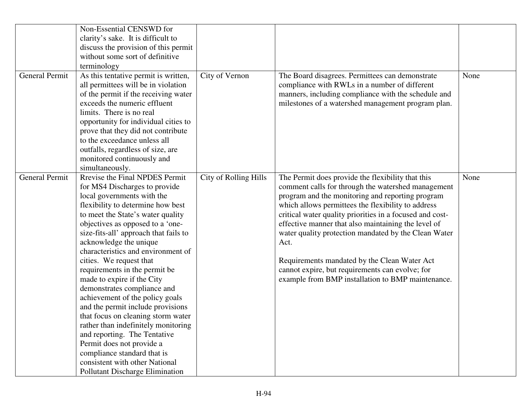|                       | Non-Essential CENSWD for              |                       |                                                          |      |
|-----------------------|---------------------------------------|-----------------------|----------------------------------------------------------|------|
|                       | clarity's sake. It is difficult to    |                       |                                                          |      |
|                       | discuss the provision of this permit  |                       |                                                          |      |
|                       | without some sort of definitive       |                       |                                                          |      |
|                       | terminology                           |                       |                                                          |      |
| <b>General Permit</b> | As this tentative permit is written,  | City of Vernon        | The Board disagrees. Permittees can demonstrate          | None |
|                       | all permittees will be in violation   |                       | compliance with RWLs in a number of different            |      |
|                       | of the permit if the receiving water  |                       | manners, including compliance with the schedule and      |      |
|                       | exceeds the numeric effluent          |                       | milestones of a watershed management program plan.       |      |
|                       | limits. There is no real              |                       |                                                          |      |
|                       | opportunity for individual cities to  |                       |                                                          |      |
|                       | prove that they did not contribute    |                       |                                                          |      |
|                       | to the exceedance unless all          |                       |                                                          |      |
|                       | outfalls, regardless of size, are     |                       |                                                          |      |
|                       | monitored continuously and            |                       |                                                          |      |
|                       | simultaneously.                       |                       |                                                          |      |
| <b>General Permit</b> | Rrevise the Final NPDES Permit        | City of Rolling Hills | The Permit does provide the flexibility that this        | None |
|                       | for MS4 Discharges to provide         |                       | comment calls for through the watershed management       |      |
|                       | local governments with the            |                       | program and the monitoring and reporting program         |      |
|                       | flexibility to determine how best     |                       | which allows permittees the flexibility to address       |      |
|                       | to meet the State's water quality     |                       | critical water quality priorities in a focused and cost- |      |
|                       | objectives as opposed to a 'one-      |                       | effective manner that also maintaining the level of      |      |
|                       | size-fits-all' approach that fails to |                       | water quality protection mandated by the Clean Water     |      |
|                       | acknowledge the unique                |                       | Act.                                                     |      |
|                       | characteristics and environment of    |                       |                                                          |      |
|                       | cities. We request that               |                       | Requirements mandated by the Clean Water Act             |      |
|                       | requirements in the permit be         |                       | cannot expire, but requirements can evolve; for          |      |
|                       | made to expire if the City            |                       | example from BMP installation to BMP maintenance.        |      |
|                       | demonstrates compliance and           |                       |                                                          |      |
|                       | achievement of the policy goals       |                       |                                                          |      |
|                       | and the permit include provisions     |                       |                                                          |      |
|                       | that focus on cleaning storm water    |                       |                                                          |      |
|                       | rather than indefinitely monitoring   |                       |                                                          |      |
|                       | and reporting. The Tentative          |                       |                                                          |      |
|                       | Permit does not provide a             |                       |                                                          |      |
|                       | compliance standard that is           |                       |                                                          |      |
|                       | consistent with other National        |                       |                                                          |      |
|                       | Pollutant Discharge Elimination       |                       |                                                          |      |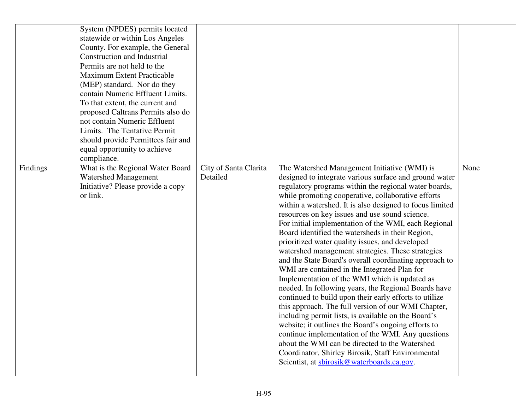|          | System (NPDES) permits located<br>statewide or within Los Angeles<br>County. For example, the General<br><b>Construction and Industrial</b><br>Permits are not held to the<br><b>Maximum Extent Practicable</b><br>(MEP) standard. Nor do they<br>contain Numeric Effluent Limits.<br>To that extent, the current and<br>proposed Caltrans Permits also do<br>not contain Numeric Effluent<br>Limits. The Tentative Permit<br>should provide Permittees fair and<br>equal opportunity to achieve<br>compliance. |                                   |                                                                                                                                                                                                                                                                                                                                                                                                                                                                                                                                                                                                                                                                                                                                                                                                                                                                                                                                                                                                                                                                                                                                                                                                                     |      |
|----------|-----------------------------------------------------------------------------------------------------------------------------------------------------------------------------------------------------------------------------------------------------------------------------------------------------------------------------------------------------------------------------------------------------------------------------------------------------------------------------------------------------------------|-----------------------------------|---------------------------------------------------------------------------------------------------------------------------------------------------------------------------------------------------------------------------------------------------------------------------------------------------------------------------------------------------------------------------------------------------------------------------------------------------------------------------------------------------------------------------------------------------------------------------------------------------------------------------------------------------------------------------------------------------------------------------------------------------------------------------------------------------------------------------------------------------------------------------------------------------------------------------------------------------------------------------------------------------------------------------------------------------------------------------------------------------------------------------------------------------------------------------------------------------------------------|------|
| Findings | What is the Regional Water Board<br><b>Watershed Management</b><br>Initiative? Please provide a copy<br>or link.                                                                                                                                                                                                                                                                                                                                                                                                | City of Santa Clarita<br>Detailed | The Watershed Management Initiative (WMI) is<br>designed to integrate various surface and ground water<br>regulatory programs within the regional water boards,<br>while promoting cooperative, collaborative efforts<br>within a watershed. It is also designed to focus limited<br>resources on key issues and use sound science.<br>For initial implementation of the WMI, each Regional<br>Board identified the watersheds in their Region,<br>prioritized water quality issues, and developed<br>watershed management strategies. These strategies<br>and the State Board's overall coordinating approach to<br>WMI are contained in the Integrated Plan for<br>Implementation of the WMI which is updated as<br>needed. In following years, the Regional Boards have<br>continued to build upon their early efforts to utilize<br>this approach. The full version of our WMI Chapter,<br>including permit lists, is available on the Board's<br>website; it outlines the Board's ongoing efforts to<br>continue implementation of the WMI. Any questions<br>about the WMI can be directed to the Watershed<br>Coordinator, Shirley Birosik, Staff Environmental<br>Scientist, at sbirosik@waterboards.ca.gov. | None |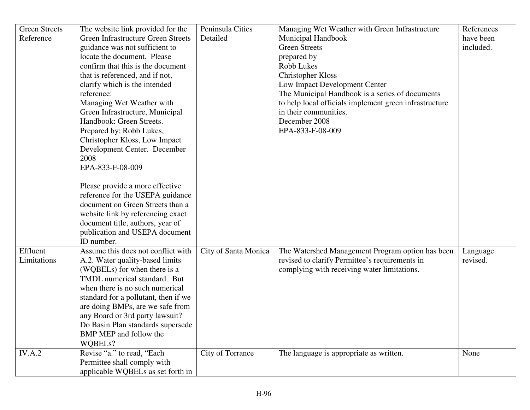| <b>Green Streets</b> | The website link provided for the    | Peninsula Cities     | Managing Wet Weather with Green Infrastructure         | References |
|----------------------|--------------------------------------|----------------------|--------------------------------------------------------|------------|
| Reference            | Green Infrastructure Green Streets   | Detailed             | Municipal Handbook                                     | have been  |
|                      | guidance was not sufficient to       |                      | <b>Green Streets</b>                                   | included.  |
|                      | locate the document. Please          |                      | prepared by                                            |            |
|                      | confirm that this is the document    |                      | <b>Robb Lukes</b>                                      |            |
|                      | that is referenced, and if not,      |                      | <b>Christopher Kloss</b>                               |            |
|                      | clarify which is the intended        |                      | Low Impact Development Center                          |            |
|                      | reference:                           |                      | The Municipal Handbook is a series of documents        |            |
|                      | Managing Wet Weather with            |                      | to help local officials implement green infrastructure |            |
|                      | Green Infrastructure, Municipal      |                      | in their communities.                                  |            |
|                      | Handbook: Green Streets.             |                      | December 2008                                          |            |
|                      | Prepared by: Robb Lukes,             |                      | EPA-833-F-08-009                                       |            |
|                      | Christopher Kloss, Low Impact        |                      |                                                        |            |
|                      | Development Center. December         |                      |                                                        |            |
|                      | 2008                                 |                      |                                                        |            |
|                      | EPA-833-F-08-009                     |                      |                                                        |            |
|                      |                                      |                      |                                                        |            |
|                      | Please provide a more effective      |                      |                                                        |            |
|                      | reference for the USEPA guidance     |                      |                                                        |            |
|                      | document on Green Streets than a     |                      |                                                        |            |
|                      | website link by referencing exact    |                      |                                                        |            |
|                      | document title, authors, year of     |                      |                                                        |            |
|                      | publication and USEPA document       |                      |                                                        |            |
|                      | ID number.                           |                      |                                                        |            |
| Effluent             | Assume this does not conflict with   | City of Santa Monica | The Watershed Management Program option has been       | Language   |
| Limitations          | A.2. Water quality-based limits      |                      | revised to clarify Permittee's requirements in         | revised.   |
|                      | (WQBELs) for when there is a         |                      | complying with receiving water limitations.            |            |
|                      | TMDL numerical standard. But         |                      |                                                        |            |
|                      | when there is no such numerical      |                      |                                                        |            |
|                      | standard for a pollutant, then if we |                      |                                                        |            |
|                      | are doing BMPs, are we safe from     |                      |                                                        |            |
|                      | any Board or 3rd party lawsuit?      |                      |                                                        |            |
|                      | Do Basin Plan standards supersede    |                      |                                                        |            |
|                      | BMP MEP and follow the               |                      |                                                        |            |
|                      | WQBELs?                              |                      |                                                        |            |
| IV.A.2               | Revise "a." to read, "Each           | City of Torrance     | The language is appropriate as written.                | None       |
|                      | Permittee shall comply with          |                      |                                                        |            |
|                      | applicable WQBELs as set forth in    |                      |                                                        |            |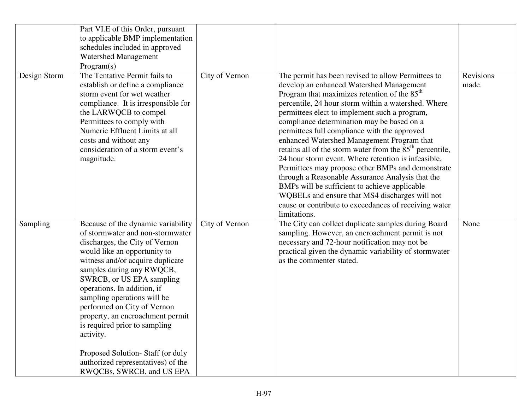|              | Part VI.E of this Order, pursuant<br>to applicable BMP implementation<br>schedules included in approved<br><b>Watershed Management</b><br>Program(s)                                                                                                                                                                                                                                                                                                                                                                         |                |                                                                                                                                                                                                                                                                                                                                                                                                                                                                                                                                                                                                                                                                                                                                                                                                                          |                           |
|--------------|------------------------------------------------------------------------------------------------------------------------------------------------------------------------------------------------------------------------------------------------------------------------------------------------------------------------------------------------------------------------------------------------------------------------------------------------------------------------------------------------------------------------------|----------------|--------------------------------------------------------------------------------------------------------------------------------------------------------------------------------------------------------------------------------------------------------------------------------------------------------------------------------------------------------------------------------------------------------------------------------------------------------------------------------------------------------------------------------------------------------------------------------------------------------------------------------------------------------------------------------------------------------------------------------------------------------------------------------------------------------------------------|---------------------------|
| Design Storm | The Tentative Permit fails to<br>establish or define a compliance<br>storm event for wet weather<br>compliance. It is irresponsible for<br>the LARWQCB to compel<br>Permittees to comply with<br>Numeric Effluent Limits at all<br>costs and without any<br>consideration of a storm event's<br>magnitude.                                                                                                                                                                                                                   | City of Vernon | The permit has been revised to allow Permittees to<br>develop an enhanced Watershed Management<br>Program that maximizes retention of the $85th$<br>percentile, 24 hour storm within a watershed. Where<br>permittees elect to implement such a program,<br>compliance determination may be based on a<br>permittees full compliance with the approved<br>enhanced Watershed Management Program that<br>retains all of the storm water from the 85 <sup>th</sup> percentile,<br>24 hour storm event. Where retention is infeasible,<br>Permittees may propose other BMPs and demonstrate<br>through a Reasonable Assurance Analysis that the<br>BMPs will be sufficient to achieve applicable<br>WQBELs and ensure that MS4 discharges will not<br>cause or contribute to exceedances of receiving water<br>limitations. | <b>Revisions</b><br>made. |
| Sampling     | Because of the dynamic variability<br>of stormwater and non-stormwater<br>discharges, the City of Vernon<br>would like an opportunity to<br>witness and/or acquire duplicate<br>samples during any RWQCB,<br>SWRCB, or US EPA sampling<br>operations. In addition, if<br>sampling operations will be<br>performed on City of Vernon<br>property, an encroachment permit<br>is required prior to sampling<br>activity.<br>Proposed Solution-Staff (or duly<br>authorized representatives) of the<br>RWQCBs, SWRCB, and US EPA | City of Vernon | The City can collect duplicate samples during Board<br>sampling. However, an encroachment permit is not<br>necessary and 72-hour notification may not be<br>practical given the dynamic variability of stormwater<br>as the commenter stated.                                                                                                                                                                                                                                                                                                                                                                                                                                                                                                                                                                            | None                      |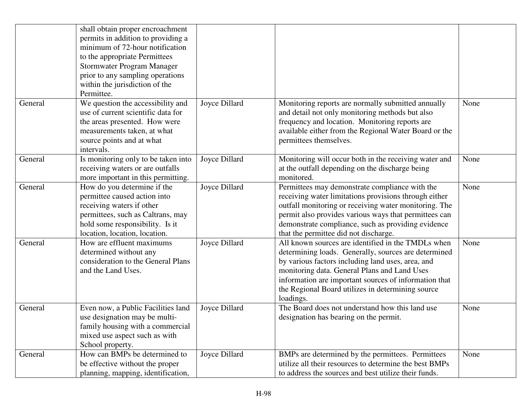|         | shall obtain proper encroachment<br>permits in addition to providing a<br>minimum of 72-hour notification<br>to the appropriate Permittees<br>Stormwater Program Manager<br>prior to any sampling operations<br>within the jurisdiction of the<br>Permittee. |               |                                                                                                                                                                                                                                                                                                                                            |      |
|---------|--------------------------------------------------------------------------------------------------------------------------------------------------------------------------------------------------------------------------------------------------------------|---------------|--------------------------------------------------------------------------------------------------------------------------------------------------------------------------------------------------------------------------------------------------------------------------------------------------------------------------------------------|------|
| General | We question the accessibility and<br>use of current scientific data for<br>the areas presented. How were<br>measurements taken, at what<br>source points and at what<br>intervals.                                                                           | Joyce Dillard | Monitoring reports are normally submitted annually<br>and detail not only monitoring methods but also<br>frequency and location. Monitoring reports are<br>available either from the Regional Water Board or the<br>permittees themselves.                                                                                                 | None |
| General | Is monitoring only to be taken into<br>receiving waters or are outfalls<br>more important in this permitting.                                                                                                                                                | Joyce Dillard | Monitoring will occur both in the receiving water and<br>at the outfall depending on the discharge being<br>monitored.                                                                                                                                                                                                                     | None |
| General | How do you determine if the<br>permittee caused action into<br>receiving waters if other<br>permittees, such as Caltrans, may<br>hold some responsibility. Is it<br>location, location, location.                                                            | Joyce Dillard | Permittees may demonstrate compliance with the<br>receiving water limitations provisions through either<br>outfall monitoring or receiving water monitoring. The<br>permit also provides various ways that permittees can<br>demonstrate compliance, such as providing evidence<br>that the permittee did not discharge.                   | None |
| General | How are effluent maximums<br>determined without any<br>consideration to the General Plans<br>and the Land Uses.                                                                                                                                              | Joyce Dillard | All known sources are identified in the TMDLs when<br>determining loads. Generally, sources are determined<br>by various factors including land uses, area, and<br>monitoring data. General Plans and Land Uses<br>information are important sources of information that<br>the Regional Board utilizes in determining source<br>loadings. | None |
| General | Even now, a Public Facilities land<br>use designation may be multi-<br>family housing with a commercial<br>mixed use aspect such as with<br>School property.                                                                                                 | Joyce Dillard | The Board does not understand how this land use<br>designation has bearing on the permit.                                                                                                                                                                                                                                                  | None |
| General | How can BMPs be determined to<br>be effective without the proper<br>planning, mapping, identification,                                                                                                                                                       | Joyce Dillard | BMPs are determined by the permittees. Permittees<br>utilize all their resources to determine the best BMPs<br>to address the sources and best utilize their funds.                                                                                                                                                                        | None |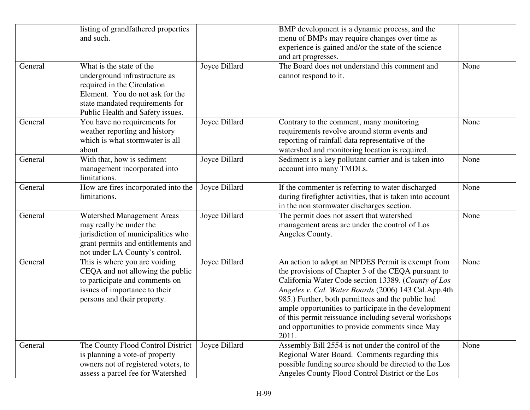|         | listing of grandfathered properties<br>and such.                                                                                                                                                   |               | BMP development is a dynamic process, and the<br>menu of BMPs may require changes over time as<br>experience is gained and/or the state of the science<br>and art progresses.                                                                                                                                                                                                                                                                             |      |
|---------|----------------------------------------------------------------------------------------------------------------------------------------------------------------------------------------------------|---------------|-----------------------------------------------------------------------------------------------------------------------------------------------------------------------------------------------------------------------------------------------------------------------------------------------------------------------------------------------------------------------------------------------------------------------------------------------------------|------|
| General | What is the state of the<br>underground infrastructure as<br>required in the Circulation<br>Element. You do not ask for the<br>state mandated requirements for<br>Public Health and Safety issues. | Joyce Dillard | The Board does not understand this comment and<br>cannot respond to it.                                                                                                                                                                                                                                                                                                                                                                                   | None |
| General | You have no requirements for<br>weather reporting and history<br>which is what stormwater is all<br>about.                                                                                         | Joyce Dillard | Contrary to the comment, many monitoring<br>requirements revolve around storm events and<br>reporting of rainfall data representative of the<br>watershed and monitoring location is required.                                                                                                                                                                                                                                                            | None |
| General | With that, how is sediment<br>management incorporated into<br>limitations.                                                                                                                         | Joyce Dillard | Sediment is a key pollutant carrier and is taken into<br>account into many TMDLs.                                                                                                                                                                                                                                                                                                                                                                         | None |
| General | How are fires incorporated into the<br>limitations.                                                                                                                                                | Joyce Dillard | If the commenter is referring to water discharged<br>during firefighter activities, that is taken into account<br>in the non stormwater discharges section.                                                                                                                                                                                                                                                                                               | None |
| General | Watershed Management Areas<br>may really be under the<br>jurisdiction of municipalities who<br>grant permits and entitlements and<br>not under LA County's control.                                | Joyce Dillard | The permit does not assert that watershed<br>management areas are under the control of Los<br>Angeles County.                                                                                                                                                                                                                                                                                                                                             | None |
| General | This is where you are voiding<br>CEQA and not allowing the public<br>to participate and comments on<br>issues of importance to their<br>persons and their property.                                | Joyce Dillard | An action to adopt an NPDES Permit is exempt from<br>the provisions of Chapter 3 of the CEQA pursuant to<br>California Water Code section 13389. (County of Los<br>Angeles v. Cal. Water Boards (2006) 143 Cal.App.4th<br>985.) Further, both permittees and the public had<br>ample opportunities to participate in the development<br>of this permit reissuance including several workshops<br>and opportunities to provide comments since May<br>2011. | None |
| General | The County Flood Control District<br>is planning a vote-of property<br>owners not of registered voters, to<br>assess a parcel fee for Watershed                                                    | Joyce Dillard | Assembly Bill 2554 is not under the control of the<br>Regional Water Board. Comments regarding this<br>possible funding source should be directed to the Los<br>Angeles County Flood Control District or the Los                                                                                                                                                                                                                                          | None |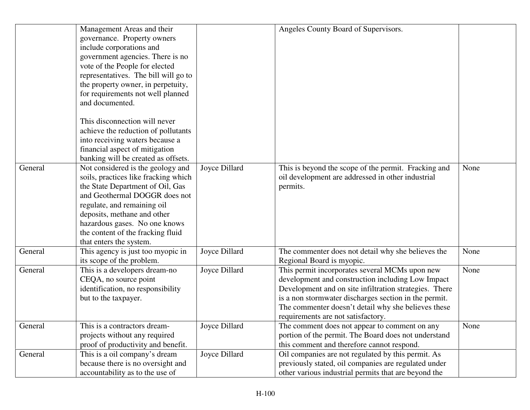|         | Management Areas and their           |               | Angeles County Board of Supervisors.                   |      |
|---------|--------------------------------------|---------------|--------------------------------------------------------|------|
|         | governance. Property owners          |               |                                                        |      |
|         | include corporations and             |               |                                                        |      |
|         | government agencies. There is no     |               |                                                        |      |
|         | vote of the People for elected       |               |                                                        |      |
|         | representatives. The bill will go to |               |                                                        |      |
|         |                                      |               |                                                        |      |
|         | the property owner, in perpetuity,   |               |                                                        |      |
|         | for requirements not well planned    |               |                                                        |      |
|         | and documented.                      |               |                                                        |      |
|         | This disconnection will never        |               |                                                        |      |
|         | achieve the reduction of pollutants  |               |                                                        |      |
|         | into receiving waters because a      |               |                                                        |      |
|         | financial aspect of mitigation       |               |                                                        |      |
|         | banking will be created as offsets.  |               |                                                        |      |
| General | Not considered is the geology and    | Joyce Dillard | This is beyond the scope of the permit. Fracking and   | None |
|         | soils, practices like fracking which |               | oil development are addressed in other industrial      |      |
|         | the State Department of Oil, Gas     |               | permits.                                               |      |
|         | and Geothermal DOGGR does not        |               |                                                        |      |
|         | regulate, and remaining oil          |               |                                                        |      |
|         | deposits, methane and other          |               |                                                        |      |
|         | hazardous gases. No one knows        |               |                                                        |      |
|         | the content of the fracking fluid    |               |                                                        |      |
|         | that enters the system.              |               |                                                        |      |
| General | This agency is just too myopic in    | Joyce Dillard | The commenter does not detail why she believes the     | None |
|         | its scope of the problem.            |               | Regional Board is myopic.                              |      |
| General | This is a developers dream-no        | Joyce Dillard | This permit incorporates several MCMs upon new         | None |
|         | CEQA, no source point                |               | development and construction including Low Impact      |      |
|         | identification, no responsibility    |               | Development and on site infiltration strategies. There |      |
|         | but to the taxpayer.                 |               | is a non stormwater discharges section in the permit.  |      |
|         |                                      |               | The commenter doesn't detail why she believes these    |      |
|         |                                      |               | requirements are not satisfactory.                     |      |
| General | This is a contractors dream-         | Joyce Dillard | The comment does not appear to comment on any          | None |
|         | projects without any required        |               | portion of the permit. The Board does not understand   |      |
|         | proof of productivity and benefit.   |               | this comment and therefore cannot respond.             |      |
| General | This is a oil company's dream        | Joyce Dillard | Oil companies are not regulated by this permit. As     |      |
|         | because there is no oversight and    |               | previously stated, oil companies are regulated under   |      |
|         | accountability as to the use of      |               | other various industrial permits that are beyond the   |      |